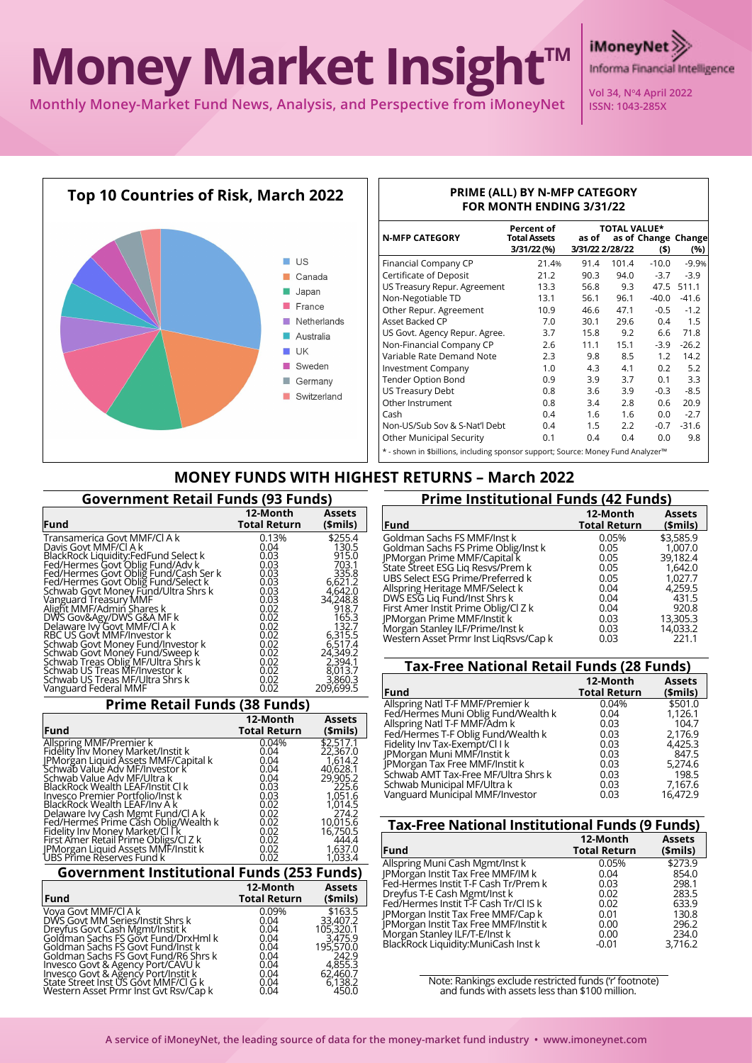# **Money Market Insight™**

**Monthly Money-Market Fund News, Analysis, and Perspective from iMoneyNet**



### **PRIME (ALL) BY N-MFP CATEGORY FOR MONTH ENDING 3/31/22**

**Vol 34, No4 April 2022 ISSN: 1043-285X**

Informa Financial Intelligence

**iMoneyNe** 

| <b>N-MFP CATEGORY</b>                                                                        | Percent of<br>Total Assets | <b>TOTAL VALUE*</b><br>as of<br>as of Change Change |       |         |            |  |
|----------------------------------------------------------------------------------------------|----------------------------|-----------------------------------------------------|-------|---------|------------|--|
|                                                                                              | 3/31/22 (%)                | 3/31/22 2/28/22                                     |       | (\$)    | (%)        |  |
| Financial Company CP                                                                         | 21.4%                      | 91.4                                                | 101.4 | $-10.0$ | $-9.9%$    |  |
| Certificate of Deposit                                                                       | 21.2                       | 90.3                                                | 94.0  | $-3.7$  | $-3.9$     |  |
| US Treasury Repur. Agreement                                                                 | 13.3                       | 56.8                                                | 9.3   |         | 47.5 511.1 |  |
| Non-Negotiable TD                                                                            | 13.1                       | 56.1                                                | 96.1  | $-40.0$ | $-41.6$    |  |
| Other Repur. Agreement                                                                       | 10.9                       | 46.6                                                | 47.1  | $-0.5$  | $-1.2$     |  |
| Asset Backed CP                                                                              | 7.0                        | 30.1                                                | 29.6  | 0.4     | 1.5        |  |
| US Govt. Agency Repur. Agree.                                                                | 3.7                        | 15.8                                                | 9.2   | 6.6     | 71.8       |  |
| Non-Financial Company CP                                                                     | 2.6                        | 11.1                                                | 15.1  | -3.9    | $-26.2$    |  |
| Variable Rate Demand Note                                                                    | 2.3                        | 9.8                                                 | 8.5   | 1.2     | 14.2       |  |
| <b>Investment Company</b>                                                                    | 1.0                        | 4.3                                                 | 4.1   | 0.2     | 5.2        |  |
| <b>Tender Option Bond</b>                                                                    | 0.9                        | 3.9                                                 | 3.7   | 0.1     | 3.3        |  |
| US Treasury Debt                                                                             | 0.8                        | 3.6                                                 | 3.9   | -0.3    | $-8.5$     |  |
| Other Instrument                                                                             | 0.8                        | 3.4                                                 | 2.8   | 0.6     | 20.9       |  |
| Cash                                                                                         | 0.4                        | 1.6                                                 | 1.6   | 0.0     | $-2.7$     |  |
| Non-US/Sub Sov & S-Nat'l Debt                                                                | 0.4                        | 1.5                                                 | 2.2   | $-0.7$  | $-31.6$    |  |
| <b>Other Municipal Security</b>                                                              | 0.1                        | 0.4                                                 | 0.4   | 0.0     | 9.8        |  |
| * - shown in \$billions, including sponsor support; Source: Money Fund Analyzer <sup>m</sup> |                            |                                                     |       |         |            |  |

# **MONEY FUNDS WITH HIGHEST RETURNS – March 2022**

| <b>Government Retail Funds (93 Funds)</b>                                                                                                                                                                                                                                                                                                                                                                                                                                                                                                                                                                        |                                                                                                                                               |                                                                                                                                                                                          |
|------------------------------------------------------------------------------------------------------------------------------------------------------------------------------------------------------------------------------------------------------------------------------------------------------------------------------------------------------------------------------------------------------------------------------------------------------------------------------------------------------------------------------------------------------------------------------------------------------------------|-----------------------------------------------------------------------------------------------------------------------------------------------|------------------------------------------------------------------------------------------------------------------------------------------------------------------------------------------|
| Fund                                                                                                                                                                                                                                                                                                                                                                                                                                                                                                                                                                                                             | 12-Month<br><b>Total Return</b>                                                                                                               | <b>Assets</b><br>$$$ mils)                                                                                                                                                               |
| Transamerica Govt MMF/Cl A k<br>Davis Govt MMF/CLA k<br>BlackRock Liquidity:FedFund Select k<br>Fed/Hermes Govt Oblig Fund/Adv k<br>Fed/Hermes Govt Oblig Fund/Cash Ser k<br>Fed/Hermes Govt Oblig Fund/Select k<br>Schwab Govt Money Fund/Ultra Shrs k<br>Vanguard Treasury MMF<br>Alight MMF/Admin Shares k<br>DWS Gov&Agy/DWS G&A MF k<br>Delaware Ivy Govt MMF/CI A k<br>RBC US Govt MMF/Investor k<br>Schwab Govt Money Fund/Investor k<br>Schwab Govt Money Fund/Sweep k<br>Schwab Treas Oblig MF/Ultra Shrs k<br>Schwab US Treas MF/Investor k<br>Schwab US Treas MF/Ultra Shrs k<br>Vanguard Federal MMF | 0.13%<br>0.04<br>0.03<br>0.03<br>0.03<br>0.03<br>0.03<br>0.03<br>0.02<br>0.02<br>0.02<br>0.02<br>0.02<br>0.02<br>0.02<br>0.02<br>0.02<br>0.02 | \$255.4<br>130.5<br>915.0<br>703.1<br>335.8<br>6,621.2<br>4.642.0<br>34,248.8<br>918.7<br>165.3<br>132.7<br>6,315.5<br>6.517.4<br>24,349.2<br>2,394.1<br>8,013.7<br>3,860.3<br>209,699.5 |

## **Prime Retail Funds (38 Funds)**

|                                                                            | 12-Month            | <b>Assets</b> |
|----------------------------------------------------------------------------|---------------------|---------------|
| <b>Fund</b>                                                                | <b>Total Return</b> | (\$mils)      |
| Allspring MMF/Premier k                                                    | 0.04%               | \$2,517.1     |
| Fidelity Inv Money Market/Instit k                                         | 0.04                | 22,367.0      |
| JPMorgan Liquid Assets MMF/Capital k<br>Schwab Value Adv MF/Investor k     | 0.04                | 1.614.2       |
|                                                                            | 0.04                | 40,628.1      |
| Schwab Value Adv MF/Ultra k                                                | 0.04                | 29,905.2      |
| BlackRock Wealth LEAF/Instit Cl k                                          | 0.03                | 225.6         |
| Invesco Premier Portfolio/Inst k                                           | 0.03                | 1,051.6       |
| BlackRock Wealth LEAF/Inv A k                                              | 0.02                | 1.014.5       |
| Delaware Ivy Cash Mgmt Fund/Cl A k<br>Fed/Hermes Prime Cash Oblig/Wealth k | 0.02                | 274.2         |
|                                                                            | 0.02                | 10,015.6      |
| Fidelity Inv Money Market/Cl Ik                                            | 0.02                | 16,750.5      |
| First Amer Retail Prime Obligs/Cl Z k                                      | 0.02                | 444.4         |
| JPMorgan Liquid Assets MMF/Instit k<br>UBS Prime Reserves Fund k           | 0.02                | 1,637.0       |
|                                                                            | 0.02                | 1,033.4       |
| Covernment Institutional Eunds (252 Eunds)                                 |                     |               |

#### **Government Institutional Funds (253 Funds) 12-Month Assets**

| <b>Fund</b>                           | 14-MUHL<br><b>Total Return</b> | A335L3<br>\$mils) |
|---------------------------------------|--------------------------------|-------------------|
| Vova Govt MMF/CLA k                   | 0.09%                          | \$163.5           |
| DWS Govt MM Series/Instit Shrs k      | 0.04                           | 33,407.2          |
| Dreyfus Govt Cash Mgmt/Instit k       | 0.04                           | 105,320.1         |
| Goldman Sachs FS Govt Fund/DrxHml k   | 0.04                           | 3.475.9           |
| Goldman Sachs FS Govt Fund/Inst k     | 0.04                           | 195,570.0         |
| Goldman Sachs FS Govt Fund/R6 Shrs k  | 0.04                           | 242.9             |
| Invesco Govt & Agency Port/CAVU k     | 0.04                           | 4.855.3           |
| Invesco Govt & Agency Port/Instit k   | 0.04                           | 62,460.7          |
| State Street Inst US Govt MMF/CI G k  | 0.04                           | 6,138.2           |
| Western Asset Prmr Inst Gvt Rsv/Cap k | 0.04                           | 450.0             |

| <b>Prime Institutional Funds (42 Funds)</b> |                                 |                            |
|---------------------------------------------|---------------------------------|----------------------------|
| <b>Fund</b>                                 | 12-Month<br><b>Total Return</b> | <b>Assets</b><br>$$$ mils) |
| Goldman Sachs FS MMF/Inst k                 | 0.05%                           | \$3,585.9                  |
| Goldman Sachs FS Prime Oblig/Inst k         | 0.05                            | 1.007.0                    |
| JPMorgan Prime MMF/Capital k                | 0.05                            | 39.182.4                   |
| State Street ESG Liq Resvs/Prem k           | 0.05                            | 1.642.0                    |
| UBS Select ESG Prime/Preferred k            | 0.05                            | 1,027.7                    |
| Allspring Heritage MMF/Select k             | 0.04                            | 4.259.5                    |
| DWS ESG Lig Fund/Inst Shrs k                | 0.04                            | 431.5                      |
| First Amer Instit Prime Oblig/Cl Z k        | 0.04                            | 920.8                      |
| JPMorgan Prime MMF/Instit k                 | 0.03                            | 13,305.3                   |
| Morgan Stanley ILF/Prime/Inst k             | 0.03                            | 14,033.2                   |
| Western Asset Prmr Inst LigRsvs/Cap k       | 0.03                            | 221.1                      |

| <b>Tax-Free National Retail Funds (28 Funds)</b> |                     |               |
|--------------------------------------------------|---------------------|---------------|
|                                                  | 12-Month            | <b>Assets</b> |
| Fund                                             | <b>Total Return</b> | (\$mils)      |
| Allspring Natl T-F MMF/Premier k                 | 0.04%               | \$501.0       |
| Fed/Hermes Muni Oblig Fund/Wealth k              | 0.04                | 1,126.1       |
| Allspring Natl T-F MMF/Adm k                     | 0.03                | 104.7         |
| Fed/Hermes T-F Oblig Fund/Wealth k               | 0.03                | 2,176.9       |
| Fidelity Inv Tax-Exempt/Cl I k                   | 0.03                | 4,425.3       |
| JPMorgan Muni MMF/Instit k                       | 0.03                | 847.5         |
| IPMorgan Tax Free MMF/Instit k                   | 0.03                | 5.274.6       |
| Schwab AMT Tax-Free MF/Ultra Shrs k              | 0.03                | 198.5         |
| Schwab Municipal MF/Ultra k                      | 0.03                | 7,167.6       |
| Vanguard Municipal MMF/Investor                  | 0.03                | 16.472.9      |

| <b>Tax-Free National Institutional Funds (9 Funds)</b> |                     |
|--------------------------------------------------------|---------------------|
| 12-Month                                               | <b>Assets</b>       |
|                                                        | \$mils)             |
| 0.05%                                                  | \$273.9             |
| 0.04                                                   | 854.0               |
| 0.03                                                   | 298.1               |
| 0.02                                                   | 283.5               |
| 0.02                                                   | 633.9               |
| 0.01                                                   | 130.8               |
| 0.00                                                   | 296.2               |
| 0.00                                                   | 234.0               |
| $-0.01$                                                | 3.716.2             |
|                                                        | <b>Total Return</b> |

Note: Rankings exclude restricted funds ('r' footnote) and funds with assets less than \$100 million.

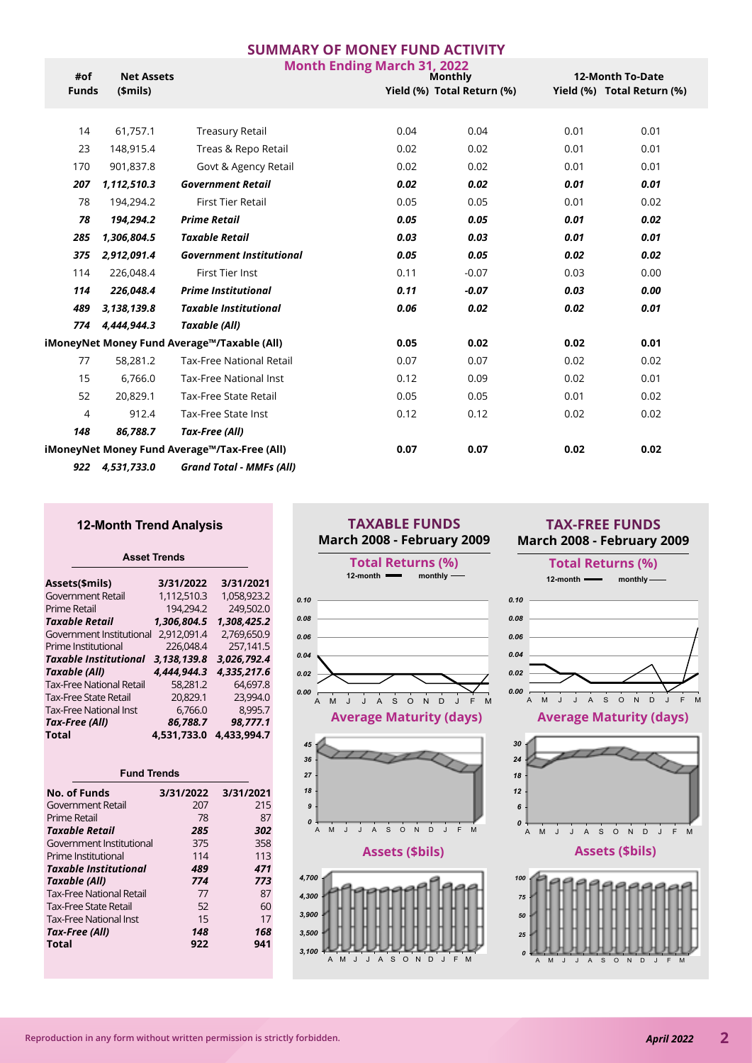|                         |                   |                                              | <b>SUMMARY OF MONEY FUND ACTIVITY</b> |                            |                            |                         |  |
|-------------------------|-------------------|----------------------------------------------|---------------------------------------|----------------------------|----------------------------|-------------------------|--|
| #of                     | <b>Net Assets</b> |                                              | <b>Month Ending March 31, 2022</b>    | <b>Monthly</b>             |                            | <b>12-Month To-Date</b> |  |
| <b>Funds</b><br>\$mils) |                   |                                              |                                       | Yield (%) Total Return (%) | Yield (%) Total Return (%) |                         |  |
|                         |                   |                                              |                                       |                            |                            |                         |  |
| 14                      | 61,757.1          | <b>Treasury Retail</b>                       | 0.04                                  | 0.04                       | 0.01                       | 0.01                    |  |
| 23                      | 148,915.4         | Treas & Repo Retail                          | 0.02                                  | 0.02                       | 0.01                       | 0.01                    |  |
| 170                     | 901,837.8         | Govt & Agency Retail                         | 0.02                                  | 0.02                       | 0.01                       | 0.01                    |  |
| 207                     | 1,112,510.3       | <b>Government Retail</b>                     | 0.02                                  | 0.02                       | 0.01                       | 0.01                    |  |
| 78                      | 194,294.2         | <b>First Tier Retail</b>                     | 0.05                                  | 0.05                       | 0.01                       | 0.02                    |  |
| 78                      | 194,294.2         | <b>Prime Retail</b>                          | 0.05                                  | 0.05                       | 0.01                       | 0.02                    |  |
| 285                     | 1,306,804.5       | <b>Taxable Retail</b>                        | 0.03                                  | 0.03                       | 0.01                       | 0.01                    |  |
| 375                     | 2,912,091.4       | <b>Government Institutional</b>              | 0.05                                  | 0.05                       | 0.02                       | 0.02                    |  |
| 114                     | 226,048.4         | <b>First Tier Inst</b>                       | 0.11                                  | $-0.07$                    | 0.03                       | 0.00                    |  |
| 114                     | 226,048.4         | <b>Prime Institutional</b>                   | 0.11                                  | $-0.07$                    | 0.03                       | 0.00                    |  |
| 489                     | 3, 138, 139.8     | <b>Taxable Institutional</b>                 | 0.06                                  | 0.02                       | 0.02                       | 0.01                    |  |
| 774                     | 4,444,944.3       | Taxable (All)                                |                                       |                            |                            |                         |  |
|                         |                   | iMoneyNet Money Fund Average™/Taxable (All)  | 0.05                                  | 0.02                       | 0.02                       | 0.01                    |  |
| 77                      | 58,281.2          | <b>Tax-Free National Retail</b>              | 0.07                                  | 0.07                       | 0.02                       | 0.02                    |  |
| 15                      | 6,766.0           | <b>Tax-Free National Inst</b>                | 0.12                                  | 0.09                       | 0.02                       | 0.01                    |  |
| 52                      | 20,829.1          | <b>Tax-Free State Retail</b>                 | 0.05                                  | 0.05                       | 0.01                       | 0.02                    |  |
| 4                       | 912.4             | Tax-Free State Inst                          | 0.12                                  | 0.12                       | 0.02                       | 0.02                    |  |
| 148                     | 86,788.7          | Tax-Free (All)                               |                                       |                            |                            |                         |  |
|                         |                   | iMoneyNet Money Fund Average™/Tax-Free (All) | 0.07                                  | 0.07                       | 0.02                       | 0.02                    |  |
| 922                     | 4,531,733.0       | <b>Grand Total - MMFs (All)</b>              |                                       |                            |                            |                         |  |

#### **12-Month Trend Analysis**

#### **Asset Trends**

| Assets(\$mils)                  | 3/31/2022   | 3/31/2021   |
|---------------------------------|-------------|-------------|
| Government Retail               | 1,112,510.3 | 1.058.923.2 |
| Prime Retail                    | 194.294.2   | 249.502.0   |
| <b>Taxable Retail</b>           | 1.306.804.5 | 1.308.425.2 |
| Government Institutional        | 2.912.091.4 | 2.769.650.9 |
| Prime Institutional             | 226.048.4   | 257.141.5   |
| <b>Taxable Institutional</b>    | 3,138,139.8 | 3.026.792.4 |
| Taxable (All)                   | 4.444.944.3 | 4.335.217.6 |
| <b>Tax-Free National Retail</b> | 58.281.2    | 64.697.8    |
| <b>Tax-Free State Retail</b>    | 20.829.1    | 23,994.0    |
| <b>Tax-Free National Inst</b>   | 6.766.0     | 8,995.7     |
| Tax-Free (All)                  | 86.788.7    | 98.777.1    |
| <b>Total</b>                    | 4.531.733.0 | 4.433.994.7 |

| <b>Fund Trends</b>              |           |           |  |  |  |  |
|---------------------------------|-----------|-----------|--|--|--|--|
| No. of Funds                    | 3/31/2022 | 3/31/2021 |  |  |  |  |
| Government Retail               | 207       | 215       |  |  |  |  |
| Prime Retail                    | 78        | 87        |  |  |  |  |
| Taxable Retail                  | 285       | 302       |  |  |  |  |
| Government Institutional        | 375       | 358       |  |  |  |  |
| Prime Institutional             | 114       | 113       |  |  |  |  |
| Taxable Institutional           | 489       | 471       |  |  |  |  |
| Taxable (All)                   | 774       | 773       |  |  |  |  |
| <b>Tax-Free National Retail</b> | 77        | 87        |  |  |  |  |
| <b>Tax-Free State Retail</b>    | 52        | 60        |  |  |  |  |
| <b>Tax-Free National Inst</b>   | 15        | 17        |  |  |  |  |
| Tax-Free (All)                  | 148       | 168       |  |  |  |  |
| Total                           | 922       | 941       |  |  |  |  |

## **TAXABLE FUNDS March 2008 - February 2009**



## **TAX-FREE FUNDS March 2008 - February 2009**

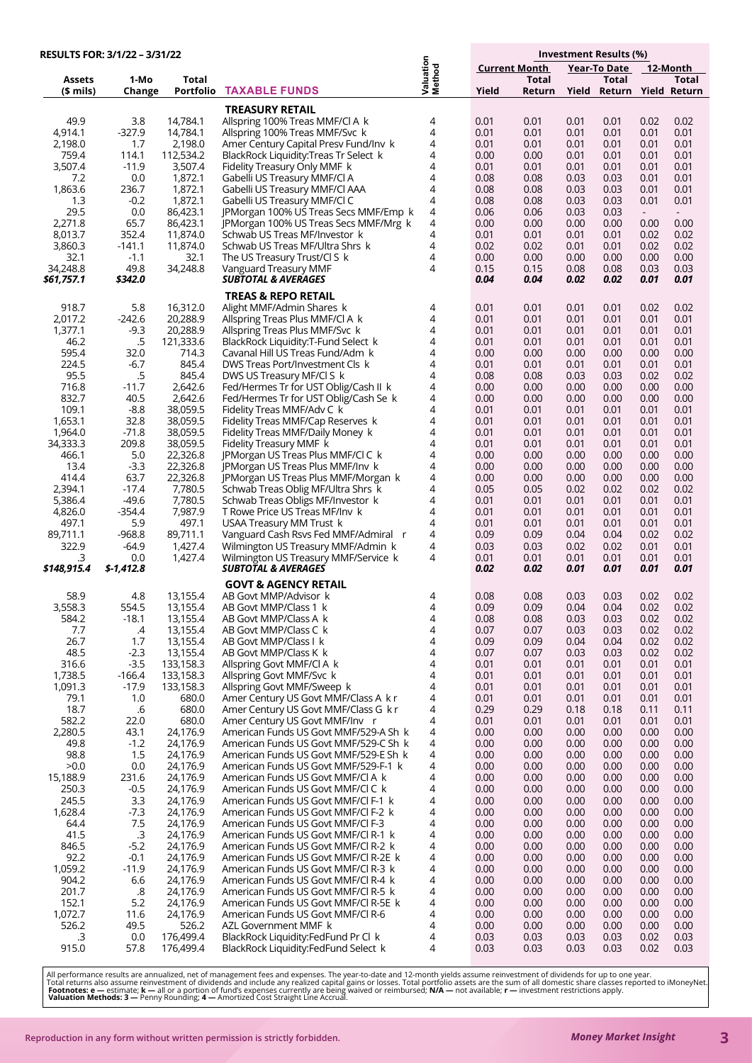| RESULTS FOR: 3/1/22 - 3/31/22 |                     |                                  |                                                                          |                     |                      |                 |              | Investment Results (%)       |              |              |
|-------------------------------|---------------------|----------------------------------|--------------------------------------------------------------------------|---------------------|----------------------|-----------------|--------------|------------------------------|--------------|--------------|
|                               |                     |                                  |                                                                          |                     | <b>Current Month</b> |                 |              | Year-To Date                 |              | 12-Month     |
| <b>Assets</b><br>$$$ mils)    | 1-Mo<br>Change      | <b>Total</b><br><b>Portfolio</b> | <b>TAXABLE FUNDS</b>                                                     | Valuation<br>Method | Yield                | Total<br>Return | Yield        | Total<br>Return Yield Return |              | Total        |
|                               |                     |                                  |                                                                          |                     |                      |                 |              |                              |              |              |
| 49.9                          | 3.8                 | 14,784.1                         | <b>TREASURY RETAIL</b><br>Allspring 100% Treas MMF/Cl A k                | 4                   | 0.01                 | 0.01            | 0.01         | 0.01                         | 0.02         | 0.02         |
| 4,914.1                       | $-327.9$            | 14,784.1                         | Allspring 100% Treas MMF/Svc k                                           | 4                   | 0.01                 | 0.01            | 0.01         | 0.01                         | 0.01         | 0.01         |
| 2,198.0                       | 1.7                 | 2,198.0                          | Amer Century Capital Presv Fund/Inv k                                    | 4                   | 0.01                 | 0.01            | 0.01         | 0.01                         | 0.01         | 0.01         |
| 759.4                         | 114.1               | 112,534.2                        | BlackRock Liquidity:Treas Tr Select k                                    | 4                   | 0.00                 | 0.00            | 0.01         | 0.01                         | 0.01         | 0.01         |
| 3,507.4                       | $-11.9$             | 3,507.4                          | Fidelity Treasury Only MMF k                                             | 4                   | 0.01                 | 0.01            | 0.01         | 0.01                         | 0.01         | 0.01         |
| 7.2                           | 0.0                 | 1,872.1                          | Gabelli US Treasury MMF/Cl A                                             | 4                   | 0.08                 | 0.08            | 0.03         | 0.03                         | 0.01         | 0.01         |
| 1,863.6                       | 236.7               | 1,872.1                          | Gabelli US Treasury MMF/Cl AAA                                           | 4                   | 0.08                 | 0.08            | 0.03         | 0.03                         | 0.01         | 0.01         |
| 1.3                           | $-0.2$              | 1,872.1                          | Gabelli US Treasury MMF/Cl C                                             | 4                   | 0.08                 | 0.08            | 0.03         | 0.03                         | 0.01         | 0.01         |
| 29.5                          | 0.0                 | 86,423.1                         | JPMorgan 100% US Treas Secs MMF/Emp k                                    | 4                   | 0.06                 | 0.06            | 0.03         | 0.03                         | $\sim$       | $\sim$       |
| 2,271.8                       | 65.7                | 86,423.1                         | JPMorgan 100% US Treas Secs MMF/Mrg k                                    | 4                   | 0.00                 | 0.00            | 0.00         | 0.00                         | 0.00         | 0.00         |
| 8,013.7                       | 352.4               | 11,874.0                         | Schwab US Treas MF/Investor k                                            | 4                   | 0.01                 | 0.01            | 0.01         | 0.01                         | 0.02         | 0.02         |
| 3,860.3                       | -141.1              | 11,874.0                         | Schwab US Treas MF/Ultra Shrs k                                          | 4                   | 0.02                 | 0.02            | 0.01         | 0.01                         | 0.02         | 0.02         |
| 32.1<br>34,248.8              | $-1.1$<br>49.8      | 32.1<br>34,248.8                 | The US Treasury Trust/Cl S k<br>Vanguard Treasury MMF                    | 4<br>4              | 0.00<br>0.15         | 0.00<br>0.15    | 0.00<br>0.08 | 0.00<br>0.08                 | 0.00<br>0.03 | 0.00<br>0.03 |
| \$61,757.1                    | \$342.0             |                                  | <i><b>SUBTOTAL &amp; AVERAGES</b></i>                                    |                     | 0.04                 | 0.04            | 0.02         | 0.02                         | 0.01         | 0.01         |
|                               |                     |                                  | <b>TREAS &amp; REPO RETAIL</b>                                           |                     |                      |                 |              |                              |              |              |
| 918.7                         | 5.8                 | 16,312.0                         | Alight MMF/Admin Shares k                                                | 4                   | 0.01                 | 0.01            | 0.01         | 0.01                         | 0.02         | 0.02         |
| 2,017.2                       | $-242.6$            | 20,288.9                         | Allspring Treas Plus MMF/Cl A k                                          | 4                   | 0.01                 | 0.01            | 0.01         | 0.01                         | 0.01         | 0.01         |
| 1,377.1                       | $-9.3$              | 20,288.9                         | Allspring Treas Plus MMF/Svc k                                           | 4                   | 0.01                 | 0.01            | 0.01         | 0.01                         | 0.01         | 0.01         |
| 46.2                          | .5                  | 121,333.6                        | BlackRock Liquidity:T-Fund Select k                                      | 4                   | 0.01                 | 0.01            | 0.01         | 0.01                         | 0.01         | 0.01         |
| 595.4                         | 32.0                | 714.3                            | Cavanal Hill US Treas Fund/Adm k                                         | 4                   | 0.00                 | 0.00            | 0.00         | 0.00                         | 0.00         | 0.00         |
| 224.5                         | $-6.7$              | 845.4                            | DWS Treas Port/Investment Cls k                                          | 4                   | 0.01                 | 0.01            | 0.01         | 0.01                         | 0.01         | 0.01         |
| 95.5                          | .5                  | 845.4                            | DWS US Treasury MF/Cl S k                                                | 4                   | 0.08                 | 0.08            | 0.03         | 0.03                         | 0.02         | 0.02         |
| 716.8                         | $-11.7$             | 2,642.6                          | Fed/Hermes Tr for UST Oblig/Cash II k                                    | 4                   | 0.00                 | 0.00            | 0.00         | 0.00                         | 0.00         | 0.00         |
| 832.7                         | 40.5                | 2,642.6                          | Fed/Hermes Tr for UST Oblig/Cash Se k                                    | 4                   | 0.00                 | 0.00            | 0.00         | 0.00                         | 0.00         | 0.00         |
| 109.1                         | $-8.8$              | 38,059.5                         | Fidelity Treas MMF/Adv C k                                               | 4                   | 0.01                 | 0.01            | 0.01         | 0.01                         | 0.01         | 0.01         |
| 1,653.1                       | 32.8                | 38,059.5                         | Fidelity Treas MMF/Cap Reserves k                                        | 4<br>4              | 0.01                 | 0.01            | 0.01         | 0.01                         | 0.01         | 0.01         |
| 1,964.0<br>34,333.3           | $-71.8$<br>209.8    | 38,059.5<br>38,059.5             | Fidelity Treas MMF/Daily Money k<br>Fidelity Treasury MMF k              | 4                   | 0.01<br>0.01         | 0.01<br>0.01    | 0.01<br>0.01 | 0.01<br>0.01                 | 0.01<br>0.01 | 0.01<br>0.01 |
| 466.1                         | 5.0                 | 22,326.8                         | JPMorgan US Treas Plus MMF/Cl C k                                        | 4                   | 0.00                 | 0.00            | 0.00         | 0.00                         | 0.00         | 0.00         |
| 13.4                          | $-3.3$              | 22,326.8                         | JPMorgan US Treas Plus MMF/Inv k                                         | 4                   | 0.00                 | 0.00            | 0.00         | 0.00                         | 0.00         | 0.00         |
| 414.4                         | 63.7                | 22,326.8                         | JPMorgan US Treas Plus MMF/Morgan k                                      | 4                   | 0.00                 | 0.00            | 0.00         | 0.00                         | 0.00         | 0.00         |
| 2,394.1                       | $-17.4$             | 7,780.5                          | Schwab Treas Oblig MF/Ultra Shrs k                                       | 4                   | 0.05                 | 0.05            | 0.02         | 0.02                         | 0.02         | 0.02         |
| 5,386.4                       | $-49.6$             | 7,780.5                          | Schwab Treas Obligs MF/Investor k                                        | 4                   | 0.01                 | 0.01            | 0.01         | 0.01                         | 0.01         | 0.01         |
| 4,826.0                       | $-354.4$            | 7,987.9                          | T Rowe Price US Treas MF/Inv k                                           | 4                   | 0.01                 | 0.01            | 0.01         | 0.01                         | 0.01         | 0.01         |
| 497.1                         | 5.9                 | 497.1                            | USAA Treasury MM Trust k                                                 | 4                   | 0.01                 | 0.01            | 0.01         | 0.01                         | 0.01         | 0.01         |
| 89,711.1                      | $-968.8$            | 89.711.1                         | Vanguard Cash Rsvs Fed MMF/Admiral r                                     | 4                   | 0.09                 | 0.09            | 0.04         | 0.04                         | 0.02         | 0.02         |
| 322.9                         | $-64.9$             | 1,427.4                          | Wilmington US Treasury MMF/Admin k                                       | 4                   | 0.03                 | 0.03            | 0.02         | 0.02                         | 0.01         | 0.01         |
| .3<br>\$148,915.4             | 0.0<br>$$-1,412.8$  | 1,427.4                          | Wilmington US Treasury MMF/Service k<br><b>SUBTOTAL &amp; AVERAGES</b>   | 4                   | 0.01<br>0.02         | 0.01<br>0.02    | 0.01<br>0.01 | 0.01<br>0.01                 | 0.01<br>0.01 | 0.01<br>0.01 |
|                               |                     |                                  | <b>GOVT &amp; AGENCY RETAIL</b>                                          |                     |                      |                 |              |                              |              |              |
| 58.9                          | 4.8                 | 13,155.4                         | AB Govt MMP/Advisor k                                                    | 4                   | 0.08                 | 0.08            | 0.03         | 0.03                         | 0.02         | 0.02         |
| 3,558.3                       | 554.5               | 13,155.4                         | AB Govt MMP/Class 1 k                                                    | 4                   | 0.09                 | 0.09            | 0.04         | 0.04                         | 0.02         | 0.02         |
| 584.2                         | $-18.1$             | 13,155.4                         | AB Govt MMP/Class A k                                                    | 4                   | 0.08                 | 0.08            | 0.03         | 0.03                         | 0.02         | 0.02         |
| 7.7                           | .4                  | 13,155.4                         | AB Govt MMP/Class C k                                                    | 4                   | 0.07                 | 0.07            | 0.03         | 0.03                         | 0.02         | 0.02         |
| 26.7                          | 1.7                 | 13,155.4                         | AB Govt MMP/Class I k                                                    | 4                   | 0.09                 | 0.09            | 0.04         | 0.04                         | 0.02         | 0.02         |
| 48.5                          | $-2.3$              | 13,155.4                         | AB Govt MMP/Class K k                                                    | 4                   | 0.07                 | 0.07            | 0.03         | 0.03                         | 0.02         | 0.02         |
| 316.6                         | $-3.5$              | 133,158.3                        | Allspring Govt MMF/CLA k                                                 | 4                   | 0.01                 | 0.01            | 0.01         | 0.01                         | 0.01         | 0.01         |
| 1,738.5<br>1,091.3            | $-166.4$<br>$-17.9$ | 133,158.3<br>133,158.3           | Allspring Govt MMF/Svc k<br>Allspring Govt MMF/Sweep k                   | 4<br>4              | 0.01<br>0.01         | 0.01<br>0.01    | 0.01<br>0.01 | 0.01<br>0.01                 | 0.01<br>0.01 | 0.01<br>0.01 |
| 79.1                          | 1.0                 | 680.0                            | Amer Century US Govt MMF/Class A k r                                     | 4                   | 0.01                 | 0.01            | 0.01         | 0.01                         | 0.01         | 0.01         |
| 18.7                          | .6                  | 680.0                            | Amer Century US Govt MMF/Class G k r                                     | 4                   | 0.29                 | 0.29            | 0.18         | 0.18                         | 0.11         | 0.11         |
| 582.2                         | 22.0                | 680.0                            | Amer Century US Govt MMF/Inv r                                           | 4                   | 0.01                 | 0.01            | 0.01         | 0.01                         | 0.01         | 0.01         |
| 2,280.5                       | 43.1                | 24,176.9                         | American Funds US Govt MMF/529-A Sh k                                    | 4                   | 0.00                 | 0.00            | 0.00         | 0.00                         | 0.00         | 0.00         |
| 49.8                          | $-1.2$              | 24,176.9                         | American Funds US Govt MMF/529-C Sh k                                    | 4                   | 0.00                 | 0.00            | 0.00         | 0.00                         | 0.00         | 0.00         |
| 98.8                          | 1.5                 | 24,176.9                         | American Funds US Govt MMF/529-E Sh k                                    | 4                   | 0.00                 | 0.00            | 0.00         | 0.00                         | 0.00         | 0.00         |
| >0.0                          | 0.0                 | 24,176.9                         | American Funds US Govt MMF/529-F-1 k                                     | 4                   | 0.00                 | 0.00            | 0.00         | 0.00                         | 0.00         | 0.00         |
| 15,188.9                      | 231.6               | 24,176.9                         | American Funds US Govt MMF/CI A k                                        | 4                   | 0.00                 | 0.00            | 0.00         | 0.00                         | 0.00         | 0.00         |
| 250.3                         | $-0.5$              | 24,176.9                         | American Funds US Govt MMF/Cl C k                                        | 4                   | 0.00                 | 0.00            | 0.00         | 0.00                         | 0.00         | 0.00         |
| 245.5                         | 3.3                 | 24,176.9                         | American Funds US Govt MMF/CI F-1 k                                      | 4                   | 0.00                 | 0.00            | 0.00         | 0.00                         | 0.00         | 0.00         |
| 1,628.4<br>64.4               | $-7.3$<br>7.5       | 24,176.9<br>24,176.9             | American Funds US Govt MMF/CI F-2 k<br>American Funds US Govt MMF/CI F-3 | 4<br>4              | 0.00<br>0.00         | 0.00<br>0.00    | 0.00<br>0.00 | 0.00<br>0.00                 | 0.00<br>0.00 | 0.00<br>0.00 |
| 41.5                          | $\cdot$ 3           | 24,176.9                         | American Funds US Govt MMF/CI R-1 k                                      | 4                   | 0.00                 | 0.00            | 0.00         | 0.00                         | 0.00         | 0.00         |
| 846.5                         | $-5.2$              | 24,176.9                         | American Funds US Govt MMF/CI R-2 k                                      | 4                   | 0.00                 | 0.00            | 0.00         | 0.00                         | 0.00         | 0.00         |
| 92.2                          | $-0.1$              | 24,176.9                         | American Funds US Govt MMF/CI R-2E k                                     | 4                   | 0.00                 | 0.00            | 0.00         | 0.00                         | 0.00         | 0.00         |
| 1,059.2                       | $-11.9$             | 24,176.9                         | American Funds US Govt MMF/CI R-3 k                                      | 4                   | 0.00                 | 0.00            | 0.00         | 0.00                         | 0.00         | 0.00         |
| 904.2                         | 6.6                 | 24,176.9                         | American Funds US Govt MMF/CI R-4 k                                      | 4                   | 0.00                 | 0.00            | 0.00         | 0.00                         | 0.00         | 0.00         |
| 201.7                         | .8                  | 24,176.9                         | American Funds US Govt MMF/CI R-5 k                                      | 4                   | 0.00                 | 0.00            | 0.00         | 0.00                         | 0.00         | 0.00         |
| 152.1                         | 5.2                 | 24,176.9                         | American Funds US Govt MMF/CI R-5E k                                     | 4                   | 0.00                 | 0.00            | 0.00         | 0.00                         | 0.00         | 0.00         |
| 1,072.7                       | 11.6                | 24,176.9                         | American Funds US Govt MMF/CI R-6                                        | 4                   | 0.00                 | 0.00            | 0.00         | 0.00                         | 0.00         | 0.00         |
| 526.2<br>.3                   | 49.5<br>0.0         | 526.2<br>176,499.4               | AZL Government MMF k<br>BlackRock Liquidity:FedFund Pr Cl k              | 4<br>4              | 0.00<br>0.03         | 0.00<br>0.03    | 0.00<br>0.03 | 0.00<br>0.03                 | 0.00<br>0.02 | 0.00<br>0.03 |
| 915.0                         | 57.8                | 176,499.4                        | BlackRock Liquidity:FedFund Select k                                     | 4                   | 0.03                 | 0.03            | 0.03         | 0.03                         | 0.02         | 0.03         |
|                               |                     |                                  |                                                                          |                     |                      |                 |              |                              |              |              |

All performance results are annualized, net of management fees and expenses. The year-to-date and 12-month yields assume reinvestment of dividends for up to one year.<br>Tot**ol** returns also assume reinvestment of dividends a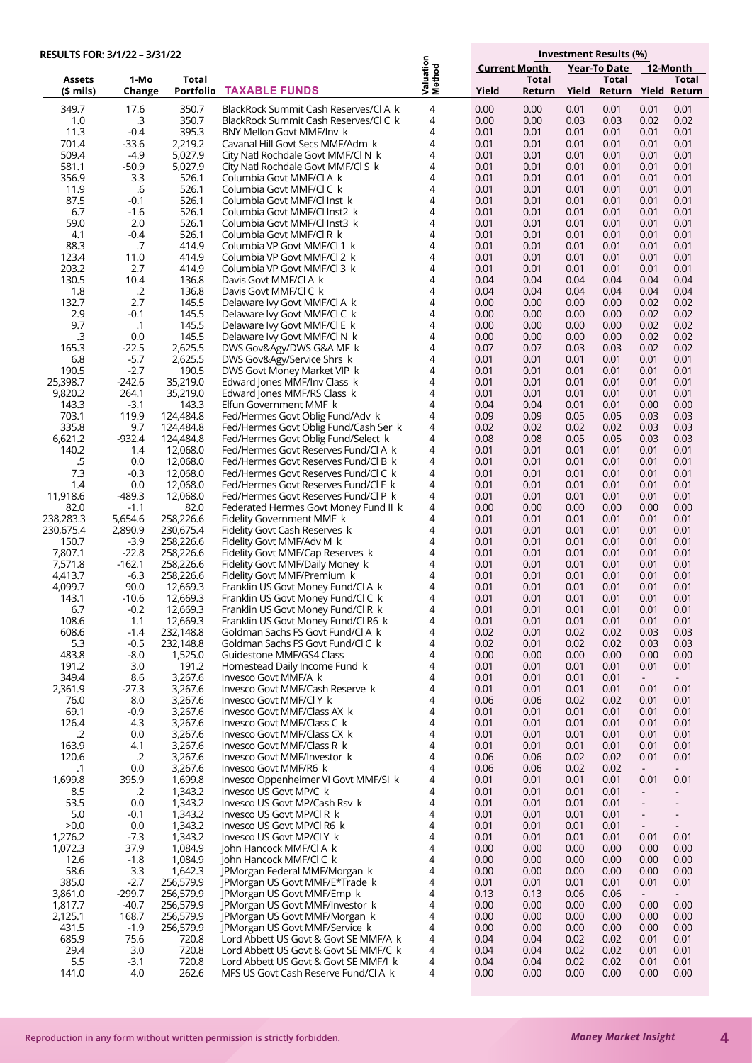| <b>RESULTS FOR: 3/1/22 - 3/31/22</b> |                   |                        |                                                                              | Investment Results (%) |                                                  |              |              |              |                                                      |
|--------------------------------------|-------------------|------------------------|------------------------------------------------------------------------------|------------------------|--------------------------------------------------|--------------|--------------|--------------|------------------------------------------------------|
|                                      |                   |                        |                                                                              |                        | <b>Current Month</b><br>12-Month<br>Year-To Date |              |              |              |                                                      |
| Assets                               | 1-Mo              | <b>Total</b>           |                                                                              | Valuation<br>Method    |                                                  | <b>Total</b> |              | Total        | <b>Total</b>                                         |
| (\$ mils)                            | Change            | Portfolio              | <b>TAXABLE FUNDS</b>                                                         |                        | Yield                                            | Return       | Yield        |              | Return Yield Return                                  |
| 349.7                                | 17.6              | 350.7                  | BlackRock Summit Cash Reserves/CLA k                                         | 4                      | 0.00                                             | 0.00         | 0.01         | 0.01         | 0.01<br>0.01                                         |
| 1.0                                  | .3                | 350.7                  | BlackRock Summit Cash Reserves/CLC k                                         | $\overline{4}$         | 0.00                                             | 0.00         | 0.03         | 0.03         | 0.02<br>0.02                                         |
| 11.3<br>701.4                        | $-0.4$<br>-33.6   | 395.3<br>2,219.2       | BNY Mellon Govt MMF/Inv k<br>Cavanal Hill Govt Secs MMF/Adm k                | 4<br>4                 | 0.01<br>0.01                                     | 0.01<br>0.01 | 0.01<br>0.01 | 0.01<br>0.01 | 0.01<br>0.01<br>0.01<br>0.01                         |
| 509.4                                | -4.9              | 5,027.9                | City Natl Rochdale Govt MMF/Cl N k                                           | 4                      | 0.01                                             | 0.01         | 0.01         | 0.01         | 0.01<br>0.01                                         |
| 581.1                                | $-50.9$           | 5,027.9                | City Natl Rochdale Govt MMF/CLS k                                            | 4                      | 0.01                                             | 0.01         | 0.01         | 0.01         | 0.01<br>0.01                                         |
| 356.9                                | 3.3               | 526.1                  | Columbia Govt MMF/CLA k                                                      | 4                      | 0.01                                             | 0.01         | 0.01         | 0.01         | 0.01<br>0.01                                         |
| 11.9                                 | .6                | 526.1                  | Columbia Govt MMF/CLC k                                                      | 4                      | 0.01                                             | 0.01         | 0.01         | 0.01         | 0.01<br>0.01                                         |
| 87.5<br>6.7                          | $-0.1$<br>$-1.6$  | 526.1<br>526.1         | Columbia Govt MMF/CLInst k<br>Columbia Govt MMF/Cl Inst2 k                   | 4<br>4                 | 0.01<br>0.01                                     | 0.01<br>0.01 | 0.01<br>0.01 | 0.01<br>0.01 | 0.01<br>0.01<br>0.01<br>0.01                         |
| 59.0                                 | 2.0               | 526.1                  | Columbia Govt MMF/Cl Inst3 k                                                 | 4                      | 0.01                                             | 0.01         | 0.01         | 0.01         | 0.01<br>0.01                                         |
| 4.1                                  | $-0.4$            | 526.1                  | Columbia Govt MMF/CLR k                                                      | 4                      | 0.01                                             | 0.01         | 0.01         | 0.01         | 0.01<br>0.01                                         |
| 88.3                                 | .7                | 414.9                  | Columbia VP Govt MMF/Cl 1 k                                                  | 4                      | 0.01                                             | 0.01         | 0.01         | 0.01         | 0.01<br>0.01                                         |
| 123.4<br>203.2                       | 11.0<br>2.7       | 414.9<br>414.9         | Columbia VP Govt MMF/Cl 2 k                                                  | 4<br>4                 | 0.01                                             | 0.01<br>0.01 | 0.01<br>0.01 | 0.01         | 0.01<br>0.01<br>0.01<br>0.01                         |
| 130.5                                | 10.4              | 136.8                  | Columbia VP Govt MMF/Cl 3 k<br>Davis Govt MMF/CLA k                          | 4                      | 0.01<br>0.04                                     | 0.04         | 0.04         | 0.01<br>0.04 | 0.04<br>0.04                                         |
| 1.8                                  | $\cdot$ .2        | 136.8                  | Davis Govt MMF/CLC k                                                         | 4                      | 0.04                                             | 0.04         | 0.04         | 0.04         | 0.04<br>0.04                                         |
| 132.7                                | 2.7               | 145.5                  | Delaware Ivy Govt MMF/Cl A k                                                 | 4                      | 0.00                                             | 0.00         | 0.00         | 0.00         | 0.02<br>0.02                                         |
| 2.9                                  | $-0.1$            | 145.5                  | Delaware Ivy Govt MMF/CI C k                                                 | 4                      | 0.00                                             | 0.00         | 0.00         | 0.00         | 0.02<br>0.02                                         |
| 9.7<br>.3                            | $\cdot$ 1<br>0.0  | 145.5<br>145.5         | Delaware Ivy Govt MMF/Cl E k                                                 | 4<br>4                 | 0.00<br>0.00                                     | 0.00<br>0.00 | 0.00<br>0.00 | 0.00<br>0.00 | 0.02<br>0.02<br>0.02<br>0.02                         |
| 165.3                                | $-22.5$           | 2,625.5                | Delaware Ivy Govt MMF/CLN k<br>DWS Gov&Agy/DWS G&A MF k                      | 4                      | 0.07                                             | 0.07         | 0.03         | 0.03         | 0.02<br>0.02                                         |
| 6.8                                  | $-5.7$            | 2,625.5                | DWS Gov&Agy/Service Shrs k                                                   | 4                      | 0.01                                             | 0.01         | 0.01         | 0.01         | 0.01<br>0.01                                         |
| 190.5                                | $-2.7$            | 190.5                  | DWS Govt Money Market VIP k                                                  | 4                      | 0.01                                             | 0.01         | 0.01         | 0.01         | 0.01<br>0.01                                         |
| 25,398.7                             | $-242.6$          | 35,219.0               | Edward Jones MMF/Inv Class k                                                 | 4                      | 0.01                                             | 0.01         | 0.01         | 0.01         | 0.01<br>0.01                                         |
| 9,820.2<br>143.3                     | 264.1<br>$-3.1$   | 35,219.0<br>143.3      | Edward Jones MMF/RS Class k<br>Elfun Government MMF k                        | 4<br>4                 | 0.01<br>0.04                                     | 0.01<br>0.04 | 0.01<br>0.01 | 0.01<br>0.01 | 0.01<br>0.01<br>0.00<br>0.00                         |
| 703.1                                | 119.9             | 124,484.8              | Fed/Hermes Govt Oblig Fund/Adv k                                             | 4                      | 0.09                                             | 0.09         | 0.05         | 0.05         | 0.03<br>0.03                                         |
| 335.8                                | 9.7               | 124,484.8              | Fed/Hermes Govt Oblig Fund/Cash Ser k                                        | 4                      | 0.02                                             | 0.02         | 0.02         | 0.02         | 0.03<br>0.03                                         |
| 6,621.2                              | $-932.4$          | 124,484.8              | Fed/Hermes Govt Oblig Fund/Select k                                          | 4                      | 0.08                                             | 0.08         | 0.05         | 0.05         | 0.03<br>0.03                                         |
| 140.2                                | 1.4               | 12,068.0               | Fed/Hermes Govt Reserves Fund/Cl A k                                         | 4                      | 0.01                                             | 0.01         | 0.01         | 0.01         | 0.01<br>0.01                                         |
| .5<br>7.3                            | 0.0<br>$-0.3$     | 12,068.0<br>12,068.0   | Fed/Hermes Govt Reserves Fund/Cl B k<br>Fed/Hermes Govt Reserves Fund/Cl C k | 4<br>4                 | 0.01<br>0.01                                     | 0.01<br>0.01 | 0.01<br>0.01 | 0.01<br>0.01 | 0.01<br>0.01<br>0.01<br>0.01                         |
| 1.4                                  | 0.0               | 12,068.0               | Fed/Hermes Govt Reserves Fund/Cl F k                                         | 4                      | 0.01                                             | 0.01         | 0.01         | 0.01         | 0.01<br>0.01                                         |
| 11,918.6                             | $-489.3$          | 12,068.0               | Fed/Hermes Govt Reserves Fund/Cl P k                                         | 4                      | 0.01                                             | 0.01         | 0.01         | 0.01         | 0.01<br>0.01                                         |
| 82.0                                 | $-1.1$            | 82.0                   | Federated Hermes Govt Money Fund II k                                        | 4                      | 0.00                                             | 0.00         | 0.00         | 0.00         | 0.00<br>0.00                                         |
| 238,283.3                            | 5,654.6           | 258,226.6              | Fidelity Government MMF k                                                    | 4<br>4                 | 0.01                                             | 0.01         | 0.01         | 0.01         | 0.01<br>0.01                                         |
| 230,675.4<br>150.7                   | 2,890.9<br>$-3.9$ | 230,675.4<br>258,226.6 | Fidelity Govt Cash Reserves k<br>Fidelity Govt MMF/Adv M k                   | 4                      | 0.01<br>0.01                                     | 0.01<br>0.01 | 0.01<br>0.01 | 0.01<br>0.01 | 0.01<br>0.01<br>0.01<br>0.01                         |
| 7,807.1                              | $-22.8$           | 258,226.6              | Fidelity Govt MMF/Cap Reserves k                                             | 4                      | 0.01                                             | 0.01         | 0.01         | 0.01         | 0.01<br>0.01                                         |
| 7,571.8                              | $-162.1$          | 258,226.6              | Fidelity Govt MMF/Daily Money k                                              | 4                      | 0.01                                             | 0.01         | 0.01         | 0.01         | 0.01<br>0.01                                         |
| 4,413.7                              | $-6.3$            | 258,226.6              | Fidelity Govt MMF/Premium k                                                  | 4                      | 0.01                                             | 0.01         | 0.01         | 0.01         | 0.01<br>0.01                                         |
| 4,099.7<br>143.1                     | 90.0<br>$-10.6$   | 12,669.3<br>12,669.3   | Franklin US Govt Money Fund/Cl A k<br>Franklin US Govt Money Fund/Cl C k     | 4<br>4                 | 0.01<br>0.01                                     | 0.01<br>0.01 | 0.01<br>0.01 | 0.01<br>0.01 | 0.01<br>0.01<br>0.01<br>0.01                         |
| 6.7                                  | $-0.2$            | 12,669.3               | Franklin US Govt Money Fund/Cl R k                                           | 4                      | 0.01                                             | 0.01         | 0.01         | 0.01         | 0.01<br>0.01                                         |
| 108.6                                | 1.1               | 12,669.3               | Franklin US Govt Money Fund/Cl R6 k                                          | 4                      | 0.01                                             | 0.01         | 0.01         | 0.01         | 0.01<br>0.01                                         |
| 608.6                                | -1.4              | 232,148.8              | Goldman Sachs FS Govt Fund/Cl A k                                            | 4                      | 0.02                                             | 0.01         | 0.02         | 0.02         | 0.03<br>0.03                                         |
| 5.3                                  | $-0.5$            | 232,148.8              | Goldman Sachs FS Govt Fund/Cl C k                                            | 4                      | 0.02                                             | 0.01         | 0.02         | 0.02         | 0.03<br>0.03                                         |
| 483.8<br>191.2                       | -8.0<br>3.0       | 1,525.0<br>191.2       | Guidestone MMF/GS4 Class<br>Homestead Daily Income Fund k                    | 4<br>4                 | 0.00<br>0.01                                     | 0.00<br>0.01 | 0.00<br>0.01 | 0.00<br>0.01 | 0.00<br>0.00<br>0.01<br>0.01                         |
| 349.4                                | 8.6               | 3,267.6                | Invesco Govt MMF/A k                                                         | 4                      | 0.01                                             | 0.01         | 0.01         | 0.01         | $\sim 10$<br>$\sim$                                  |
| 2,361.9                              | $-27.3$           | 3,267.6                | Invesco Govt MMF/Cash Reserve k                                              | 4                      | 0.01                                             | 0.01         | 0.01         | 0.01         | 0.01<br>0.01                                         |
| 76.0                                 | 8.0               | 3,267.6                | Invesco Govt MMF/Cl Y k                                                      | 4                      | 0.06                                             | 0.06         | 0.02         | 0.02         | 0.01<br>0.01                                         |
| 69.1<br>126.4                        | $-0.9$<br>4.3     | 3,267.6<br>3,267.6     | Invesco Govt MMF/Class AX k<br>Invesco Govt MMF/Class C k                    | 4<br>4                 | 0.01<br>0.01                                     | 0.01<br>0.01 | 0.01<br>0.01 | 0.01<br>0.01 | 0.01<br>0.01<br>0.01                                 |
| .2                                   | 0.0               | 3,267.6                | Invesco Govt MMF/Class CX k                                                  | 4                      | 0.01                                             | 0.01         | 0.01         | 0.01         | 0.01<br>0.01<br>0.01                                 |
| 163.9                                | 4.1               | 3,267.6                | Invesco Govt MMF/Class R k                                                   | 4                      | 0.01                                             | 0.01         | 0.01         | 0.01         | 0.01<br>0.01                                         |
| 120.6                                | $\cdot$ .2        | 3,267.6                | Invesco Govt MMF/Investor k                                                  | 4                      | 0.06                                             | 0.06         | 0.02         | 0.02         | 0.01<br>0.01                                         |
| $\cdot$ 1                            | 0.0               | 3,267.6                | Invesco Govt MMF/R6 k                                                        | 4                      | 0.06                                             | 0.06         | 0.02         | 0.02         | $\sim$<br>$\sim$                                     |
| 1,699.8<br>8.5                       | 395.9<br>.2       | 1,699.8<br>1,343.2     | Invesco Oppenheimer VI Govt MMF/SI k<br>Invesco US Govt MP/C k               | 4<br>4                 | 0.01<br>0.01                                     | 0.01<br>0.01 | 0.01<br>0.01 | 0.01<br>0.01 | 0.01<br>0.01<br>$\blacksquare$<br>$\sim$             |
| 53.5                                 | 0.0               | 1,343.2                | Invesco US Govt MP/Cash Rsv k                                                | 4                      | 0.01                                             | 0.01         | 0.01         | 0.01         | $\overline{\phantom{a}}$<br>$\overline{\phantom{a}}$ |
| 5.0                                  | $-0.1$            | 1,343.2                | Invesco US Govt MP/CI R k                                                    | 4                      | 0.01                                             | 0.01         | 0.01         | 0.01         | $\overline{\phantom{a}}$<br>$\overline{\phantom{a}}$ |
| >0.0                                 | 0.0               | 1,343.2                | Invesco US Govt MP/CI R6 k                                                   | 4                      | 0.01                                             | 0.01         | 0.01         | 0.01         | $\blacksquare$<br>$\overline{\phantom{a}}$           |
| 1,276.2                              | $-7.3$            | 1,343.2                | Invesco US Govt MP/CIY k                                                     | 4                      | 0.01                                             | 0.01         | 0.01         | 0.01         | 0.01<br>0.01                                         |
| 1,072.3<br>12.6                      | 37.9<br>$-1.8$    | 1,084.9<br>1,084.9     | John Hancock MMF/Cl A k<br>John Hancock MMF/CLC k                            | 4<br>4                 | 0.00<br>0.00                                     | 0.00<br>0.00 | 0.00<br>0.00 | 0.00<br>0.00 | 0.00<br>0.00<br>0.00<br>0.00                         |
| 58.6                                 | 3.3               | 1,642.3                | JPMorgan Federal MMF/Morgan k                                                | 4                      | 0.00                                             | 0.00         | 0.00         | 0.00         | 0.00<br>0.00                                         |
| 385.0                                | $-2.7$            | 256,579.9              | JPMorgan US Govt MMF/E*Trade k                                               | 4                      | 0.01                                             | 0.01         | 0.01         | 0.01         | 0.01<br>0.01                                         |
| 3,861.0                              | $-299.7$          | 256,579.9              | JPMorgan US Govt MMF/Emp k                                                   | 4                      | 0.13                                             | 0.13         | 0.06         | 0.06         | $\sim$<br>$\sim$                                     |
| 1,817.7                              | $-40.7$           | 256,579.9              | JPMorgan US Govt MMF/Investor k                                              | 4                      | 0.00                                             | 0.00         | 0.00         | 0.00         | 0.00<br>0.00                                         |
| 2,125.1<br>431.5                     | 168.7<br>$-1.9$   | 256,579.9<br>256,579.9 | JPMorgan US Govt MMF/Morgan k<br>JPMorgan US Govt MMF/Service k              | 4<br>4                 | 0.00<br>0.00                                     | 0.00<br>0.00 | 0.00<br>0.00 | 0.00<br>0.00 | 0.00<br>0.00<br>0.00<br>0.00                         |
| 685.9                                | 75.6              | 720.8                  | Lord Abbett US Govt & Govt SE MMF/A k                                        | 4                      | 0.04                                             | 0.04         | 0.02         | 0.02         | 0.01<br>0.01                                         |
| 29.4                                 | 3.0               | 720.8                  | Lord Abbett US Govt & Govt SE MMF/C k                                        | 4                      | 0.04                                             | 0.04         | 0.02         | 0.02         | 0.01<br>0.01                                         |
| 5.5                                  | -3.1              | 720.8                  | Lord Abbett US Govt & Govt SE MMF/I k                                        | 4                      | 0.04                                             | 0.04         | 0.02         | 0.02         | 0.01<br>0.01                                         |
| 141.0                                | 4.0               | 262.6                  | MFS US Govt Cash Reserve Fund/Cl A k                                         | 4                      | 0.00                                             | 0.00         | 0.00         | 0.00         | 0.00<br>0.00                                         |

**4**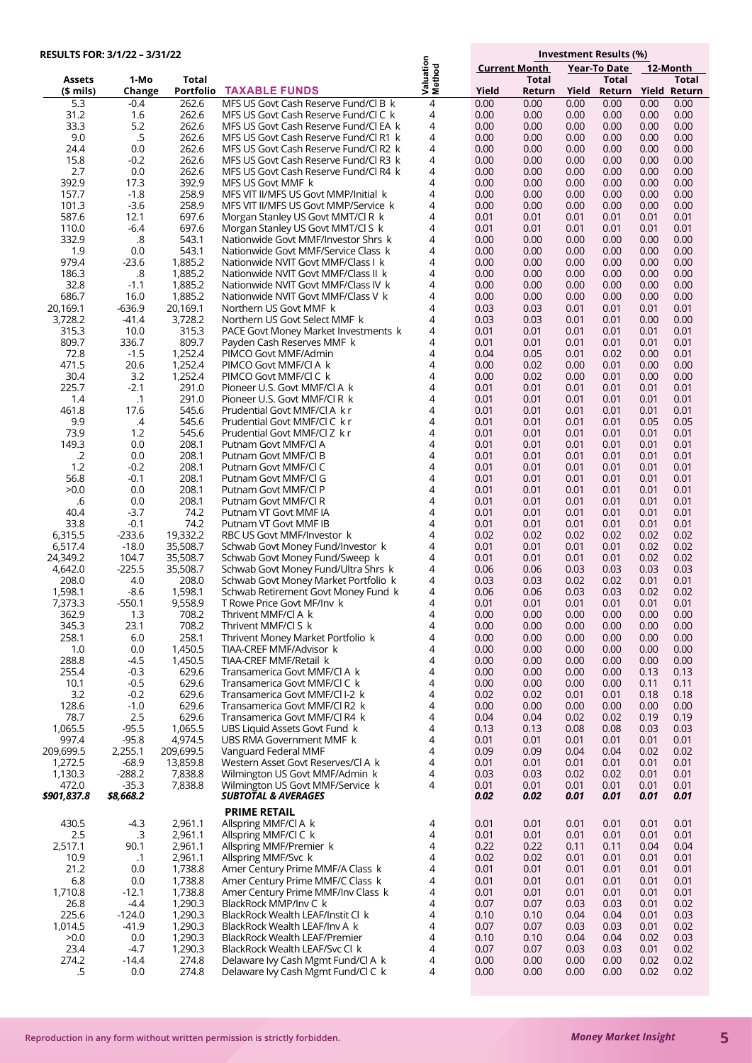| RESULTS FOR: 3/1/22 - 3/31/22 |                    |                      | Investment Results (%)                                                         |                     |              |                      |              |                     |                              |
|-------------------------------|--------------------|----------------------|--------------------------------------------------------------------------------|---------------------|--------------|----------------------|--------------|---------------------|------------------------------|
|                               |                    |                      |                                                                                |                     |              | <b>Current Month</b> |              | <b>Year-To Date</b> | 12-Month                     |
| Assets                        | 1-Mo               | <b>Total</b>         |                                                                                | Valuation<br>Method |              | <b>Total</b>         |              | <b>Total</b>        | Total                        |
| $$$ mils)                     | Change             | Portfolio            | <b>TAXABLE FUNDS</b>                                                           |                     | Yield        | Return               | Yield        |                     | Return Yield Return          |
| 5.3                           | $-0.4$             | 262.6                | MFS US Govt Cash Reserve Fund/Cl B k                                           | $\overline{4}$      | 0.00         | 0.00                 | 0.00         | 0.00                | 0.00<br>0.00                 |
| 31.2                          | 1.6                | 262.6                | MFS US Govt Cash Reserve Fund/CLC k                                            | 4                   | 0.00         | 0.00                 | 0.00         | 0.00                | 0.00<br>0.00                 |
| 33.3<br>9.0                   | 5.2<br>.5          | 262.6<br>262.6       | MFS US Govt Cash Reserve Fund/Cl EA k                                          | 4<br>4              | 0.00<br>0.00 | 0.00<br>0.00         | 0.00<br>0.00 | 0.00<br>0.00        | 0.00<br>0.00<br>0.00<br>0.00 |
| 24.4                          | 0.0                | 262.6                | MFS US Govt Cash Reserve Fund/Cl R1 k<br>MFS US Govt Cash Reserve Fund/Cl R2 k | 4                   | 0.00         | 0.00                 | 0.00         | 0.00                | 0.00<br>0.00                 |
| 15.8                          | $-0.2$             | 262.6                | MFS US Govt Cash Reserve Fund/Cl R3 k                                          | 4                   | 0.00         | 0.00                 | 0.00         | 0.00                | 0.00<br>0.00                 |
| 2.7                           | 0.0                | 262.6                | MFS US Govt Cash Reserve Fund/Cl R4 k                                          | 4                   | 0.00         | 0.00                 | 0.00         | 0.00                | 0.00<br>0.00                 |
| 392.9                         | 17.3               | 392.9                | MFS US Govt MMF k                                                              | 4                   | 0.00         | 0.00                 | 0.00         | 0.00                | 0.00<br>0.00                 |
| 157.7                         | $-1.8$             | 258.9                | MFS VIT II/MFS US Govt MMP/Initial k                                           | 4                   | 0.00         | 0.00                 | 0.00         | 0.00                | 0.00<br>0.00                 |
| 101.3                         | $-3.6$             | 258.9                | MFS VIT II/MFS US Govt MMP/Service k                                           | 4                   | 0.00         | 0.00                 | 0.00         | 0.00                | 0.00<br>0.00                 |
| 587.6                         | 12.1               | 697.6                | Morgan Stanley US Govt MMT/CLR k                                               | 4                   | 0.01         | 0.01                 | 0.01         | 0.01                | 0.01<br>0.01                 |
| 110.0<br>332.9                | $-6.4$<br>.8       | 697.6<br>543.1       | Morgan Stanley US Govt MMT/Cl S k<br>Nationwide Govt MMF/Investor Shrs k       | 4<br>4              | 0.01<br>0.00 | 0.01<br>0.00         | 0.01<br>0.00 | 0.01<br>0.00        | 0.01<br>0.01<br>0.00<br>0.00 |
| 1.9                           | 0.0                | 543.1                | Nationwide Govt MMF/Service Class k                                            | 4                   | 0.00         | 0.00                 | 0.00         | 0.00                | 0.00<br>0.00                 |
| 979.4                         | $-23.6$            | 1,885.2              | Nationwide NVIT Govt MMF/Class I k                                             | 4                   | 0.00         | 0.00                 | 0.00         | 0.00                | 0.00<br>0.00                 |
| 186.3                         | .8                 | 1,885.2              | Nationwide NVIT Govt MMF/Class II k                                            | 4                   | 0.00         | 0.00                 | 0.00         | 0.00                | 0.00<br>0.00                 |
| 32.8                          | $-1.1$             | 1,885.2              | Nationwide NVIT Govt MMF/Class IV k                                            | 4                   | 0.00         | 0.00                 | 0.00         | 0.00                | 0.00<br>0.00                 |
| 686.7                         | 16.0               | 1,885.2              | Nationwide NVIT Govt MMF/Class V k                                             | 4                   | 0.00         | 0.00                 | 0.00         | 0.00                | 0.00<br>0.00                 |
| 20,169.1                      | -636.9             | 20,169.1             | Northern US Govt MMF k                                                         | 4                   | 0.03         | 0.03                 | 0.01         | 0.01                | 0.01<br>0.01                 |
| 3,728.2                       | $-41.4$            | 3,728.2              | Northern US Govt Select MMF k                                                  | 4                   | 0.03         | 0.03                 | 0.01         | 0.01                | 0.00<br>0.00                 |
| 315.3                         | 10.0               | 315.3                | PACE Govt Money Market Investments k                                           | 4                   | 0.01         | 0.01                 | 0.01         | 0.01                | 0.01<br>0.01                 |
| 809.7<br>72.8                 | 336.7<br>$-1.5$    | 809.7<br>1,252.4     | Payden Cash Reserves MMF k<br>PIMCO Govt MMF/Admin                             | 4<br>4              | 0.01<br>0.04 | 0.01<br>0.05         | 0.01<br>0.01 | 0.01<br>0.02        | 0.01<br>0.01<br>0.00<br>0.01 |
| 471.5                         | 20.6               | 1,252.4              | PIMCO Govt MMF/CI A k                                                          | 4                   | 0.00         | 0.02                 | 0.00         | 0.01                | 0.00<br>0.00                 |
| 30.4                          | 3.2                | 1,252.4              | PIMCO Govt MMF/CI C k                                                          | 4                   | 0.00         | 0.02                 | 0.00         | 0.01                | 0.00<br>0.00                 |
| 225.7                         | $-2.1$             | 291.0                | Pioneer U.S. Govt MMF/Cl A k                                                   | 4                   | 0.01         | 0.01                 | 0.01         | 0.01                | 0.01<br>0.01                 |
| 1.4                           | .1                 | 291.0                | Pioneer U.S. Govt MMF/CLR k                                                    | 4                   | 0.01         | 0.01                 | 0.01         | 0.01                | 0.01<br>0.01                 |
| 461.8                         | 17.6               | 545.6                | Prudential Govt MMF/CLA k r                                                    | 4                   | 0.01         | 0.01                 | 0.01         | 0.01                | 0.01<br>0.01                 |
| 9.9                           | $\mathcal{A}$      | 545.6                | Prudential Govt MMF/Cl C k r                                                   | 4                   | 0.01         | 0.01                 | 0.01         | 0.01                | 0.05<br>0.05                 |
| 73.9                          | 1.2                | 545.6                | Prudential Govt MMF/Cl Z k r                                                   | 4                   | 0.01         | 0.01                 | 0.01         | 0.01                | 0.01<br>0.01                 |
| 149.3<br>.2                   | 0.0<br>0.0         | 208.1<br>208.1       | Putnam Govt MMF/CI A<br>Putnam Govt MMF/CI B                                   | 4<br>4              | 0.01<br>0.01 | 0.01<br>0.01         | 0.01<br>0.01 | 0.01<br>0.01        | 0.01<br>0.01<br>0.01<br>0.01 |
| 1.2                           | $-0.2$             | 208.1                | Putnam Govt MMF/CI C                                                           | 4                   | 0.01         | 0.01                 | 0.01         | 0.01                | 0.01<br>0.01                 |
| 56.8                          | $-0.1$             | 208.1                | Putnam Govt MMF/Cl G                                                           | 4                   | 0.01         | 0.01                 | 0.01         | 0.01                | 0.01<br>0.01                 |
| >0.0                          | 0.0                | 208.1                | Putnam Govt MMF/CI P                                                           | 4                   | 0.01         | 0.01                 | 0.01         | 0.01                | 0.01<br>0.01                 |
| .6                            | 0.0                | 208.1                | Putnam Govt MMF/CI R                                                           | 4                   | 0.01         | 0.01                 | 0.01         | 0.01                | 0.01<br>0.01                 |
| 40.4                          | $-3.7$             | 74.2                 | Putnam VT Govt MMF IA                                                          | 4                   | 0.01         | 0.01                 | 0.01         | 0.01                | 0.01<br>0.01                 |
| 33.8                          | $-0.1$             | 74.2                 | Putnam VT Govt MMF IB                                                          | 4                   | 0.01         | 0.01                 | 0.01         | 0.01                | 0.01<br>0.01                 |
| 6,315.5                       | $-233.6$           | 19,332.2             | RBC US Govt MMF/Investor k                                                     | 4                   | 0.02         | 0.02                 | 0.02         | 0.02                | 0.02<br>0.02                 |
| 6,517.4<br>24,349.2           | $-18.0$<br>104.7   | 35,508.7<br>35,508.7 | Schwab Govt Money Fund/Investor k<br>Schwab Govt Money Fund/Sweep k            | 4<br>4              | 0.01<br>0.01 | 0.01<br>0.01         | 0.01<br>0.01 | 0.01<br>0.01        | 0.02<br>0.02<br>0.02<br>0.02 |
| 4,642.0                       | $-225.5$           | 35,508.7             | Schwab Govt Money Fund/Ultra Shrs k                                            | 4                   | 0.06         | 0.06                 | 0.03         | 0.03                | 0.03<br>0.03                 |
| 208.0                         | 4.0                | 208.0                | Schwab Govt Money Market Portfolio k                                           | 4                   | 0.03         | 0.03                 | 0.02         | 0.02                | 0.01<br>0.01                 |
| 1,598.1                       | -8.6               | 1,598.1              | Schwab Retirement Govt Money Fund k                                            | 4                   | 0.06         | 0.06                 | 0.03         | 0.03                | 0.02<br>0.02                 |
| 7,373.3                       | $-550.1$           | 9,558.9              | T Rowe Price Govt MF/Inv k                                                     | 4                   | 0.01         | 0.01                 | 0.01         | 0.01                | 0.01<br>0.01                 |
| 362.9                         | 1.3                | /08.2                | Inrivent MMF/CIA K                                                             | 4                   | 0.00         | 0.00                 | 0.00         | 0.00                | 0.00<br>0.00                 |
| 345.3                         | 23.1               | 708.2                | Thrivent MMF/Cl S k                                                            | 4                   | 0.00         | 0.00                 | 0.00         | 0.00                | 0.00<br>0.00                 |
| 258.1<br>1.0                  | 6.0<br>0.0         | 258.1<br>1,450.5     | Thrivent Money Market Portfolio k<br>TIAA-CREF MMF/Advisor k                   | 4<br>4              | 0.00<br>0.00 | 0.00<br>0.00         | 0.00<br>0.00 | 0.00<br>0.00        | 0.00<br>0.00<br>0.00<br>0.00 |
| 288.8                         | $-4.5$             | 1,450.5              | TIAA-CREF MMF/Retail k                                                         | 4                   | 0.00         | 0.00                 | 0.00         | 0.00                | 0.00<br>0.00                 |
| 255.4                         | $-0.3$             | 629.6                | Transamerica Govt MMF/CI A k                                                   | 4                   | 0.00         | 0.00                 | 0.00         | 0.00                | 0.13<br>0.13                 |
| 10.1                          | $-0.5$             | 629.6                | Transamerica Govt MMF/CI C k                                                   | 4                   | 0.00         | 0.00                 | 0.00         | 0.00                | 0.11<br>0.11                 |
| 3.2                           | $-0.2$             | 629.6                | Transamerica Govt MMF/CII-2 k                                                  | 4                   | 0.02         | 0.02                 | 0.01         | 0.01                | 0.18<br>0.18                 |
| 128.6                         | $-1.0$             | 629.6                | Transamerica Govt MMF/Cl R2 k                                                  | 4                   | 0.00         | 0.00                 | 0.00         | 0.00                | 0.00<br>0.00                 |
| 78.7                          | 2.5                | 629.6                | Transamerica Govt MMF/Cl R4 k                                                  | 4                   | 0.04         | 0.04                 | 0.02         | 0.02                | 0.19<br>0.19                 |
| 1,065.5                       | $-95.5$            | 1,065.5              | UBS Liquid Assets Govt Fund k                                                  | 4                   | 0.13         | 0.13                 | 0.08         | 0.08                | 0.03<br>0.03                 |
| 997.4<br>209,699.5            | $-95.8$<br>2,255.1 | 4,974.5<br>209,699.5 | UBS RMA Government MMF k<br>Vanguard Federal MMF                               | 4<br>4              | 0.01<br>0.09 | 0.01<br>0.09         | 0.01<br>0.04 | 0.01<br>0.04        | 0.01<br>0.01<br>0.02<br>0.02 |
| 1,272.5                       | $-68.9$            | 13,859.8             | Western Asset Govt Reserves/Cl A k                                             | 4                   | 0.01         | 0.01                 | 0.01         | 0.01                | 0.01<br>0.01                 |
| 1,130.3                       | $-288.2$           | 7,838.8              | Wilmington US Govt MMF/Admin k                                                 | 4                   | 0.03         | 0.03                 | 0.02         | 0.02                | 0.01<br>0.01                 |
| 472.0                         | $-35.3$            | 7,838.8              | Wilmington US Govt MMF/Service k                                               | 4                   | 0.01         | 0.01                 | 0.01         | 0.01                | 0.01<br>0.01                 |
| \$901,837.8                   | \$8,668.2          |                      | <b>SUBTOTAL &amp; AVERAGES</b>                                                 |                     | 0.02         | 0.02                 | 0.01         | 0.01                | 0.01<br>0.01                 |
|                               |                    |                      | <b>PRIME RETAIL</b>                                                            |                     |              |                      |              |                     |                              |
| 430.5                         | $-4.3$             | 2,961.1              | Allspring MMF/CI A k                                                           | 4                   | 0.01         | 0.01                 | 0.01         | 0.01                | 0.01<br>0.01                 |
| 2.5                           | .3                 | 2,961.1              | Allspring MMF/Cl C k                                                           | 4                   | 0.01         | 0.01                 | 0.01         | 0.01                | 0.01<br>0.01                 |
| 2,517.1                       | 90.1               | 2,961.1              | Allspring MMF/Premier k                                                        | 4                   | 0.22         | 0.22                 | 0.11         | 0.11                | 0.04<br>0.04                 |
| 10.9                          | $\cdot$ 1          | 2,961.1              | Allspring MMF/Svc k                                                            | 4                   | 0.02         | 0.02                 | 0.01         | 0.01                | 0.01<br>0.01                 |
| 21.2                          | 0.0                | 1,738.8              | Amer Century Prime MMF/A Class k                                               | 4                   | 0.01         | 0.01                 | 0.01         | 0.01                | 0.01<br>0.01                 |
| 6.8<br>1,710.8                | 0.0<br>$-12.1$     | 1,738.8<br>1,738.8   | Amer Century Prime MMF/C Class k<br>Amer Century Prime MMF/Inv Class k         | 4<br>4              | 0.01<br>0.01 | 0.01<br>0.01         | 0.01<br>0.01 | 0.01<br>0.01        | 0.01<br>0.01<br>0.01<br>0.01 |
| 26.8                          | $-4.4$             | 1,290.3              | BlackRock MMP/Inv C k                                                          | 4                   | 0.07         | 0.07                 | 0.03         | 0.03                | 0.02<br>0.01                 |
| 225.6                         | $-124.0$           | 1,290.3              | BlackRock Wealth LEAF/Instit Cl k                                              | 4                   | 0.10         | 0.10                 | 0.04         | 0.04                | 0.03<br>0.01                 |
| 1,014.5                       | $-41.9$            | 1,290.3              | BlackRock Wealth LEAF/Inv A k                                                  | 4                   | 0.07         | 0.07                 | 0.03         | 0.03                | 0.02<br>0.01                 |
| >0.0                          | 0.0                | 1,290.3              | BlackRock Wealth LEAF/Premier                                                  | 4                   | 0.10         | 0.10                 | 0.04         | 0.04                | 0.03<br>0.02                 |
| 23.4                          | -4.7               | 1,290.3              | BlackRock Wealth LEAF/Svc Cl k                                                 | 4                   | 0.07         | 0.07                 | 0.03         | 0.03                | 0.02<br>0.01                 |
| 274.2                         | -14.4              | 274.8                | Delaware Ivy Cash Mgmt Fund/Cl A k                                             | 4                   | 0.00         | 0.00                 | 0.00         | 0.00                | 0.02<br>0.02                 |
| .5                            | 0.0                | 274.8                | Delaware Ivy Cash Mgmt Fund/Cl C k                                             | 4                   | 0.00         | 0.00                 | 0.00         | 0.00                | 0.02<br>0.02                 |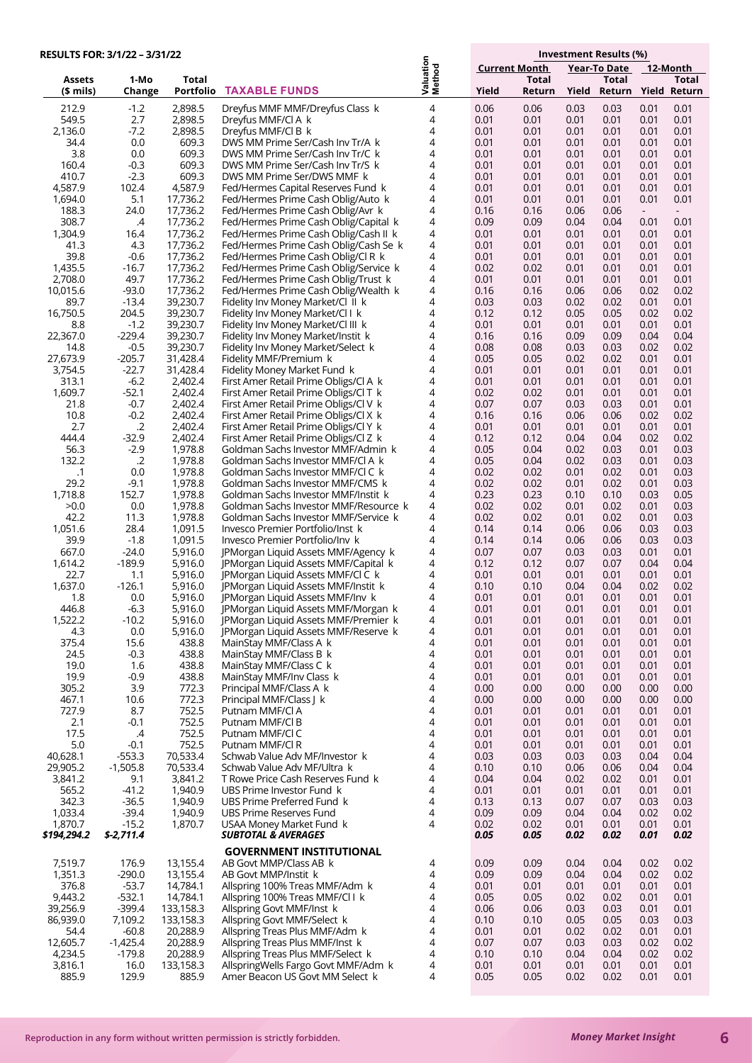|                      | RESULTS FOR: 3/1/22 - 3/31/22 |                       |                                                                             |                     |                      |              | Investment Results (%) |                     |                                  |                                  |
|----------------------|-------------------------------|-----------------------|-----------------------------------------------------------------------------|---------------------|----------------------|--------------|------------------------|---------------------|----------------------------------|----------------------------------|
|                      |                               |                       |                                                                             |                     | <b>Current Month</b> |              |                        | Year-To Date        |                                  | 12-Month                         |
| <b>Assets</b>        | 1-Mo                          | Total                 |                                                                             | Valuation<br>Method |                      | <b>Total</b> |                        | <b>Total</b>        |                                  | Total                            |
| $$$ mils)            | Change                        | Portfolio             | <b>TAXABLE FUNDS</b>                                                        |                     | Yield                | Return       | Yield                  | Return Yield Return |                                  |                                  |
| 212.9                | $-1.2$                        | 2,898.5               | Dreyfus MMF MMF/Dreyfus Class k                                             | 4                   | 0.06                 | 0.06         | 0.03                   | 0.03                | 0.01                             | 0.01                             |
| 549.5                | 2.7                           | 2,898.5               | Dreyfus MMF/CLA k                                                           | 4                   | 0.01                 | 0.01         | 0.01                   | 0.01                | 0.01                             | 0.01                             |
| 2,136.0<br>34.4      | $-7.2$<br>0.0                 | 2,898.5<br>609.3      | Dreyfus MMF/CLB k<br>DWS MM Prime Ser/Cash Inv Tr/A k                       | 4<br>4              | 0.01<br>0.01         | 0.01<br>0.01 | 0.01<br>0.01           | 0.01<br>0.01        | 0.01<br>0.01                     | 0.01<br>0.01                     |
| 3.8                  | 0.0                           | 609.3                 | DWS MM Prime Ser/Cash Inv Tr/C k                                            | 4                   | 0.01                 | 0.01         | 0.01                   | 0.01                | 0.01                             | 0.01                             |
| 160.4                | $-0.3$                        | 609.3                 | DWS MM Prime Ser/Cash Inv Tr/S k                                            | 4                   | 0.01                 | 0.01         | 0.01                   | 0.01                | 0.01                             | 0.01                             |
| 410.7                | $-2.3$                        | 609.3                 | DWS MM Prime Ser/DWS MMF k                                                  | 4                   | 0.01                 | 0.01         | 0.01                   | 0.01                | 0.01                             | 0.01                             |
| 4,587.9              | 102.4                         | 4,587.9               | Fed/Hermes Capital Reserves Fund k                                          | 4                   | 0.01                 | 0.01         | 0.01                   | 0.01                | 0.01                             | 0.01                             |
| 1,694.0              | 5.1                           | 17,736.2              | Fed/Hermes Prime Cash Oblig/Auto k                                          | 4                   | 0.01                 | 0.01         | 0.01                   | 0.01                | 0.01                             | 0.01                             |
| 188.3<br>308.7       | 24.0<br>.4                    | 17,736.2<br>17,736.2  | Fed/Hermes Prime Cash Oblig/Avr k<br>Fed/Hermes Prime Cash Oblig/Capital k  | 4<br>4              | 0.16<br>0.09         | 0.16<br>0.09 | 0.06<br>0.04           | 0.06<br>0.04        | $\overline{\phantom{a}}$<br>0.01 | $\overline{\phantom{a}}$<br>0.01 |
| 1,304.9              | 16.4                          | 17,736.2              | Fed/Hermes Prime Cash Oblig/Cash II k                                       | 4                   | 0.01                 | 0.01         | 0.01                   | 0.01                | 0.01                             | 0.01                             |
| 41.3                 | 4.3                           | 17,736.2              | Fed/Hermes Prime Cash Oblig/Cash Se k                                       | 4                   | 0.01                 | 0.01         | 0.01                   | 0.01                | 0.01                             | 0.01                             |
| 39.8                 | $-0.6$                        | 17,736.2              | Fed/Hermes Prime Cash Oblig/Cl R k                                          | 4                   | 0.01                 | 0.01         | 0.01                   | 0.01                | 0.01                             | 0.01                             |
| 1,435.5              | $-16.7$                       | 17,736.2              | Fed/Hermes Prime Cash Oblig/Service k                                       | 4                   | 0.02                 | 0.02         | 0.01                   | 0.01                | 0.01                             | 0.01                             |
| 2,708.0              | 49.7                          | 17,736.2              | Fed/Hermes Prime Cash Oblig/Trust k                                         | 4<br>4              | 0.01                 | 0.01         | 0.01                   | 0.01                | 0.01                             | 0.01                             |
| 10,015.6<br>89.7     | $-93.0$<br>$-13.4$            | 17,736.2<br>39,230.7  | Fed/Hermes Prime Cash Oblig/Wealth k<br>Fidelity Inv Money Market/Cl II k   | 4                   | 0.16<br>0.03         | 0.16<br>0.03 | 0.06<br>0.02           | 0.06<br>0.02        | 0.02<br>0.01                     | 0.02<br>0.01                     |
| 16,750.5             | 204.5                         | 39,230.7              | Fidelity Inv Money Market/Cl I k                                            | 4                   | 0.12                 | 0.12         | 0.05                   | 0.05                | 0.02                             | 0.02                             |
| 8.8                  | $-1.2$                        | 39,230.7              | Fidelity Inv Money Market/Cl III k                                          | 4                   | 0.01                 | 0.01         | 0.01                   | 0.01                | 0.01                             | 0.01                             |
| 22,367.0             | $-229.4$                      | 39,230.7              | Fidelity Inv Money Market/Instit k                                          | 4                   | 0.16                 | 0.16         | 0.09                   | 0.09                | 0.04                             | 0.04                             |
| 14.8                 | $-0.5$                        | 39,230.7              | Fidelity Inv Money Market/Select k                                          | 4                   | 0.08                 | 0.08         | 0.03                   | 0.03                | 0.02                             | 0.02                             |
| 27,673.9             | $-205.7$                      | 31,428.4              | Fidelity MMF/Premium k                                                      | 4                   | 0.05                 | 0.05         | 0.02                   | 0.02                | 0.01                             | 0.01                             |
| 3,754.5<br>313.1     | $-22.7$<br>$-6.2$             | 31,428.4<br>2,402.4   | Fidelity Money Market Fund k<br>First Amer Retail Prime Obligs/Cl A k       | 4<br>4              | 0.01<br>0.01         | 0.01<br>0.01 | 0.01<br>0.01           | 0.01<br>0.01        | 0.01<br>0.01                     | 0.01<br>0.01                     |
| 1,609.7              | $-52.1$                       | 2,402.4               | First Amer Retail Prime Obligs/Cl T k                                       | 4                   | 0.02                 | 0.02         | 0.01                   | 0.01                | 0.01                             | 0.01                             |
| 21.8                 | $-0.7$                        | 2,402.4               | First Amer Retail Prime Obligs/Cl V k                                       | 4                   | 0.07                 | 0.07         | 0.03                   | 0.03                | 0.01                             | 0.01                             |
| 10.8                 | $-0.2$                        | 2,402.4               | First Amer Retail Prime Obligs/Cl X k                                       | 4                   | 0.16                 | 0.16         | 0.06                   | 0.06                | 0.02                             | 0.02                             |
| 2.7                  | $\cdot$ .2                    | 2,402.4               | First Amer Retail Prime Obligs/Cl Y k                                       | 4                   | 0.01                 | 0.01         | 0.01                   | 0.01                | 0.01                             | 0.01                             |
| 444.4                | $-32.9$                       | 2,402.4               | First Amer Retail Prime Obligs/Cl Z k                                       | 4                   | 0.12                 | 0.12         | 0.04                   | 0.04                | 0.02                             | 0.02                             |
| 56.3                 | $-2.9$                        | 1,978.8               | Goldman Sachs Investor MMF/Admin k                                          | 4<br>4              | 0.05                 | 0.04         | 0.02                   | 0.03                | 0.01                             | 0.03                             |
| 132.2<br>.1          | $\cdot$ .2<br>0.0             | 1,978.8<br>1,978.8    | Goldman Sachs Investor MMF/Cl A k<br>Goldman Sachs Investor MMF/Cl C k      | 4                   | 0.05<br>0.02         | 0.04<br>0.02 | 0.02<br>0.01           | 0.03<br>0.02        | 0.01<br>0.01                     | 0.03<br>0.03                     |
| 29.2                 | $-9.1$                        | 1,978.8               | Goldman Sachs Investor MMF/CMS k                                            | 4                   | 0.02                 | 0.02         | 0.01                   | 0.02                | 0.01                             | 0.03                             |
| 1,718.8              | 152.7                         | 1,978.8               | Goldman Sachs Investor MMF/Instit k                                         | 4                   | 0.23                 | 0.23         | 0.10                   | 0.10                | 0.03                             | 0.05                             |
| >0.0                 | 0.0                           | 1,978.8               | Goldman Sachs Investor MMF/Resource k                                       | 4                   | 0.02                 | 0.02         | 0.01                   | 0.02                | 0.01                             | 0.03                             |
| 42.2                 | 11.3                          | 1,978.8               | Goldman Sachs Investor MMF/Service k                                        | 4                   | 0.02                 | 0.02         | 0.01                   | 0.02                | 0.01                             | 0.03                             |
| 1,051.6<br>39.9      | 28.4<br>$-1.8$                | 1,091.5<br>1,091.5    | Invesco Premier Portfolio/Inst k                                            | 4<br>4              | 0.14                 | 0.14<br>0.14 | 0.06                   | 0.06                | 0.03                             | 0.03<br>0.03                     |
| 667.0                | $-24.0$                       | 5,916.0               | Invesco Premier Portfolio/Inv k<br>JPMorgan Liquid Assets MMF/Agency k      | 4                   | 0.14<br>0.07         | 0.07         | 0.06<br>0.03           | 0.06<br>0.03        | 0.03<br>0.01                     | 0.01                             |
| 1,614.2              | $-189.9$                      | 5,916.0               | JPMorgan Liquid Assets MMF/Capital k                                        | 4                   | 0.12                 | 0.12         | 0.07                   | 0.07                | 0.04                             | 0.04                             |
| 22.7                 | 1.1                           | 5,916.0               | JPMorgan Liquid Assets MMF/CI C k                                           | 4                   | 0.01                 | 0.01         | 0.01                   | 0.01                | 0.01                             | 0.01                             |
| 1,637.0              | $-126.1$                      | 5,916.0               | JPMorgan Liquid Assets MMF/Instit k                                         | 4                   | 0.10                 | 0.10         | 0.04                   | 0.04                | 0.02                             | 0.02                             |
| 1.8                  | 0.0                           | 5,916.0               | JPMorgan Liquid Assets MMF/Inv k                                            | 4                   | 0.01                 | 0.01         | 0.01                   | 0.01                | 0.01                             | 0.01                             |
| 446.8<br>1,522.2     | $-6.3$<br>$-10.2$             | 5,916.0<br>5,916.0    | JPMorgan Liquid Assets MMF/Morgan k<br>JPMorgan Liquid Assets MMF/Premier k | 4<br>4              | 0.01<br>0.01         | 0.01<br>0.01 | 0.01<br>0.01           | 0.01<br>0.01        | 0.01<br>0.01                     | 0.01<br>0.01                     |
| 4.3                  | 0.0                           | 5,916.0               | JPMorgan Liquid Assets MMF/Reserve k                                        | 4                   | 0.01                 | 0.01         | 0.01                   | 0.01                | 0.01                             | 0.01                             |
| 375.4                | 15.6                          | 438.8                 | MainStay MMF/Class A k                                                      | 4                   | 0.01                 | 0.01         | 0.01                   | 0.01                | 0.01                             | 0.01                             |
| 24.5                 | $-0.3$                        | 438.8                 | MainStay MMF/Class B k                                                      | 4                   | 0.01                 | 0.01         | 0.01                   | 0.01                | 0.01                             | 0.01                             |
| 19.0                 | 1.6                           | 438.8                 | MainStay MMF/Class C k                                                      | 4                   | 0.01                 | 0.01         | 0.01                   | 0.01                | 0.01                             | 0.01                             |
| 19.9                 | $-0.9$                        | 438.8                 | MainStay MMF/Inv Class k                                                    | 4                   | 0.01                 | 0.01         | 0.01                   | 0.01                | 0.01                             | 0.01                             |
| 305.2<br>467.1       | 3.9<br>10.6                   | 772.3<br>772.3        | Principal MMF/Class A k<br>Principal MMF/Class J k                          | 4<br>4              | 0.00<br>0.00         | 0.00<br>0.00 | 0.00<br>0.00           | 0.00<br>0.00        | 0.00<br>0.00                     | 0.00<br>0.00                     |
| 727.9                | 8.7                           | 752.5                 | Putnam MMF/Cl A                                                             | 4                   | 0.01                 | 0.01         | 0.01                   | 0.01                | 0.01                             | 0.01                             |
| 2.1                  | $-0.1$                        | 752.5                 | Putnam MMF/Cl B                                                             | 4                   | 0.01                 | 0.01         | 0.01                   | 0.01                | 0.01                             | 0.01                             |
| 17.5                 | $\mathcal{A}$                 | 752.5                 | Putnam MMF/Cl C                                                             | 4                   | 0.01                 | 0.01         | 0.01                   | 0.01                | 0.01                             | 0.01                             |
| 5.0                  | $-0.1$                        | 752.5                 | Putnam MMF/Cl R                                                             | 4                   | 0.01                 | 0.01         | 0.01                   | 0.01                | 0.01                             | 0.01                             |
| 40,628.1<br>29,905.2 | $-553.3$<br>$-1,505.8$        | 70,533.4<br>70,533.4  | Schwab Value Adv MF/Investor k<br>Schwab Value Adv MF/Ultra k               | 4<br>4              | 0.03<br>0.10         | 0.03<br>0.10 | 0.03<br>0.06           | 0.03<br>0.06        | 0.04<br>0.04                     | 0.04<br>0.04                     |
| 3,841.2              | 9.1                           | 3,841.2               | T Rowe Price Cash Reserves Fund k                                           | 4                   | 0.04                 | 0.04         | 0.02                   | 0.02                | 0.01                             | 0.01                             |
| 565.2                | $-41.2$                       | 1,940.9               | UBS Prime Investor Fund k                                                   | 4                   | 0.01                 | 0.01         | 0.01                   | 0.01                | 0.01                             | 0.01                             |
| 342.3                | $-36.5$                       | 1,940.9               | UBS Prime Preferred Fund k                                                  | 4                   | 0.13                 | 0.13         | 0.07                   | 0.07                | 0.03                             | 0.03                             |
| 1,033.4              | $-39.4$                       | 1,940.9               | UBS Prime Reserves Fund                                                     | 4                   | 0.09                 | 0.09         | 0.04                   | 0.04                | 0.02                             | 0.02                             |
| 1,870.7              | $-15.2$                       | 1,870.7               | USAA Money Market Fund k                                                    | 4                   | 0.02                 | 0.02         | 0.01                   | 0.01                | 0.01                             | 0.01                             |
| \$194,294.2          | \$-2,711.4                    |                       | <b>SUBTOTAL &amp; AVERAGES</b>                                              |                     | 0.05                 | 0.05         | 0.02                   | 0.02                | 0.01                             | 0.02                             |
|                      |                               |                       | <b>GOVERNMENT INSTITUTIONAL</b>                                             |                     |                      |              |                        |                     |                                  |                                  |
| 7,519.7<br>1,351.3   | 176.9<br>$-290.0$             | 13,155.4<br>13,155.4  | AB Govt MMP/Class AB k                                                      | 4<br>4              | 0.09<br>0.09         | 0.09<br>0.09 | 0.04<br>0.04           | 0.04<br>0.04        | 0.02<br>0.02                     | 0.02<br>0.02                     |
| 376.8                | $-53.7$                       | 14,784.1              | AB Govt MMP/Instit k<br>Allspring 100% Treas MMF/Adm k                      | 4                   | 0.01                 | 0.01         | 0.01                   | 0.01                | 0.01                             | 0.01                             |
| 9,443.2              | $-532.1$                      | 14,784.1              | Allspring 100% Treas MMF/Cl Lk                                              | 4                   | 0.05                 | 0.05         | 0.02                   | 0.02                | 0.01                             | 0.01                             |
| 39,256.9             | $-399.4$                      | 133,158.3             | Allspring Govt MMF/Inst k                                                   | 4                   | 0.06                 | 0.06         | 0.03                   | 0.03                | 0.01                             | 0.01                             |
| 86,939.0             | 7,109.2                       | 133,158.3             | Allspring Govt MMF/Select k                                                 | 4                   | 0.10                 | 0.10         | 0.05                   | 0.05                | 0.03                             | 0.03                             |
| 54.4                 | $-60.8$                       | 20,288.9              | Allspring Treas Plus MMF/Adm k                                              | 4                   | 0.01                 | 0.01         | 0.02                   | 0.02                | 0.01                             | 0.01                             |
| 12,605.7             | $-1,425.4$                    | 20,288.9              | Allspring Treas Plus MMF/Inst k                                             | 4<br>4              | 0.07                 | 0.07         | 0.03                   | 0.03                | 0.02                             | 0.02                             |
| 4,234.5<br>3,816.1   | $-179.8$<br>16.0              | 20,288.9<br>133,158.3 | Allspring Treas Plus MMF/Select k<br>AllspringWells Fargo Govt MMF/Adm k    | 4                   | 0.10<br>0.01         | 0.10<br>0.01 | 0.04<br>0.01           | 0.04<br>0.01        | 0.02<br>0.01                     | 0.02<br>0.01                     |
| 885.9                | 129.9                         | 885.9                 | Amer Beacon US Govt MM Select k                                             | 4                   | 0.05                 | 0.05         | 0.02                   | 0.02                | 0.01                             | 0.01                             |

**6**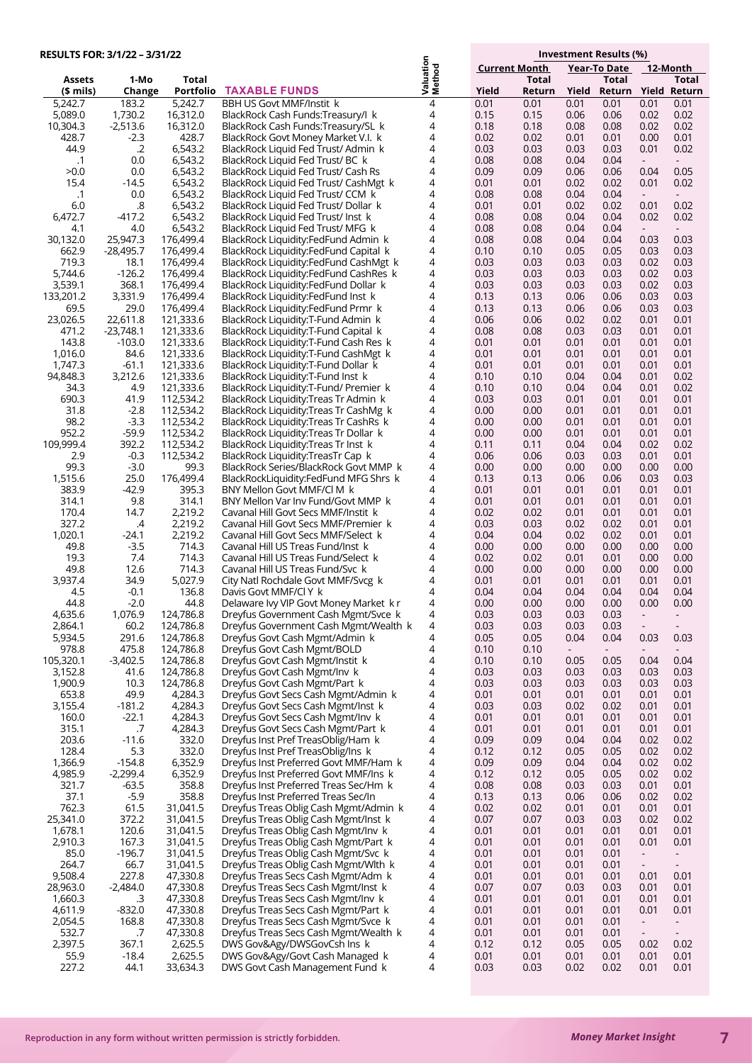| RESULTS FOR: 3/1/22 - 3/31/22 |                     |                        |                                                                               |                     |                      |              | Investment Results (%)   |                     |                          |                                  |
|-------------------------------|---------------------|------------------------|-------------------------------------------------------------------------------|---------------------|----------------------|--------------|--------------------------|---------------------|--------------------------|----------------------------------|
|                               |                     |                        |                                                                               |                     | <b>Current Month</b> |              |                          | <b>Year-To Date</b> | 12-Month                 |                                  |
| <b>Assets</b>                 | 1-Mo                | Total                  |                                                                               | Valuation<br>Method |                      | <b>Total</b> |                          | Total               |                          | Total                            |
| (\$ mils)                     | Change              | Portfolio              | <b>TAXABLE FUNDS</b>                                                          |                     | Yield                | Return       | Yield                    | Return Yield Return |                          |                                  |
| 5,242.7                       | 183.2               | 5,242.7                | <b>BBH US Govt MMF/Instit k</b>                                               | 4                   | 0.01                 | 0.01         | 0.01                     | 0.01                | 0.01                     | 0.01                             |
| 5,089.0                       | 1,730.2             | 16,312.0               | BlackRock Cash Funds:Treasury/I k                                             | 4<br>4              | 0.15                 | 0.15         | 0.06                     | 0.06                | 0.02                     | 0.02                             |
| 10,304.3<br>428.7             | $-2,513.6$<br>-2.3  | 16,312.0<br>428.7      | BlackRock Cash Funds:Treasury/SL k<br>BlackRock Govt Money Market V.I. k      | 4                   | 0.18<br>0.02         | 0.18<br>0.02 | 0.08<br>0.01             | 0.08<br>0.01        | 0.02<br>0.00             | 0.02<br>0.01                     |
| 44.9                          | $\cdot$ .2          | 6,543.2                | BlackRock Liquid Fed Trust/Admin k                                            | 4                   | 0.03                 | 0.03         | 0.03                     | 0.03                | 0.01                     | 0.02                             |
| $\cdot$ 1                     | 0.0                 | 6,543.2                | BlackRock Liquid Fed Trust/ BC k                                              | 4                   | 0.08                 | 0.08         | 0.04                     | 0.04                | $\sim$                   | $\overline{\phantom{a}}$         |
| >0.0                          | 0.0                 | 6,543.2                | BlackRock Liquid Fed Trust/ Cash Rs                                           | 4                   | 0.09                 | 0.09         | 0.06                     | 0.06                | 0.04                     | 0.05                             |
| 15.4                          | $-14.5$             | 6,543.2                | BlackRock Liquid Fed Trust/ CashMgt k                                         | 4                   | 0.01                 | 0.01         | 0.02                     | 0.02                | 0.01                     | 0.02                             |
| $\cdot$ 1                     | 0.0                 | 6,543.2                | BlackRock Liquid Fed Trust/ CCM k                                             | 4                   | 0.08                 | 0.08         | 0.04                     | 0.04                | $\sim$                   | $\overline{\phantom{a}}$         |
| 6.0                           | .8                  | 6,543.2                | BlackRock Liquid Fed Trust/ Dollar k                                          | 4                   | 0.01                 | 0.01         | 0.02                     | 0.02                | 0.01                     | 0.02                             |
| 6.472.7                       | -417.2              | 6,543.2                | BlackRock Liquid Fed Trust/ Inst k                                            | 4                   | 0.08                 | 0.08         | 0.04                     | 0.04                | 0.02                     | 0.02                             |
| 4.1<br>30,132.0               | 4.0<br>25,947.3     | 6,543.2<br>176,499.4   | BlackRock Liquid Fed Trust/MFG k<br>BlackRock Liquidity:FedFund Admin k       | 4<br>4              | 0.08<br>0.08         | 0.08<br>0.08 | 0.04<br>0.04             | 0.04<br>0.04        | $\sim$<br>0.03           | $\overline{\phantom{a}}$<br>0.03 |
| 662.9                         | $-28,495.7$         | 176,499.4              | BlackRock Liquidity:FedFund Capital k                                         | 4                   | 0.10                 | 0.10         | 0.05                     | 0.05                | 0.03                     | 0.03                             |
| 719.3                         | 18.1                | 176,499.4              | BlackRock Liquidity:FedFund CashMgt k                                         | 4                   | 0.03                 | 0.03         | 0.03                     | 0.03                | 0.02                     | 0.03                             |
| 5,744.6                       | $-126.2$            | 176,499.4              | BlackRock Liquidity:FedFund CashRes k                                         | 4                   | 0.03                 | 0.03         | 0.03                     | 0.03                | 0.02                     | 0.03                             |
| 3,539.1                       | 368.1               | 176,499.4              | BlackRock Liquidity:FedFund Dollar k                                          | 4                   | 0.03                 | 0.03         | 0.03                     | 0.03                | 0.02                     | 0.03                             |
| 133,201.2                     | 3,331.9             | 176,499.4              | BlackRock Liquidity:FedFund Inst k                                            | 4                   | 0.13                 | 0.13         | 0.06                     | 0.06                | 0.03                     | 0.03                             |
| 69.5                          | 29.0                | 176,499.4              | BlackRock Liquidity:FedFund Prmr k                                            | 4                   | 0.13                 | 0.13         | 0.06                     | 0.06                | 0.03                     | 0.03                             |
| 23,026.5                      | 22,611.8            | 121,333.6              | BlackRock Liquidity: T-Fund Admin k                                           | 4                   | 0.06                 | 0.06         | 0.02                     | 0.02                | 0.01                     | 0.01                             |
| 471.2                         | $-23,748.1$         | 121,333.6              | BlackRock Liquidity: T-Fund Capital k                                         | 4                   | 0.08                 | 0.08         | 0.03                     | 0.03                | 0.01                     | 0.01                             |
| 143.8                         | $-103.0$            | 121,333.6              | BlackRock Liquidity: T-Fund Cash Res k                                        | 4                   | 0.01                 | 0.01         | 0.01                     | 0.01                | 0.01                     | 0.01                             |
| 1,016.0<br>1,747.3            | 84.6<br>$-61.1$     | 121,333.6<br>121,333.6 | BlackRock Liquidity: T-Fund CashMgt k<br>BlackRock Liquidity: T-Fund Dollar k | 4<br>4              | 0.01                 | 0.01<br>0.01 | 0.01                     | 0.01<br>0.01        | 0.01<br>0.01             | 0.01<br>0.01                     |
| 94,848.3                      | 3,212.6             | 121,333.6              | BlackRock Liquidity: T-Fund Inst k                                            | 4                   | 0.01<br>0.10         | 0.10         | 0.01<br>0.04             | 0.04                | 0.01                     | 0.02                             |
| 34.3                          | 4.9                 | 121,333.6              | BlackRock Liquidity:T-Fund/ Premier k                                         | 4                   | 0.10                 | 0.10         | 0.04                     | 0.04                | 0.01                     | 0.02                             |
| 690.3                         | 41.9                | 112,534.2              | BlackRock Liquidity: Treas Tr Admin k                                         | 4                   | 0.03                 | 0.03         | 0.01                     | 0.01                | 0.01                     | 0.01                             |
| 31.8                          | $-2.8$              | 112,534.2              | BlackRock Liquidity: Treas Tr CashMg k                                        | 4                   | 0.00                 | 0.00         | 0.01                     | 0.01                | 0.01                     | 0.01                             |
| 98.2                          | $-3.3$              | 112,534.2              | BlackRock Liquidity:Treas Tr CashRs k                                         | 4                   | 0.00                 | 0.00         | 0.01                     | 0.01                | 0.01                     | 0.01                             |
| 952.2                         | $-59.9$             | 112,534.2              | BlackRock Liquidity: Treas Tr Dollar k                                        | 4                   | 0.00                 | 0.00         | 0.01                     | 0.01                | 0.01                     | 0.01                             |
| 109,999.4                     | 392.2               | 112,534.2              | BlackRock Liquidity: Treas Tr Inst k                                          | 4                   | 0.11                 | 0.11         | 0.04                     | 0.04                | 0.02                     | 0.02                             |
| 2.9                           | $-0.3$              | 112,534.2              | BlackRock Liquidity:TreasTr Cap k                                             | 4                   | 0.06                 | 0.06         | 0.03                     | 0.03                | 0.01                     | 0.01                             |
| 99.3                          | $-3.0$              | 99.3                   | BlackRock Series/BlackRock Govt MMP k                                         | 4                   | 0.00                 | 0.00         | 0.00                     | 0.00                | 0.00                     | 0.00                             |
| 1,515.6<br>383.9              | 25.0<br>$-42.9$     | 176,499.4<br>395.3     | BlackRockLiquidity:FedFund MFG Shrs k                                         | 4<br>4              | 0.13<br>0.01         | 0.13<br>0.01 | 0.06<br>0.01             | 0.06<br>0.01        | 0.03<br>0.01             | 0.03<br>0.01                     |
| 314.1                         | 9.8                 | 314.1                  | BNY Mellon Govt MMF/Cl M k<br>BNY Mellon Var Inv Fund/Govt MMP k              | 4                   | 0.01                 | 0.01         | 0.01                     | 0.01                | 0.01                     | 0.01                             |
| 170.4                         | 14.7                | 2,219.2                | Cavanal Hill Govt Secs MMF/Instit k                                           | 4                   | 0.02                 | 0.02         | 0.01                     | 0.01                | 0.01                     | 0.01                             |
| 327.2                         | .4                  | 2,219.2                | Cavanal Hill Govt Secs MMF/Premier k                                          | 4                   | 0.03                 | 0.03         | 0.02                     | 0.02                | 0.01                     | 0.01                             |
| 1,020.1                       | $-24.1$             | 2,219.2                | Cavanal Hill Govt Secs MMF/Select k                                           | 4                   | 0.04                 | 0.04         | 0.02                     | 0.02                | 0.01                     | 0.01                             |
| 49.8                          | $-3.5$              | 714.3                  | Cavanal Hill US Treas Fund/Inst k                                             | 4                   | 0.00                 | 0.00         | 0.00                     | 0.00                | 0.00                     | 0.00                             |
| 19.3                          | 7.4                 | 714.3                  | Cavanal Hill US Treas Fund/Select k                                           | 4                   | 0.02                 | 0.02         | 0.01                     | 0.01                | 0.00                     | 0.00                             |
| 49.8                          | 12.6                | 714.3                  | Cavanal Hill US Treas Fund/Svc k                                              | 4                   | 0.00                 | 0.00         | 0.00                     | 0.00                | 0.00                     | 0.00                             |
| 3,937.4                       | 34.9                | 5,027.9                | City Natl Rochdale Govt MMF/Svcg k                                            | 4                   | 0.01                 | 0.01         | 0.01                     | 0.01                | 0.01                     | 0.01                             |
| 4.5<br>44.8                   | -0.1<br>$-2.0$      | 136.8<br>44.8          | Davis Govt MMF/Cl Y k<br>Delaware Ivy VIP Govt Money Market k r               | 4<br>4              | 0.04<br>0.00         | 0.04<br>0.00 | 0.04<br>0.00             | 0.04<br>0.00        | 0.04<br>0.00             | 0.04<br>0.00                     |
| 4,635.6                       | 1,076.9             | 124,786.8              | Dreyfus Government Cash Mgmt/Svce k                                           | 4                   | 0.03                 | 0.03         | 0.03                     | 0.03                |                          |                                  |
| 2,864.1                       | 60.2                | 124,786.8              | Dreyfus Government Cash Mgmt/Wealth k                                         | 4                   | 0.03                 | 0.03         | 0.03                     | 0.03                |                          |                                  |
| 5,934.5                       | 291.6               | 124,786.8              | Dreyfus Govt Cash Mgmt/Admin k                                                | 4                   | 0.05                 | 0.05         | 0.04                     | 0.04                | 0.03                     | 0.03                             |
| 978.8                         | 475.8               | 124,786.8              | Dreyfus Govt Cash Mgmt/BOLD                                                   | 4                   | 0.10                 | 0.10         | $\overline{\phantom{a}}$ |                     |                          |                                  |
| 105,320.1                     | $-3,402.5$          | 124,786.8              | Dreyfus Govt Cash Mgmt/Instit k                                               | 4                   | 0.10                 | 0.10         | 0.05                     | 0.05                | 0.04                     | 0.04                             |
| 3,152.8                       | 41.6                | 124,786.8              | Dreyfus Govt Cash Mgmt/Inv k                                                  | 4                   | 0.03                 | 0.03         | 0.03                     | 0.03                | 0.03                     | 0.03                             |
| 1,900.9                       | 10.3                | 124,786.8              | Dreyfus Govt Cash Mgmt/Part k                                                 | 4                   | 0.03                 | 0.03         | 0.03                     | 0.03                | 0.03                     | 0.03                             |
| 653.8                         | 49.9                | 4,284.3                | Dreyfus Govt Secs Cash Mgmt/Admin k                                           | 4                   | 0.01                 | 0.01         | 0.01                     | 0.01                | 0.01                     | 0.01                             |
| 3,155.4<br>160.0              | $-181.2$<br>$-22.1$ | 4,284.3<br>4,284.3     | Dreyfus Govt Secs Cash Mgmt/Inst k<br>Dreyfus Govt Secs Cash Mgmt/Inv k       | 4<br>4              | 0.03<br>0.01         | 0.03<br>0.01 | 0.02<br>0.01             | 0.02<br>0.01        | 0.01<br>0.01             | 0.01<br>0.01                     |
| 315.1                         | .7                  | 4,284.3                | Dreyfus Govt Secs Cash Mgmt/Part k                                            | 4                   | 0.01                 | 0.01         | 0.01                     | 0.01                | 0.01                     | 0.01                             |
| 203.6                         | $-11.6$             | 332.0                  | Dreyfus Inst Pref TreasOblig/Ham k                                            | 4                   | 0.09                 | 0.09         | 0.04                     | 0.04                | 0.02                     | 0.02                             |
| 128.4                         | 5.3                 | 332.0                  | Dreyfus Inst Pref TreasOblig/Ins k                                            | 4                   | 0.12                 | 0.12         | 0.05                     | 0.05                | 0.02                     | 0.02                             |
| 1,366.9                       | $-154.8$            | 6,352.9                | Dreyfus Inst Preferred Govt MMF/Ham k                                         | 4                   | 0.09                 | 0.09         | 0.04                     | 0.04                | 0.02                     | 0.02                             |
| 4,985.9                       | $-2,299.4$          | 6,352.9                | Dreyfus Inst Preferred Govt MMF/Ins k                                         | 4                   | 0.12                 | 0.12         | 0.05                     | 0.05                | 0.02                     | 0.02                             |
| 321.7                         | $-63.5$             | 358.8                  | Dreyfus Inst Preferred Treas Sec/Hm k                                         | 4                   | 0.08                 | 0.08         | 0.03                     | 0.03                | 0.01                     | 0.01                             |
| 37.1                          | $-5.9$              | 358.8                  | Dreyfus Inst Preferred Treas Sec/In                                           | 4                   | 0.13                 | 0.13         | 0.06                     | 0.06                | 0.02                     | 0.02                             |
| 762.3                         | 61.5                | 31,041.5               | Dreyfus Treas Oblig Cash Mgmt/Admin k                                         | 4                   | 0.02                 | 0.02         | 0.01                     | 0.01                | 0.01                     | 0.01                             |
| 25,341.0<br>1,678.1           | 372.2<br>120.6      | 31,041.5<br>31,041.5   | Dreyfus Treas Oblig Cash Mgmt/Inst k<br>Dreyfus Treas Oblig Cash Mgmt/Inv k   | 4<br>4              | 0.07<br>0.01         | 0.07<br>0.01 | 0.03<br>0.01             | 0.03<br>0.01        | 0.02<br>0.01             | 0.02<br>0.01                     |
| 2,910.3                       | 167.3               | 31,041.5               | Dreyfus Treas Oblig Cash Mgmt/Part k                                          | 4                   | 0.01                 | 0.01         | 0.01                     | 0.01                | 0.01                     | 0.01                             |
| 85.0                          | $-196.7$            | 31,041.5               | Dreyfus Treas Oblig Cash Mgmt/Svc k                                           | 4                   | 0.01                 | 0.01         | 0.01                     | 0.01                | $\blacksquare$           | $\overline{\phantom{a}}$         |
| 264.7                         | 66.7                | 31,041.5               | Dreyfus Treas Oblig Cash Mgmt/Wlth k                                          | 4                   | 0.01                 | 0.01         | 0.01                     | 0.01                | $\overline{\phantom{a}}$ | $\sim$                           |
| 9,508.4                       | 227.8               | 47,330.8               | Dreyfus Treas Secs Cash Mgmt/Adm k                                            | 4                   | 0.01                 | 0.01         | 0.01                     | 0.01                | 0.01                     | 0.01                             |
| 28,963.0                      | $-2,484.0$          | 47,330.8               | Dreyfus Treas Secs Cash Mgmt/Inst k                                           | 4                   | 0.07                 | 0.07         | 0.03                     | 0.03                | 0.01                     | 0.01                             |
| 1,660.3                       | .3                  | 47,330.8               | Dreyfus Treas Secs Cash Mgmt/Inv k                                            | 4                   | 0.01                 | 0.01         | 0.01                     | 0.01                | 0.01                     | 0.01                             |
| 4,611.9                       | $-832.0$            | 47,330.8               | Dreyfus Treas Secs Cash Mgmt/Part k                                           | 4                   | 0.01                 | 0.01         | 0.01                     | 0.01                | 0.01                     | 0.01                             |
| 2,054.5                       | 168.8               | 47,330.8               | Dreyfus Treas Secs Cash Mgmt/Svce k                                           | 4                   | 0.01                 | 0.01         | 0.01                     | 0.01                | $\overline{\phantom{a}}$ | $\overline{\phantom{a}}$         |
| 532.7                         | .7                  | 47,330.8               | Dreyfus Treas Secs Cash Mgmt/Wealth k                                         | 4                   | 0.01                 | 0.01         | 0.01                     | 0.01                | $\overline{\phantom{a}}$ |                                  |
| 2,397.5<br>55.9               | 367.1<br>-18.4      | 2,625.5<br>2,625.5     | DWS Gov&Agy/DWSGovCsh Ins k<br>DWS Gov&Agy/Govt Cash Managed k                | 4<br>4              | 0.12<br>0.01         | 0.12<br>0.01 | 0.05<br>0.01             | 0.05<br>0.01        | 0.02<br>0.01             | 0.02<br>0.01                     |
| 227.2                         | 44.1                | 33,634.3               | DWS Govt Cash Management Fund k                                               | 4                   | 0.03                 | 0.03         | 0.02                     | 0.02                | 0.01                     | 0.01                             |
|                               |                     |                        |                                                                               |                     |                      |              |                          |                     |                          |                                  |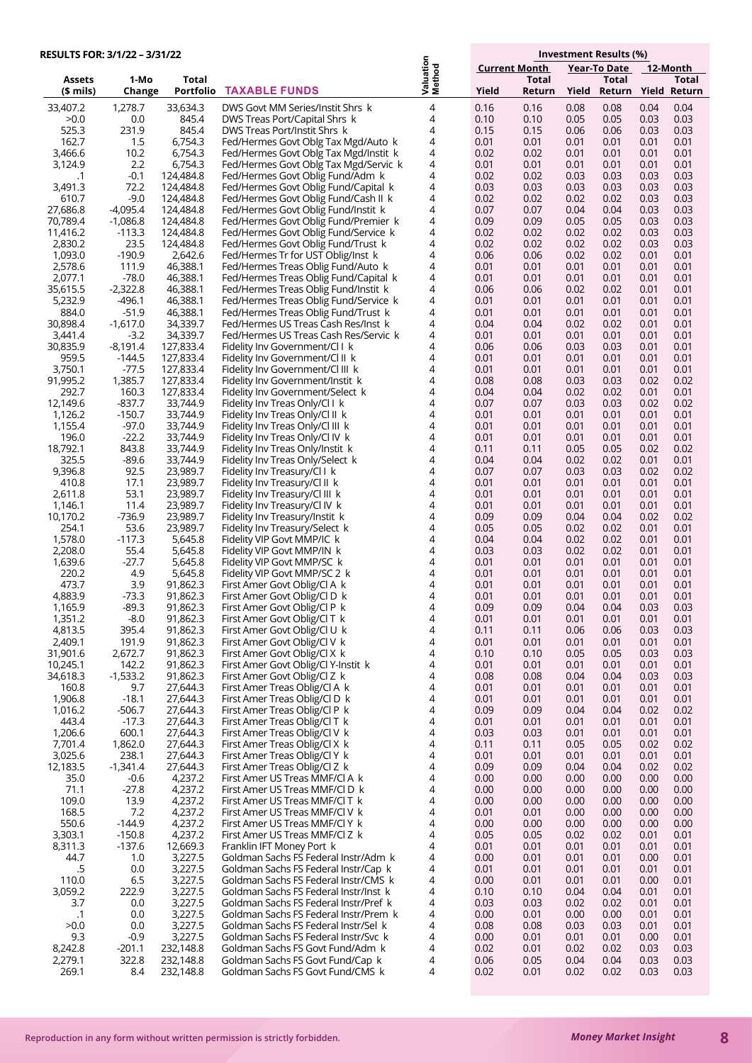| <b>RESULTS FOR: 3/1/22 - 3/31/22</b> |                        |                        |                                                                               |                     |                      |              | Investment Results (%) |              |                              |  |
|--------------------------------------|------------------------|------------------------|-------------------------------------------------------------------------------|---------------------|----------------------|--------------|------------------------|--------------|------------------------------|--|
|                                      |                        |                        |                                                                               |                     | <b>Current Month</b> |              |                        | Year-To Date | 12-Month                     |  |
| <b>Assets</b>                        | 1-Mo                   | Total                  |                                                                               | Valuation<br>Method |                      | <b>Total</b> |                        | <b>Total</b> | Total                        |  |
| $$$ mils)                            | Change                 | Portfolio              | <b>TAXABLE FUNDS</b>                                                          |                     | Yield                | Return       | Yield                  |              | Return Yield Return          |  |
| 33,407.2                             | 1,278.7                | 33,634.3               | DWS Govt MM Series/Instit Shrs k                                              | 4                   | 0.16                 | 0.16         | 0.08                   | 0.08         | 0.04<br>0.04                 |  |
| >0.0                                 | 0.0                    | 845.4                  | DWS Treas Port/Capital Shrs k                                                 | 4                   | 0.10                 | 0.10         | 0.05                   | 0.05         | 0.03<br>0.03                 |  |
| 525.3<br>162.7                       | 231.9                  | 845.4                  | DWS Treas Port/Instit Shrs k                                                  | 4<br>4              | 0.15                 | 0.15         | 0.06                   | 0.06         | 0.03<br>0.03                 |  |
| 3,466.6                              | 1.5<br>10.2            | 6,754.3<br>6,754.3     | Fed/Hermes Govt Oblg Tax Mgd/Auto k<br>Fed/Hermes Govt Oblg Tax Mgd/Instit k  | 4                   | 0.01<br>0.02         | 0.01<br>0.02 | 0.01<br>0.01           | 0.01<br>0.01 | 0.01<br>0.01<br>0.01<br>0.01 |  |
| 3,124.9                              | 2.2                    | 6,754.3                | Fed/Hermes Govt Oblg Tax Mgd/Servic k                                         | 4                   | 0.01                 | 0.01         | 0.01                   | 0.01         | 0.01<br>0.01                 |  |
| .1                                   | $-0.1$                 | 124,484.8              | Fed/Hermes Govt Oblig Fund/Adm k                                              | 4                   | 0.02                 | 0.02         | 0.03                   | 0.03         | 0.03<br>0.03                 |  |
| 3,491.3                              | 72.2                   | 124,484.8              | Fed/Hermes Govt Oblig Fund/Capital k                                          | 4                   | 0.03                 | 0.03         | 0.03                   | 0.03         | 0.03<br>0.03                 |  |
| 610.7                                | $-9.0$                 | 124,484.8              | Fed/Hermes Govt Oblig Fund/Cash II k                                          | 4                   | 0.02                 | 0.02         | 0.02                   | 0.02         | 0.03<br>0.03                 |  |
| 27,686.8                             | $-4,095.4$             | 124,484.8              | Fed/Hermes Govt Oblig Fund/Instit k                                           | 4                   | 0.07                 | 0.07         | 0.04                   | 0.04         | 0.03<br>0.03<br>0.03         |  |
| 70,789.4<br>11,416.2                 | $-1,086.8$<br>$-113.3$ | 124,484.8<br>124,484.8 | Fed/Hermes Govt Oblig Fund/Premier k<br>Fed/Hermes Govt Oblig Fund/Service k  | 4<br>4              | 0.09<br>0.02         | 0.09<br>0.02 | 0.05<br>0.02           | 0.05<br>0.02 | 0.03<br>0.03<br>0.03         |  |
| 2,830.2                              | 23.5                   | 124,484.8              | Fed/Hermes Govt Oblig Fund/Trust k                                            | 4                   | 0.02                 | 0.02         | 0.02                   | 0.02         | 0.03<br>0.03                 |  |
| 1,093.0                              | $-190.9$               | 2,642.6                | Fed/Hermes Tr for UST Oblig/Inst k                                            | 4                   | 0.06                 | 0.06         | 0.02                   | 0.02         | 0.01<br>0.01                 |  |
| 2,578.6                              | 111.9                  | 46,388.1               | Fed/Hermes Treas Oblig Fund/Auto k                                            | 4                   | 0.01                 | 0.01         | 0.01                   | 0.01         | 0.01<br>0.01                 |  |
| 2,077.1                              | $-78.0$                | 46,388.1               | Fed/Hermes Treas Oblig Fund/Capital k                                         | 4                   | 0.01                 | 0.01         | 0.01                   | 0.01         | 0.01<br>0.01                 |  |
| 35,615.5                             | $-2,322.8$             | 46,388.1               | Fed/Hermes Treas Oblig Fund/Instit k                                          | 4<br>4              | 0.06                 | 0.06         | 0.02                   | 0.02         | 0.01<br>0.01                 |  |
| 5,232.9<br>884.0                     | -496.1<br>$-51.9$      | 46,388.1<br>46,388.1   | Fed/Hermes Treas Oblig Fund/Service k<br>Fed/Hermes Treas Oblig Fund/Trust k  | 4                   | 0.01<br>0.01         | 0.01<br>0.01 | 0.01<br>0.01           | 0.01<br>0.01 | 0.01<br>0.01<br>0.01<br>0.01 |  |
| 30,898.4                             | $-1,617.0$             | 34,339.7               | Fed/Hermes US Treas Cash Res/Inst k                                           | 4                   | 0.04                 | 0.04         | 0.02                   | 0.02         | 0.01<br>0.01                 |  |
| 3,441.4                              | $-3.2$                 | 34,339.7               | Fed/Hermes US Treas Cash Res/Servic k                                         | 4                   | 0.01                 | 0.01         | 0.01                   | 0.01         | 0.01<br>0.01                 |  |
| 30,835.9                             | $-8,191.4$             | 127,833.4              | Fidelity Inv Government/Cl I k                                                | 4                   | 0.06                 | 0.06         | 0.03                   | 0.03         | 0.01<br>0.01                 |  |
| 959.5                                | $-144.5$               | 127,833.4              | Fidelity Inv Government/Cl II k                                               | 4                   | 0.01                 | 0.01         | 0.01                   | 0.01         | 0.01<br>0.01                 |  |
| 3,750.1                              | $-77.5$                | 127,833.4              | Fidelity Inv Government/Cl III k                                              | 4                   | 0.01                 | 0.01         | 0.01                   | 0.01         | 0.01<br>0.01                 |  |
| 91,995.2<br>292.7                    | 1,385.7<br>160.3       | 127,833.4<br>127,833.4 | Fidelity Inv Government/Instit k<br>Fidelity Inv Government/Select k          | 4<br>4              | 0.08<br>0.04         | 0.08<br>0.04 | 0.03<br>0.02           | 0.03<br>0.02 | 0.02<br>0.02<br>0.01<br>0.01 |  |
| 12,149.6                             | $-837.7$               | 33,744.9               | Fidelity Inv Treas Only/Cl Lk                                                 | 4                   | 0.07                 | 0.07         | 0.03                   | 0.03         | 0.02<br>0.02                 |  |
| 1,126.2                              | $-150.7$               | 33,744.9               | Fidelity Inv Treas Only/Cl II k                                               | 4                   | 0.01                 | 0.01         | 0.01                   | 0.01         | 0.01<br>0.01                 |  |
| 1,155.4                              | $-97.0$                | 33,744.9               | Fidelity Inv Treas Only/Cl III k                                              | 4                   | 0.01                 | 0.01         | 0.01                   | 0.01         | 0.01<br>0.01                 |  |
| 196.0                                | $-22.2$                | 33,744.9               | Fidelity Inv Treas Only/Cl IV k                                               | 4                   | 0.01                 | 0.01         | 0.01                   | 0.01         | 0.01<br>0.01                 |  |
| 18,792.1                             | 843.8                  | 33,744.9               | Fidelity Inv Treas Only/Instit k                                              | 4                   | 0.11                 | 0.11         | 0.05                   | 0.05         | 0.02<br>0.02                 |  |
| 325.5<br>9,396.8                     | $-89.6$<br>92.5        | 33,744.9<br>23,989.7   | Fidelity Inv Treas Only/Select k<br>Fidelity Inv Treasury/Cl I k              | 4<br>4              | 0.04<br>0.07         | 0.04<br>0.07 | 0.02<br>0.03           | 0.02<br>0.03 | 0.01<br>0.01<br>0.02<br>0.02 |  |
| 410.8                                | 17.1                   | 23,989.7               | Fidelity Inv Treasury/Cl II k                                                 | 4                   | 0.01                 | 0.01         | 0.01                   | 0.01         | 0.01<br>0.01                 |  |
| 2,611.8                              | 53.1                   | 23,989.7               | Fidelity Inv Treasury/Cl III k                                                | 4                   | 0.01                 | 0.01         | 0.01                   | 0.01         | 0.01<br>0.01                 |  |
| 1,146.1                              | 11.4                   | 23,989.7               | Fidelity Inv Treasury/Cl IV k                                                 | 4                   | 0.01                 | 0.01         | 0.01                   | 0.01         | 0.01<br>0.01                 |  |
| 10,170.2                             | $-736.9$               | 23,989.7               | Fidelity Inv Treasury/Instit k                                                | 4                   | 0.09                 | 0.09         | 0.04                   | 0.04         | 0.02<br>0.02                 |  |
| 254.1                                | 53.6                   | 23,989.7               | Fidelity Inv Treasury/Select k                                                | 4                   | 0.05                 | 0.05         | 0.02                   | 0.02         | 0.01<br>0.01                 |  |
| 1,578.0<br>2,208.0                   | $-117.3$<br>55.4       | 5,645.8<br>5,645.8     | Fidelity VIP Govt MMP/IC k<br>Fidelity VIP Govt MMP/IN k                      | 4<br>4              | 0.04<br>0.03         | 0.04<br>0.03 | 0.02<br>0.02           | 0.02<br>0.02 | 0.01<br>0.01<br>0.01<br>0.01 |  |
| 1,639.6                              | $-27.7$                | 5,645.8                | Fidelity VIP Govt MMP/SC k                                                    | 4                   | 0.01                 | 0.01         | 0.01                   | 0.01         | 0.01<br>0.01                 |  |
| 220.2                                | 4.9                    | 5,645.8                | Fidelity VIP Govt MMP/SC 2 k                                                  | 4                   | 0.01                 | 0.01         | 0.01                   | 0.01         | 0.01<br>0.01                 |  |
| 473.7                                | 3.9                    | 91,862.3               | First Amer Govt Oblig/Cl A k                                                  | 4                   | 0.01                 | 0.01         | 0.01                   | 0.01         | 0.01<br>0.01                 |  |
| 4,883.9                              | $-73.3$                | 91,862.3               | First Amer Govt Oblig/Cl D k                                                  | 4                   | 0.01                 | 0.01         | 0.01                   | 0.01         | 0.01<br>0.01                 |  |
| 1,165.9<br>1,351.2                   | $-89.3$<br>$-8.0$      | 91,862.3<br>91,862.3   | First Amer Govt Oblig/Cl P k<br>First Amer Govt Oblig/Cl T k                  | 4<br>4              | 0.09<br>0.01         | 0.09<br>0.01 | 0.04<br>0.01           | 0.04<br>0.01 | 0.03<br>0.03<br>0.01<br>0.01 |  |
| 4,813.5                              | 395.4                  | 91,862.3               | First Amer Govt Oblig/Cl U k                                                  | 4                   | 0.11                 | 0.11         | 0.06                   | 0.06         | 0.03<br>0.03                 |  |
| 2,409.1                              | 191.9                  | 91,862.3               | First Amer Govt Oblig/Cl V k                                                  | 4                   | 0.01                 | 0.01         | 0.01                   | 0.01         | 0.01<br>0.01                 |  |
| 31,901.6                             | 2,672.7                | 91,862.3               | First Amer Govt Oblig/Cl X k                                                  | 4                   | 0.10                 | 0.10         | 0.05                   | 0.05         | 0.03<br>0.03                 |  |
| 10,245.1                             | 142.2                  | 91,862.3               | First Amer Govt Oblig/Cl Y-Instit k                                           | 4                   | 0.01                 | 0.01         | 0.01                   | 0.01         | 0.01<br>0.01                 |  |
| 34,618.3                             | $-1,533.2$             | 91,862.3               | First Amer Govt Oblig/Cl Z k                                                  | 4                   | 0.08                 | 0.08         | 0.04                   | 0.04         | 0.03<br>0.03                 |  |
| 160.8<br>1,906.8                     | 9.7<br>$-18.1$         | 27,644.3<br>27,644.3   | First Amer Treas Oblig/Cl A k<br>First Amer Treas Oblig/Cl D k                | 4<br>4              | 0.01<br>0.01         | 0.01<br>0.01 | 0.01<br>0.01           | 0.01<br>0.01 | 0.01<br>0.01<br>0.01<br>0.01 |  |
| 1,016.2                              | $-506.7$               | 27,644.3               | First Amer Treas Oblig/Cl P k                                                 | 4                   | 0.09                 | 0.09         | 0.04                   | 0.04         | 0.02<br>0.02                 |  |
| 443.4                                | $-17.3$                | 27,644.3               | First Amer Treas Oblig/Cl T k                                                 | 4                   | 0.01                 | 0.01         | 0.01                   | 0.01         | 0.01<br>0.01                 |  |
| 1,206.6                              | 600.1                  | 27,644.3               | First Amer Treas Oblig/Cl V k                                                 | 4                   | 0.03                 | 0.03         | 0.01                   | 0.01         | 0.01<br>0.01                 |  |
| 7,701.4                              | 1,862.0                | 27,644.3               | First Amer Treas Oblig/Cl X k                                                 | 4                   | 0.11                 | 0.11         | 0.05                   | 0.05         | 0.02<br>0.02                 |  |
| 3,025.6<br>12,183.5                  | 238.1<br>$-1,341.4$    | 27,644.3<br>27,644.3   | First Amer Treas Oblig/Cl Y k<br>First Amer Treas Oblig/Cl Z k                | 4<br>4              | 0.01<br>0.09         | 0.01<br>0.09 | 0.01<br>0.04           | 0.01<br>0.04 | 0.01<br>0.01<br>0.02<br>0.02 |  |
| 35.0                                 | $-0.6$                 | 4,237.2                | First Amer US Treas MMF/Cl A k                                                | 4                   | 0.00                 | 0.00         | 0.00                   | 0.00         | 0.00<br>0.00                 |  |
| 71.1                                 | $-27.8$                | 4,237.2                | First Amer US Treas MMF/CI D k                                                | 4                   | 0.00                 | 0.00         | 0.00                   | 0.00         | 0.00<br>0.00                 |  |
| 109.0                                | 13.9                   | 4,237.2                | First Amer US Treas MMF/CIT k                                                 | 4                   | 0.00                 | 0.00         | 0.00                   | 0.00         | 0.00<br>0.00                 |  |
| 168.5                                | 7.2                    | 4,237.2                | First Amer US Treas MMF/Cl V k                                                | 4                   | 0.01                 | 0.01         | 0.00                   | 0.00         | 0.00<br>0.00                 |  |
| 550.6                                | $-144.9$               | 4,237.2                | First Amer US Treas MMF/Cl Y k                                                | 4                   | 0.00                 | 0.00         | 0.00                   | 0.00         | 0.00<br>0.00                 |  |
| 3,303.1<br>8,311.3                   | $-150.8$<br>$-137.6$   | 4,237.2<br>12,669.3    | First Amer US Treas MMF/Cl Z k<br>Franklin IFT Money Port k                   | 4<br>4              | 0.05<br>0.01         | 0.05<br>0.01 | 0.02<br>0.01           | 0.02<br>0.01 | 0.01<br>0.01<br>0.01<br>0.01 |  |
| 44.7                                 | 1.0                    | 3,227.5                | Goldman Sachs FS Federal Instr/Adm k                                          | 4                   | 0.00                 | 0.01         | 0.01                   | 0.01         | 0.00<br>0.01                 |  |
| .5                                   | 0.0                    | 3,227.5                | Goldman Sachs FS Federal Instr/Cap k                                          | 4                   | 0.01                 | 0.01         | 0.01                   | 0.01         | 0.01<br>0.01                 |  |
| 110.0                                | 6.5                    | 3,227.5                | Goldman Sachs FS Federal Instr/CMS k                                          | 4                   | 0.00                 | 0.01         | 0.01                   | 0.01         | 0.00<br>0.01                 |  |
| 3,059.2                              | 222.9                  | 3,227.5                | Goldman Sachs FS Federal Instr/Inst k                                         | 4                   | 0.10                 | 0.10         | 0.04                   | 0.04         | 0.01<br>0.01                 |  |
| 3.7                                  | 0.0                    | 3,227.5                | Goldman Sachs FS Federal Instr/Pref k                                         | 4<br>4              | 0.03                 | 0.03         | 0.02                   | 0.02         | 0.01<br>0.01                 |  |
| .1<br>>0.0                           | 0.0<br>0.0             | 3,227.5<br>3,227.5     | Goldman Sachs FS Federal Instr/Prem k<br>Goldman Sachs FS Federal Instr/Sel k | 4                   | 0.00<br>0.08         | 0.01<br>0.08 | 0.00<br>0.03           | 0.00<br>0.03 | 0.01<br>0.01<br>0.01<br>0.01 |  |
| 9.3                                  | $-0.9$                 | 3,227.5                | Goldman Sachs FS Federal Instr/Svc k                                          | 4                   | 0.00                 | 0.01         | 0.01                   | 0.01         | 0.00<br>0.01                 |  |
| 8,242.8                              | $-201.1$               | 232,148.8              | Goldman Sachs FS Govt Fund/Adm k                                              | 4                   | 0.02                 | 0.01         | 0.02                   | 0.02         | 0.03<br>0.03                 |  |
| 2,279.1                              | 322.8                  | 232,148.8              | Goldman Sachs FS Govt Fund/Cap k                                              | 4                   | 0.06                 | 0.05         | 0.04                   | 0.04         | 0.03<br>0.03                 |  |
| 269.1                                | 8.4                    | 232,148.8              | Goldman Sachs FS Govt Fund/CMS k                                              | 4                   | 0.02                 | 0.01         | 0.02                   | 0.02         | 0.03<br>0.03                 |  |

**8**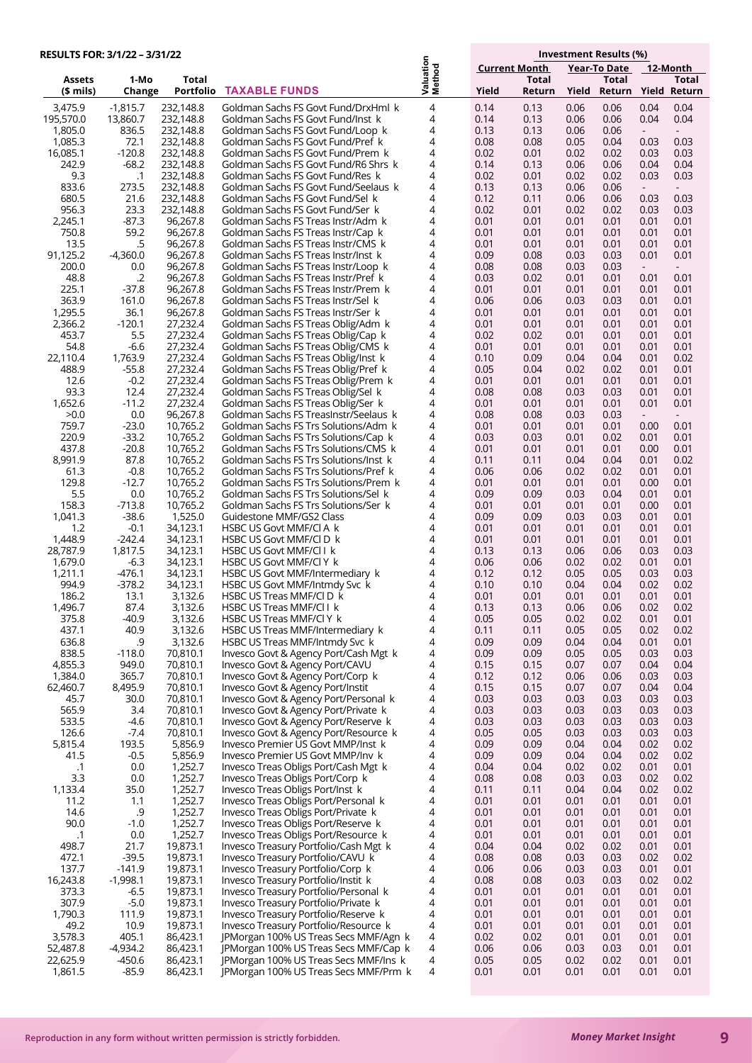| RESULTS FOR: 3/1/22 - 3/31/22 |                    |                        |                                                                               |                     |                      |                        | Investment Results (%) |                                     |                          |                          |  |  |
|-------------------------------|--------------------|------------------------|-------------------------------------------------------------------------------|---------------------|----------------------|------------------------|------------------------|-------------------------------------|--------------------------|--------------------------|--|--|
|                               |                    |                        |                                                                               |                     | <b>Current Month</b> |                        |                        | <b>Year-To Date</b>                 |                          | 12-Month                 |  |  |
| <b>Assets</b><br>(\$ mils)    | 1-Mo<br>Change     | Total<br>Portfolio     | <b>TAXABLE FUNDS</b>                                                          | Valuation<br>Method | Yield                | <b>Total</b><br>Return | Yield                  | <b>Total</b><br>Return Yield Return |                          | Total                    |  |  |
| 3,475.9                       | $-1,815.7$         | 232,148.8              | Goldman Sachs FS Govt Fund/DrxHml k                                           | 4                   | 0.14                 | 0.13                   | 0.06                   | 0.06                                | 0.04                     | 0.04                     |  |  |
| 195,570.0                     | 13.860.7           | 232,148.8              | Goldman Sachs FS Govt Fund/Inst k                                             | 4                   | 0.14                 | 0.13                   | 0.06                   | 0.06                                | 0.04                     | 0.04                     |  |  |
| 1,805.0                       | 836.5              | 232,148.8              | Goldman Sachs FS Govt Fund/Loop k                                             | 4                   | 0.13                 | 0.13                   | 0.06                   | 0.06                                |                          |                          |  |  |
| 1,085.3                       | 72.1               | 232,148.8              | Goldman Sachs FS Govt Fund/Pref k                                             | 4                   | 0.08                 | 0.08                   | 0.05                   | 0.04                                | 0.03                     | 0.03                     |  |  |
| 16,085.1                      | $-120.8$           | 232,148.8              | Goldman Sachs FS Govt Fund/Prem k                                             | 4                   | 0.02                 | 0.01                   | 0.02                   | 0.02                                | 0.03                     | 0.03                     |  |  |
| 242.9<br>9.3                  | $-68.2$<br>.1      | 232,148.8<br>232,148.8 | Goldman Sachs FS Govt Fund/R6 Shrs k<br>Goldman Sachs FS Govt Fund/Res k      | 4<br>4              | 0.14<br>0.02         | 0.13<br>0.01           | 0.06<br>0.02           | 0.06<br>0.02                        | 0.04<br>0.03             | 0.04<br>0.03             |  |  |
| 833.6                         | 273.5              | 232,148.8              | Goldman Sachs FS Govt Fund/Seelaus k                                          | 4                   | 0.13                 | 0.13                   | 0.06                   | 0.06                                | $\overline{\phantom{a}}$ | $\blacksquare$           |  |  |
| 680.5                         | 21.6               | 232,148.8              | Goldman Sachs FS Govt Fund/Sel k                                              | 4                   | 0.12                 | 0.11                   | 0.06                   | 0.06                                | 0.03                     | 0.03                     |  |  |
| 956.3                         | 23.3               | 232,148.8              | Goldman Sachs FS Govt Fund/Ser k                                              | 4                   | 0.02                 | 0.01                   | 0.02                   | 0.02                                | 0.03                     | 0.03                     |  |  |
| 2,245.1<br>750.8              | -87.3              | 96,267.8               | Goldman Sachs FS Treas Instr/Adm k                                            | 4<br>4              | 0.01                 | 0.01                   | 0.01                   | 0.01                                | 0.01                     | 0.01                     |  |  |
| 13.5                          | 59.2<br>.5         | 96,267.8<br>96,267.8   | Goldman Sachs FS Treas Instr/Cap k<br>Goldman Sachs FS Treas Instr/CMS k      | 4                   | 0.01<br>0.01         | 0.01<br>0.01           | 0.01<br>0.01           | 0.01<br>0.01                        | 0.01<br>0.01             | 0.01<br>0.01             |  |  |
| 91,125.2                      | $-4,360.0$         | 96,267.8               | Goldman Sachs FS Treas Instr/Inst k                                           | 4                   | 0.09                 | 0.08                   | 0.03                   | 0.03                                | 0.01                     | 0.01                     |  |  |
| 200.0                         | 0.0                | 96,267.8               | Goldman Sachs FS Treas Instr/Loop k                                           | 4                   | 0.08                 | 0.08                   | 0.03                   | 0.03                                | $\sim$                   | $\overline{\phantom{a}}$ |  |  |
| 48.8                          | $\cdot$ .2         | 96,267.8               | Goldman Sachs FS Treas Instr/Pref k                                           | 4                   | 0.03                 | 0.02                   | 0.01                   | 0.01                                | 0.01                     | 0.01                     |  |  |
| 225.1<br>363.9                | $-37.8$<br>161.0   | 96,267.8<br>96,267.8   | Goldman Sachs FS Treas Instr/Prem k<br>Goldman Sachs FS Treas Instr/Sel k     | 4<br>4              | 0.01<br>0.06         | 0.01<br>0.06           | 0.01<br>0.03           | 0.01<br>0.03                        | 0.01<br>0.01             | 0.01<br>0.01             |  |  |
| 1,295.5                       | 36.1               | 96,267.8               | Goldman Sachs FS Treas Instr/Ser k                                            | 4                   | 0.01                 | 0.01                   | 0.01                   | 0.01                                | 0.01                     | 0.01                     |  |  |
| 2,366.2                       | $-120.1$           | 27,232.4               | Goldman Sachs FS Treas Oblig/Adm k                                            | 4                   | 0.01                 | 0.01                   | 0.01                   | 0.01                                | 0.01                     | 0.01                     |  |  |
| 453.7                         | 5.5                | 27,232.4               | Goldman Sachs FS Treas Oblig/Cap k                                            | 4                   | 0.02                 | 0.02                   | 0.01                   | 0.01                                | 0.01                     | 0.01                     |  |  |
| 54.8                          | $-6.6$             | 27,232.4               | Goldman Sachs FS Treas Oblig/CMS k                                            | 4                   | 0.01                 | 0.01                   | 0.01                   | 0.01                                | 0.01                     | 0.01                     |  |  |
| 22,110.4<br>488.9             | 1,763.9<br>$-55.8$ | 27,232.4<br>27,232.4   | Goldman Sachs FS Treas Oblig/Inst k<br>Goldman Sachs FS Treas Oblig/Pref k    | 4<br>4              | 0.10<br>0.05         | 0.09<br>0.04           | 0.04<br>0.02           | 0.04<br>0.02                        | 0.01<br>0.01             | 0.02<br>0.01             |  |  |
| 12.6                          | $-0.2$             | 27,232.4               | Goldman Sachs FS Treas Oblig/Prem k                                           | 4                   | 0.01                 | 0.01                   | 0.01                   | 0.01                                | 0.01                     | 0.01                     |  |  |
| 93.3                          | 12.4               | 27.232.4               | Goldman Sachs FS Treas Oblig/Sel k                                            | 4                   | 0.08                 | 0.08                   | 0.03                   | 0.03                                | 0.01                     | 0.01                     |  |  |
| 1,652.6                       | $-11.2$            | 27,232.4               | Goldman Sachs FS Treas Oblig/Ser k                                            | 4                   | 0.01                 | 0.01                   | 0.01                   | 0.01                                | 0.01                     | 0.01                     |  |  |
| >0.0                          | 0.0                | 96,267.8               | Goldman Sachs FS TreasInstr/Seelaus k                                         | 4                   | 0.08                 | 0.08                   | 0.03                   | 0.03                                | $\sim$                   | $\blacksquare$           |  |  |
| 759.7<br>220.9                | $-23.0$<br>$-33.2$ | 10,765.2<br>10,765.2   | Goldman Sachs FS Trs Solutions/Adm k<br>Goldman Sachs FS Trs Solutions/Cap k  | 4<br>4              | 0.01<br>0.03         | 0.01<br>0.03           | 0.01<br>0.01           | 0.01<br>0.02                        | 0.00<br>0.01             | 0.01<br>0.01             |  |  |
| 437.8                         | $-20.8$            | 10,765.2               | Goldman Sachs FS Trs Solutions/CMS k                                          | 4                   | 0.01                 | 0.01                   | 0.01                   | 0.01                                | 0.00                     | 0.01                     |  |  |
| 8,991.9                       | 87.8               | 10,765.2               | Goldman Sachs FS Trs Solutions/Inst k                                         | 4                   | 0.11                 | 0.11                   | 0.04                   | 0.04                                | 0.01                     | 0.02                     |  |  |
| 61.3                          | $-0.8$             | 10,765.2               | Goldman Sachs FS Trs Solutions/Pref k                                         | 4                   | 0.06                 | 0.06                   | 0.02                   | 0.02                                | 0.01                     | 0.01                     |  |  |
| 129.8<br>5.5                  | $-12.7$<br>0.0     | 10,765.2<br>10,765.2   | Goldman Sachs FS Trs Solutions/Prem k<br>Goldman Sachs FS Trs Solutions/Sel k | 4<br>4              | 0.01<br>0.09         | 0.01<br>0.09           | 0.01<br>0.03           | 0.01<br>0.04                        | 0.00<br>0.01             | 0.01<br>0.01             |  |  |
| 158.3                         | $-713.8$           | 10,765.2               | Goldman Sachs FS Trs Solutions/Ser k                                          | 4                   | 0.01                 | 0.01                   | 0.01                   | 0.01                                | 0.00                     | 0.01                     |  |  |
| 1,041.3                       | $-38.6$            | 1,525.0                | Guidestone MMF/GS2 Class                                                      | 4                   | 0.09                 | 0.09                   | 0.03                   | 0.03                                | 0.01                     | 0.01                     |  |  |
| 1.2                           | $-0.1$             | 34,123.1               | HSBC US Govt MMF/CI A k                                                       | 4                   | 0.01                 | 0.01                   | 0.01                   | 0.01                                | 0.01                     | 0.01                     |  |  |
| 1,448.9                       | $-242.4$           | 34,123.1               | HSBC US Govt MMF/CI D k                                                       | 4                   | 0.01                 | 0.01                   | 0.01                   | 0.01                                | 0.01                     | 0.01                     |  |  |
| 28,787.9<br>1,679.0           | 1.817.5<br>-6.3    | 34,123.1<br>34,123.1   | HSBC US Govt MMF/CII k<br>HSBC US Govt MMF/CI Y k                             | 4<br>4              | 0.13<br>0.06         | 0.13<br>0.06           | 0.06<br>0.02           | 0.06<br>0.02                        | 0.03<br>0.01             | 0.03<br>0.01             |  |  |
| 1,211.1                       | $-476.1$           | 34,123.1               | HSBC US Govt MMF/Intermediary k                                               | 4                   | 0.12                 | 0.12                   | 0.05                   | 0.05                                | 0.03                     | 0.03                     |  |  |
| 994.9                         | $-378.2$           | 34,123.1               | HSBC US Govt MMF/Intmdy Svc k                                                 | 4                   | 0.10                 | 0.10                   | 0.04                   | 0.04                                | 0.02                     | 0.02                     |  |  |
| 186.2                         | 13.1               | 3,132.6                | HSBC US Treas MMF/CI D k                                                      | 4                   | 0.01                 | 0.01                   | 0.01                   | 0.01                                | 0.01                     | 0.01                     |  |  |
| 1,496.7<br>375.8              | 87.4<br>$-40.9$    | 3,132.6<br>3,132.6     | HSBC US Treas MMF/Cl Lk<br>HSBC US Treas MMF/Cl Y k                           | 4<br>4              | 0.13<br>0.05         | 0.13<br>0.05           | 0.06<br>0.02           | 0.06<br>0.02                        | 0.02<br>0.01             | 0.02<br>0.01             |  |  |
| 437.1                         | 40.9               | 3,132.6                | HSBC US Treas MMF/Intermediary k                                              | 4                   | 0.11                 | 0.11                   | 0.05                   | 0.05                                | 0.02                     | 0.02                     |  |  |
| 636.8                         | .9                 | 3,132.6                | HSBC US Treas MMF/Intmdy Svc k                                                | 4                   | 0.09                 | 0.09                   | 0.04                   | 0.04                                | 0.01                     | 0.01                     |  |  |
| 838.5                         | $-118.0$           | 70,810.1               | Invesco Govt & Agency Port/Cash Mgt k                                         | 4                   | 0.09                 | 0.09                   | 0.05                   | 0.05                                | 0.03                     | 0.03                     |  |  |
| 4,855.3<br>1,384.0            | 949.0              | 70,810.1<br>70,810.1   | Invesco Govt & Agency Port/CAVU                                               | 4<br>4              | 0.15                 | 0.15                   | 0.07                   | 0.07                                | 0.04                     | 0.04<br>0.03             |  |  |
| 62,460.7                      | 365.7<br>8,495.9   | 70,810.1               | Invesco Govt & Agency Port/Corp k<br>Invesco Govt & Agency Port/Instit        | 4                   | 0.12<br>0.15         | 0.12<br>0.15           | 0.06<br>0.07           | 0.06<br>0.07                        | 0.03<br>0.04             | 0.04                     |  |  |
| 45.7                          | 30.0               | 70,810.1               | Invesco Govt & Agency Port/Personal k                                         | 4                   | 0.03                 | 0.03                   | 0.03                   | 0.03                                | 0.03                     | 0.03                     |  |  |
| 565.9                         | 3.4                | 70,810.1               | Invesco Govt & Agency Port/Private k                                          | 4                   | 0.03                 | 0.03                   | 0.03                   | 0.03                                | 0.03                     | 0.03                     |  |  |
| 533.5<br>126.6                | -4.6<br>-7.4       | 70,810.1<br>70,810.1   | Invesco Govt & Agency Port/Reserve k                                          | 4<br>4              | 0.03                 | 0.03<br>0.05           | 0.03                   | 0.03                                | 0.03<br>0.03             | 0.03<br>0.03             |  |  |
| 5,815.4                       | 193.5              | 5,856.9                | Invesco Govt & Agency Port/Resource k<br>Invesco Premier US Govt MMP/Inst k   | 4                   | 0.05<br>0.09         | 0.09                   | 0.03<br>0.04           | 0.03<br>0.04                        | 0.02                     | 0.02                     |  |  |
| 41.5                          | $-0.5$             | 5,856.9                | Invesco Premier US Govt MMP/Inv k                                             | 4                   | 0.09                 | 0.09                   | 0.04                   | 0.04                                | 0.02                     | 0.02                     |  |  |
| $\cdot$ 1                     | 0.0                | 1,252.7                | Invesco Treas Obligs Port/Cash Mgt k                                          | 4                   | 0.04                 | 0.04                   | 0.02                   | 0.02                                | 0.01                     | 0.01                     |  |  |
| 3.3                           | 0.0                | 1,252.7                | Invesco Treas Obligs Port/Corp k                                              | 4                   | 0.08                 | 0.08                   | 0.03                   | 0.03                                | 0.02                     | 0.02                     |  |  |
| 1,133.4<br>11.2               | 35.0<br>1.1        | 1,252.7<br>1,252.7     | Invesco Treas Obligs Port/Inst k<br>Invesco Treas Obligs Port/Personal k      | 4<br>4              | 0.11<br>0.01         | 0.11<br>0.01           | 0.04<br>0.01           | 0.04<br>0.01                        | 0.02<br>0.01             | 0.02<br>0.01             |  |  |
| 14.6                          | .9                 | 1,252.7                | Invesco Treas Obligs Port/Private k                                           | 4                   | 0.01                 | 0.01                   | 0.01                   | 0.01                                | 0.01                     | 0.01                     |  |  |
| 90.0                          | $-1.0$             | 1,252.7                | Invesco Treas Obligs Port/Reserve k                                           | 4                   | 0.01                 | 0.01                   | 0.01                   | 0.01                                | 0.01                     | 0.01                     |  |  |
| .1                            | 0.0                | 1,252.7                | Invesco Treas Obligs Port/Resource k                                          | 4                   | 0.01                 | 0.01                   | 0.01                   | 0.01                                | 0.01                     | 0.01                     |  |  |
| 498.7<br>472.1                | 21.7<br>$-39.5$    | 19,873.1               | Invesco Treasury Portfolio/Cash Mgt k                                         | 4<br>4              | 0.04                 | 0.04                   | 0.02                   | 0.02                                | 0.01                     | 0.01                     |  |  |
| 137.7                         | $-141.9$           | 19,873.1<br>19,873.1   | Invesco Treasury Portfolio/CAVU k<br>Invesco Treasury Portfolio/Corp k        | 4                   | 0.08<br>0.06         | 0.08<br>0.06           | 0.03<br>0.03           | 0.03<br>0.03                        | 0.02<br>0.01             | 0.02<br>0.01             |  |  |
| 16,243.8                      | -1,998.1           | 19,873.1               | Invesco Treasury Portfolio/Instit k                                           | 4                   | 0.08                 | 0.08                   | 0.03                   | 0.03                                | 0.02                     | 0.02                     |  |  |
| 373.3                         | $-6.5$             | 19,873.1               | Invesco Treasury Portfolio/Personal k                                         | 4                   | 0.01                 | 0.01                   | 0.01                   | 0.01                                | 0.01                     | 0.01                     |  |  |
| 307.9                         | $-5.0$             | 19,873.1               | Invesco Treasury Portfolio/Private k                                          | 4                   | 0.01                 | 0.01                   | 0.01                   | 0.01                                | 0.01                     | 0.01                     |  |  |
| 1,790.3<br>49.2               | 111.9<br>10.9      | 19,873.1<br>19,873.1   | Invesco Treasury Portfolio/Reserve k<br>Invesco Treasury Portfolio/Resource k | 4<br>4              | 0.01<br>0.01         | 0.01<br>0.01           | 0.01<br>0.01           | 0.01<br>0.01                        | 0.01<br>0.01             | 0.01<br>0.01             |  |  |
| 3,578.3                       | 405.1              | 86,423.1               | JPMorgan 100% US Treas Secs MMF/Agn k                                         | 4                   | 0.02                 | 0.02                   | 0.01                   | 0.01                                | 0.01                     | 0.01                     |  |  |
| 52,487.8                      | -4,934.2           | 86,423.1               | JPMorgan 100% US Treas Secs MMF/Cap k                                         | 4                   | 0.06                 | 0.06                   | 0.03                   | 0.03                                | 0.01                     | 0.01                     |  |  |
| 22,625.9                      | -450.6             | 86,423.1               | JPMorgan 100% US Treas Secs MMF/Ins k                                         | 4                   | 0.05                 | 0.05                   | 0.02                   | 0.02                                | 0.01                     | 0.01                     |  |  |
| 1,861.5                       | $-85.9$            | 86,423.1               | JPMorgan 100% US Treas Secs MMF/Prm k                                         | 4                   | 0.01                 | 0.01                   | 0.01                   | 0.01                                | 0.01                     | 0.01                     |  |  |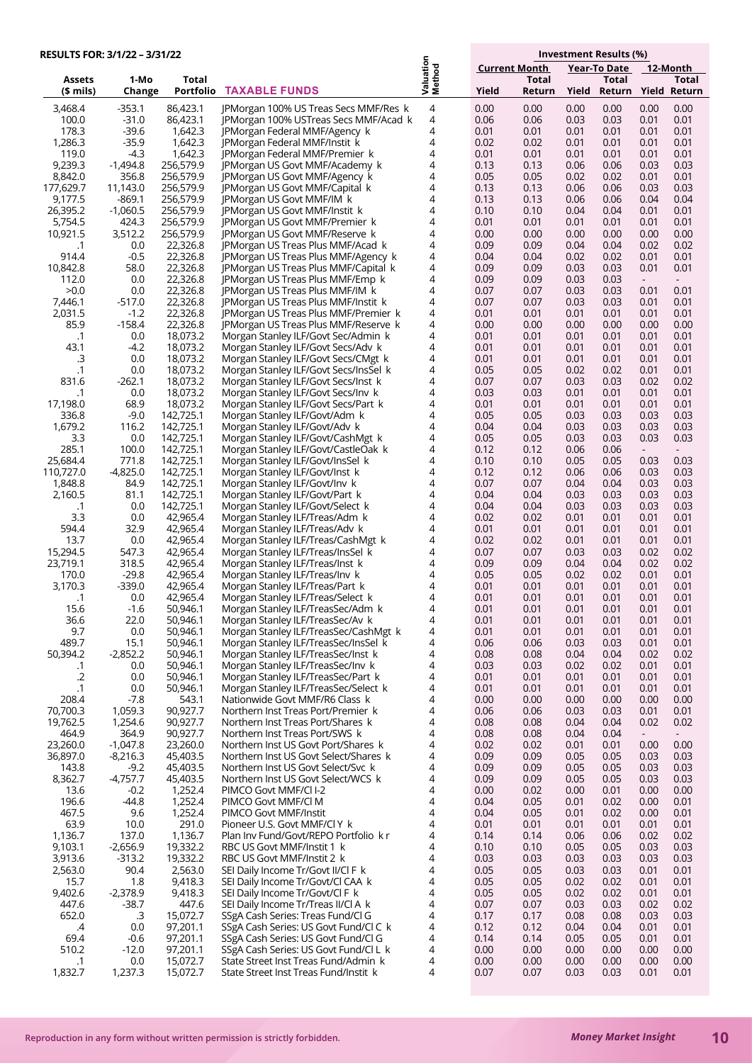| RESULTS FOR: 3/1/22 - 3/31/22 |                     |                        |                                                                                |                     |                      | Investment Results (%) |              |                              |              |                |  |  |
|-------------------------------|---------------------|------------------------|--------------------------------------------------------------------------------|---------------------|----------------------|------------------------|--------------|------------------------------|--------------|----------------|--|--|
|                               |                     |                        |                                                                                |                     | <b>Current Month</b> |                        |              | Year-To Date<br>12-Month     |              |                |  |  |
| Assets<br>(\$ mils)           | 1-Mo<br>Change      | Total                  | <b>Portfolio TAXABLE FUNDS</b>                                                 | Valuation<br>Method | Yield                | Total<br>Return        | Yield        | Total<br>Return Yield Return |              | Total          |  |  |
|                               |                     |                        |                                                                                |                     |                      |                        |              |                              |              |                |  |  |
| 3,468.4<br>100.0              | $-353.1$<br>$-31.0$ | 86,423.1<br>86,423.1   | JPMorgan 100% US Treas Secs MMF/Res k<br>JPMorgan 100% USTreas Secs MMF/Acad k | 4<br>4              | 0.00<br>0.06         | 0.00<br>0.06           | 0.00<br>0.03 | 0.00<br>0.03                 | 0.00<br>0.01 | 0.00<br>0.01   |  |  |
| 178.3                         | $-39.6$             | 1,642.3                | JPMorgan Federal MMF/Agency k                                                  | 4                   | 0.01                 | 0.01                   | 0.01         | 0.01                         | 0.01         | 0.01           |  |  |
| 1,286.3                       | $-35.9$             | 1,642.3                | JPMorgan Federal MMF/Instit k                                                  | 4                   | 0.02                 | 0.02                   | 0.01         | 0.01                         | 0.01         | 0.01           |  |  |
| 119.0                         | -4.3                | 1,642.3                | JPMorgan Federal MMF/Premier k                                                 | 4                   | 0.01                 | 0.01                   | 0.01         | 0.01                         | 0.01         | 0.01           |  |  |
| 9,239.3<br>8,842.0            | -1,494.8<br>356.8   | 256,579.9<br>256,579.9 | JPMorgan US Govt MMF/Academy k<br>JPMorgan US Govt MMF/Agency k                | 4<br>4              | 0.13<br>0.05         | 0.13<br>0.05           | 0.06<br>0.02 | 0.06<br>0.02                 | 0.03<br>0.01 | 0.03<br>0.01   |  |  |
| 177,629.7                     | 11,143.0            | 256,579.9              | JPMorgan US Govt MMF/Capital k                                                 | 4                   | 0.13                 | 0.13                   | 0.06         | 0.06                         | 0.03         | 0.03           |  |  |
| 9,177.5                       | $-869.1$            | 256,579.9              | JPMorgan US Govt MMF/IM k                                                      | 4                   | 0.13                 | 0.13                   | 0.06         | 0.06                         | 0.04         | 0.04           |  |  |
| 26,395.2                      | $-1,060.5$          | 256,579.9              | JPMorgan US Govt MMF/Instit k                                                  | 4                   | 0.10                 | 0.10                   | 0.04         | 0.04                         | 0.01         | 0.01           |  |  |
| 5,754.5<br>10,921.5           | 424.3<br>3,512.2    | 256,579.9<br>256,579.9 | <b>IPMorgan US Govt MMF/Premier k</b><br>JPMorgan US Govt MMF/Reserve k        | 4<br>4              | 0.01<br>0.00         | 0.01<br>0.00           | 0.01<br>0.00 | 0.01<br>0.00                 | 0.01<br>0.00 | 0.01<br>0.00   |  |  |
| .1                            | 0.0                 | 22,326.8               | JPMorgan US Treas Plus MMF/Acad k                                              | 4                   | 0.09                 | 0.09                   | 0.04         | 0.04                         | 0.02         | 0.02           |  |  |
| 914.4                         | $-0.5$              | 22,326.8               | JPMorgan US Treas Plus MMF/Agency k                                            | 4                   | 0.04                 | 0.04                   | 0.02         | 0.02                         | 0.01         | 0.01           |  |  |
| 10,842.8                      | 58.0                | 22,326.8               | JPMorgan US Treas Plus MMF/Capital k                                           | 4                   | 0.09                 | 0.09                   | 0.03         | 0.03                         | 0.01         | 0.01           |  |  |
| 112.0<br>>0.0                 | 0.0<br>0.0          | 22,326.8<br>22,326.8   | JPMorgan US Treas Plus MMF/Emp k                                               | 4<br>4              | 0.09<br>0.07         | 0.09<br>0.07           | 0.03<br>0.03 | 0.03<br>0.03                 | 0.01         | $\sim$<br>0.01 |  |  |
| 7,446.1                       | $-517.0$            | 22,326.8               | JPMorgan US Treas Plus MMF/IM k<br>JPMorgan US Treas Plus MMF/Instit k         | 4                   | 0.07                 | 0.07                   | 0.03         | 0.03                         | 0.01         | 0.01           |  |  |
| 2,031.5                       | $-1.2$              | 22,326.8               | JPMorgan US Treas Plus MMF/Premier k                                           | 4                   | 0.01                 | 0.01                   | 0.01         | 0.01                         | 0.01         | 0.01           |  |  |
| 85.9                          | $-158.4$            | 22,326.8               | JPMorgan US Treas Plus MMF/Reserve k                                           | 4                   | 0.00                 | 0.00                   | 0.00         | 0.00                         | 0.00         | 0.00           |  |  |
| $\cdot$ 1                     | 0.0                 | 18,073.2               | Morgan Stanley ILF/Govt Sec/Admin k                                            | 4                   | 0.01                 | 0.01                   | 0.01         | 0.01                         | 0.01         | 0.01           |  |  |
| 43.1<br>.З                    | $-4.2$<br>0.0       | 18,073.2<br>18,073.2   | Morgan Stanley ILF/Govt Secs/Adv k<br>Morgan Stanley ILF/Govt Secs/CMgt k      | 4<br>4              | 0.01<br>0.01         | 0.01<br>0.01           | 0.01<br>0.01 | 0.01<br>0.01                 | 0.01<br>0.01 | 0.01<br>0.01   |  |  |
| $\cdot$ 1                     | 0.0                 | 18,073.2               | Morgan Stanley ILF/Govt Secs/InsSel k                                          | 4                   | 0.05                 | 0.05                   | 0.02         | 0.02                         | 0.01         | 0.01           |  |  |
| 831.6                         | $-262.1$            | 18,073.2               | Morgan Stanley ILF/Govt Secs/Inst k                                            | 4                   | 0.07                 | 0.07                   | 0.03         | 0.03                         | 0.02         | 0.02           |  |  |
| .1                            | 0.0                 | 18,073.2               | Morgan Stanley ILF/Govt Secs/Inv k                                             | 4                   | 0.03                 | 0.03                   | 0.01         | 0.01                         | 0.01         | 0.01           |  |  |
| 17,198.0<br>336.8             | 68.9<br>$-9.0$      | 18,073.2<br>142,725.1  | Morgan Stanley ILF/Govt Secs/Part k                                            | 4<br>4              | 0.01<br>0.05         | 0.01<br>0.05           | 0.01<br>0.03 | 0.01<br>0.03                 | 0.01<br>0.03 | 0.01<br>0.03   |  |  |
| 1,679.2                       | 116.2               | 142,725.1              | Morgan Stanley ILF/Govt/Adm k<br>Morgan Stanley ILF/Govt/Adv k                 | 4                   | 0.04                 | 0.04                   | 0.03         | 0.03                         | 0.03         | 0.03           |  |  |
| 3.3                           | 0.0                 | 142,725.1              | Morgan Stanley ILF/Govt/CashMgt k                                              | 4                   | 0.05                 | 0.05                   | 0.03         | 0.03                         | 0.03         | 0.03           |  |  |
| 285.1                         | 100.0               | 142,725.1              | Morgan Stanley ILF/Govt/CastleOak k                                            | 4                   | 0.12                 | 0.12                   | 0.06         | 0.06                         |              |                |  |  |
| 25,684.4                      | 771.8               | 142,725.1              | Morgan Stanley ILF/Govt/InsSel k                                               | 4                   | 0.10                 | 0.10                   | 0.05         | 0.05                         | 0.03         | 0.03           |  |  |
| 110,727.0<br>1,848.8          | $-4,825.0$<br>84.9  | 142,725.1<br>142,725.1 | Morgan Stanley ILF/Govt/Inst k<br>Morgan Stanley ILF/Govt/Inv k                | 4<br>4              | 0.12<br>0.07         | 0.12<br>0.07           | 0.06<br>0.04 | 0.06<br>0.04                 | 0.03<br>0.03 | 0.03<br>0.03   |  |  |
| 2,160.5                       | 81.1                | 142,725.1              | Morgan Stanley ILF/Govt/Part k                                                 | 4                   | 0.04                 | 0.04                   | 0.03         | 0.03                         | 0.03         | 0.03           |  |  |
| $\cdot$ 1                     | 0.0                 | 142,725.1              | Morgan Stanley ILF/Govt/Select k                                               | 4                   | 0.04                 | 0.04                   | 0.03         | 0.03                         | 0.03         | 0.03           |  |  |
| 3.3                           | 0.0                 | 42,965.4               | Morgan Stanley ILF/Treas/Adm k                                                 | 4                   | 0.02                 | 0.02                   | 0.01         | 0.01                         | 0.01         | 0.01           |  |  |
| 594.4<br>13.7                 | 32.9<br>0.0         | 42,965.4<br>42,965.4   | Morgan Stanley ILF/Treas/Adv k<br>Morgan Stanley ILF/Treas/CashMgt k           | 4<br>4              | 0.01<br>0.02         | 0.01<br>0.02           | 0.01<br>0.01 | 0.01<br>0.01                 | 0.01<br>0.01 | 0.01<br>0.01   |  |  |
| 15,294.5                      | 547.3               | 42,965.4               | Morgan Stanley ILF/Treas/InsSel k                                              | 4                   | 0.07                 | 0.07                   | 0.03         | 0.03                         | 0.02         | 0.02           |  |  |
| 23,719.1                      | 318.5               | 42,965.4               | Morgan Stanley ILF/Treas/Inst k                                                | 4                   | 0.09                 | 0.09                   | 0.04         | 0.04                         | 0.02         | 0.02           |  |  |
| 170.0                         | $-29.8$             | 42,965.4               | Morgan Stanley ILF/Treas/Inv k                                                 | 4                   | 0.05                 | 0.05                   | 0.02         | 0.02                         | 0.01         | 0.01           |  |  |
| 3,170.3                       | $-339.0$<br>0.0     | 42,965.4<br>42,965.4   | Morgan Stanley ILF/Treas/Part k                                                | 4<br>4              | 0.01<br>0.01         | 0.01<br>0.01           | 0.01<br>0.01 | 0.01<br>0.01                 | 0.01<br>0.01 | 0.01<br>0.01   |  |  |
| $\cdot$ 1<br>15.6             | $-1.6$              | 50,946.1               | Morgan Stanley ILF/Treas/Select k<br>Morgan Stanley ILF/TreasSec/Adm k         | 4                   | 0.01                 | 0.01                   | 0.01         | 0.01                         | 0.01         | 0.01           |  |  |
| 36.6                          | 22.0                | 50,946.1               | Morgan Stanley ILF/TreasSec/Av k                                               | 4                   | 0.01                 | 0.01                   | 0.01         | 0.01                         | 0.01         | 0.01           |  |  |
| 9.7                           | 0.0                 | 50,946.1               | Morgan Stanley ILF/TreasSec/CashMgt k                                          | 4                   | 0.01                 | 0.01                   | 0.01         | 0.01                         | 0.01         | 0.01           |  |  |
| 489.7<br>50,394.2             | 15.1                | 50,946.1               | Morgan Stanley ILF/TreasSec/InsSel k<br>Morgan Stanley ILF/TreasSec/Inst k     | 4                   | 0.06                 | 0.06                   | 0.03         | 0.03                         | 0.01         | 0.01           |  |  |
| .1                            | $-2,852.2$<br>0.0   | 50,946.1<br>50,946.1   | Morgan Stanley ILF/TreasSec/Inv k                                              | 4<br>4              | 0.08<br>0.03         | 0.08<br>0.03           | 0.04<br>0.02 | 0.04<br>0.02                 | 0.02<br>0.01 | 0.02<br>0.01   |  |  |
| $.2\,$                        | 0.0                 | 50,946.1               | Morgan Stanley ILF/TreasSec/Part k                                             | 4                   | 0.01                 | 0.01                   | 0.01         | 0.01                         | 0.01         | 0.01           |  |  |
| $\cdot$ 1                     | 0.0                 | 50,946.1               | Morgan Stanley ILF/TreasSec/Select k                                           | 4                   | 0.01                 | 0.01                   | 0.01         | 0.01                         | 0.01         | 0.01           |  |  |
| 208.4                         | -7.8                | 543.1<br>90,927.7      | Nationwide Govt MMF/R6 Class k                                                 | 4                   | 0.00                 | 0.00                   | 0.00         | 0.00                         | 0.00         | 0.00           |  |  |
| 70,700.3<br>19,762.5          | 1,059.3<br>1,254.6  | 90,927.7               | Northern Inst Treas Port/Premier k<br>Northern Inst Treas Port/Shares k        | 4<br>4              | 0.06<br>0.08         | 0.06<br>0.08           | 0.03<br>0.04 | 0.03<br>0.04                 | 0.01<br>0.02 | 0.01<br>0.02   |  |  |
| 464.9                         | 364.9               | 90,927.7               | Northern Inst Treas Port/SWS k                                                 | 4                   | 0.08                 | 0.08                   | 0.04         | 0.04                         |              |                |  |  |
| 23,260.0                      | $-1,047.8$          | 23,260.0               | Northern Inst US Govt Port/Shares k                                            | 4                   | 0.02                 | 0.02                   | 0.01         | 0.01                         | 0.00         | 0.00           |  |  |
| 36,897.0                      | $-8,216.3$          | 45,403.5               | Northern Inst US Govt Select/Shares k                                          | 4                   | 0.09                 | 0.09                   | 0.05         | 0.05                         | 0.03         | 0.03           |  |  |
| 143.8<br>8,362.7              | -9.2<br>$-4,757.7$  | 45,403.5<br>45,403.5   | Northern Inst US Govt Select/Svc k<br>Northern Inst US Govt Select/WCS k       | 4<br>4              | 0.09<br>0.09         | 0.09<br>0.09           | 0.05<br>0.05 | 0.05<br>0.05                 | 0.03<br>0.03 | 0.03<br>0.03   |  |  |
| 13.6                          | $-0.2$              | 1,252.4                | PIMCO Govt MMF/Cl I-2                                                          | 4                   | 0.00                 | 0.02                   | 0.00         | 0.01                         | 0.00         | 0.00           |  |  |
| 196.6                         | $-44.8$             | 1,252.4                | PIMCO Govt MMF/Cl M                                                            | 4                   | 0.04                 | 0.05                   | 0.01         | 0.02                         | 0.00         | 0.01           |  |  |
| 467.5                         | 9.6                 | 1,252.4                | PIMCO Govt MMF/Instit                                                          | 4                   | 0.04                 | 0.05                   | 0.01         | 0.02                         | 0.00         | 0.01           |  |  |
| 63.9<br>1,136.7               | 10.0<br>137.0       | 291.0<br>1,136.7       | Pioneer U.S. Govt MMF/Cl Y k<br>Plan Inv Fund/Govt/REPO Portfolio k r          | 4<br>4              | 0.01<br>0.14         | 0.01<br>0.14           | 0.01<br>0.06 | 0.01<br>0.06                 | 0.01<br>0.02 | 0.01<br>0.02   |  |  |
| 9,103.1                       | $-2,656.9$          | 19,332.2               | RBC US Govt MMF/Instit 1 k                                                     | 4                   | 0.10                 | 0.10                   | 0.05         | 0.05                         | 0.03         | 0.03           |  |  |
| 3,913.6                       | $-313.2$            | 19,332.2               | RBC US Govt MMF/Instit 2 k                                                     | $\overline{4}$      | 0.03                 | 0.03                   | 0.03         | 0.03                         | 0.03         | 0.03           |  |  |
| 2,563.0                       | 90.4                | 2,563.0                | SEI Daily Income Tr/Govt II/Cl F k                                             | 4                   | 0.05                 | 0.05                   | 0.03         | 0.03                         | 0.01         | 0.01           |  |  |
| 15.7<br>9,402.6               | 1.8<br>$-2,378.9$   | 9,418.3<br>9,418.3     | SEI Daily Income Tr/Govt/Cl CAA k<br>SEI Daily Income Tr/Govt/Cl F k           | 4<br>4              | 0.05<br>0.05         | 0.05<br>0.05           | 0.02<br>0.02 | 0.02<br>0.02                 | 0.01<br>0.01 | 0.01<br>0.01   |  |  |
| 447.6                         | $-38.7$             | 447.6                  | SEI Daily Income Tr/Treas II/Cl A k                                            | $\overline{4}$      | 0.07                 | 0.07                   | 0.03         | 0.03                         | 0.02         | 0.02           |  |  |
| 652.0                         | .3                  | 15,072.7               | SSgA Cash Series: Treas Fund/Cl G                                              | 4                   | 0.17                 | 0.17                   | 0.08         | 0.08                         | 0.03         | 0.03           |  |  |
| .4                            | 0.0                 | 97,201.1               | SSgA Cash Series: US Govt Fund/Cl C k                                          | 4                   | 0.12                 | 0.12                   | 0.04         | 0.04                         | 0.01         | 0.01           |  |  |
| 69.4                          | $-0.6$              | 97,201.1               | SSgA Cash Series: US Govt Fund/Cl G                                            | 4<br>4              | 0.14                 | 0.14                   | 0.05         | 0.05                         | 0.01         | 0.01           |  |  |
| 510.2<br>$\cdot$ 1            | $-12.0$<br>0.0      | 97,201.1<br>15,072.7   | SSgA Cash Series: US Govt Fund/Cl L k<br>State Street Inst Treas Fund/Admin k  | 4                   | 0.00<br>0.00         | 0.00<br>0.00           | 0.00<br>0.00 | 0.00<br>0.00                 | 0.00<br>0.00 | 0.00<br>0.00   |  |  |
| 1,832.7                       | 1,237.3             | 15,072.7               | State Street Inst Treas Fund/Instit k                                          | 4                   | 0.07                 | 0.07                   | 0.03         | 0.03                         | 0.01         | 0.01           |  |  |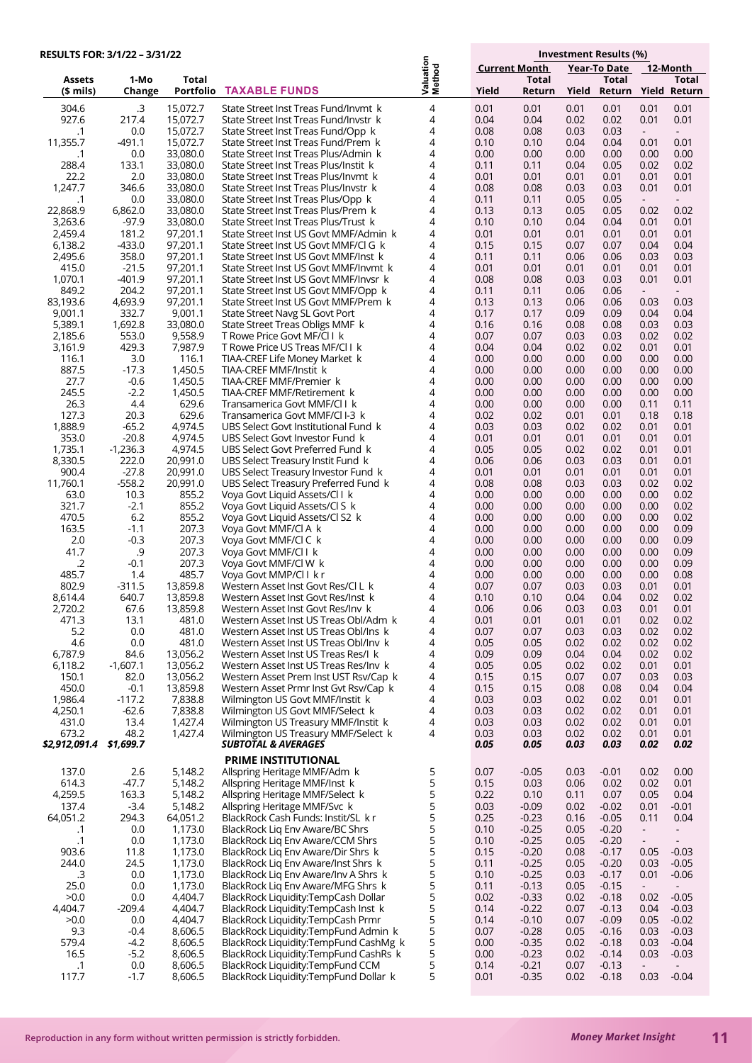| <b>RESULTS FOR: 3/1/22 - 3/31/22</b> |                     |                      |                                                                                |                     |                                             |                    | Investment Results (%) |                     |                |                          |  |
|--------------------------------------|---------------------|----------------------|--------------------------------------------------------------------------------|---------------------|---------------------------------------------|--------------------|------------------------|---------------------|----------------|--------------------------|--|
|                                      |                     |                      |                                                                                |                     | <b>Current Month</b><br><b>Year-To Date</b> |                    |                        |                     | 12-Month       |                          |  |
| Assets                               | 1-Mo                | Total                |                                                                                | Valuation<br>Method |                                             | <b>Total</b>       |                        | Total               |                | Total                    |  |
| $$$ mils)                            | Change              | <b>Portfolio</b>     | <b>TAXABLE FUNDS</b>                                                           |                     | Yield                                       | Return             | Yield                  | Return Yield Return |                |                          |  |
| 304.6                                | .3                  | 15,072.7             | State Street Inst Treas Fund/Invmt k                                           | 4                   | 0.01                                        | 0.01               | 0.01                   | 0.01                | 0.01           | 0.01                     |  |
| 927.6                                | 217.4               | 15,072.7             | State Street Inst Treas Fund/Invstr k                                          | 4                   | 0.04                                        | 0.04               | 0.02                   | 0.02                | 0.01           | 0.01                     |  |
| $\cdot$ 1<br>11,355.7                | 0.0<br>-491.1       | 15,072.7<br>15,072.7 | State Street Inst Treas Fund/Opp k<br>State Street Inst Treas Fund/Prem k      | 4<br>4              | 0.08<br>0.10                                | 0.08<br>0.10       | 0.03<br>0.04           | 0.03<br>0.04        | $\sim$         | $\sim$<br>0.01           |  |
| .1                                   | 0.0                 | 33,080.0             | State Street Inst Treas Plus/Admin k                                           | 4                   | 0.00                                        | 0.00               | 0.00                   | 0.00                | 0.01<br>0.00   | 0.00                     |  |
| 288.4                                | 133.1               | 33,080.0             | State Street Inst Treas Plus/Instit k                                          | 4                   | 0.11                                        | 0.11               | 0.04                   | 0.05                | 0.02           | 0.02                     |  |
| 22.2                                 | 2.0                 | 33,080.0             | State Street Inst Treas Plus/Invmt k                                           | 4                   | 0.01                                        | 0.01               | 0.01                   | 0.01                | 0.01           | 0.01                     |  |
| 1,247.7                              | 346.6               | 33,080.0             | State Street Inst Treas Plus/Invstr k                                          | 4                   | 0.08                                        | 0.08               | 0.03                   | 0.03                | 0.01           | 0.01                     |  |
| $\cdot$ 1                            | 0.0                 | 33,080.0             | State Street Inst Treas Plus/Opp k                                             | 4                   | 0.11                                        | 0.11               | 0.05                   | 0.05                | $\sim$         | $\sim$                   |  |
| 22,868.9<br>3,263.6                  | 6,862.0<br>$-97.9$  | 33,080.0<br>33,080.0 | State Street Inst Treas Plus/Prem k<br>State Street Inst Treas Plus/Trust k    | 4<br>4              | 0.13<br>0.10                                | 0.13<br>0.10       | 0.05<br>0.04           | 0.05<br>0.04        | 0.02           | 0.02                     |  |
| 2,459.4                              | 181.2               | 97,201.1             | State Street Inst US Govt MMF/Admin k                                          | 4                   | 0.01                                        | 0.01               | 0.01                   | 0.01                | 0.01<br>0.01   | 0.01<br>0.01             |  |
| 6,138.2                              | $-433.0$            | 97,201.1             | State Street Inst US Govt MMF/Cl G k                                           | 4                   | 0.15                                        | 0.15               | 0.07                   | 0.07                | 0.04           | 0.04                     |  |
| 2,495.6                              | 358.0               | 97,201.1             | State Street Inst US Govt MMF/Inst k                                           | 4                   | 0.11                                        | 0.11               | 0.06                   | 0.06                | 0.03           | 0.03                     |  |
| 415.0                                | $-21.5$             | 97,201.1             | State Street Inst US Govt MMF/Invmt k                                          | 4                   | 0.01                                        | 0.01               | 0.01                   | 0.01                | 0.01           | 0.01                     |  |
| 1,070.1                              | $-401.9$            | 97,201.1             | State Street Inst US Govt MMF/Invsr k                                          | 4                   | 0.08                                        | 0.08               | 0.03                   | 0.03                | 0.01           | 0.01                     |  |
| 849.2<br>83,193.6                    | 204.2<br>4,693.9    | 97,201.1<br>97,201.1 | State Street Inst US Govt MMF/Opp k<br>State Street Inst US Govt MMF/Prem k    | 4<br>4              | 0.11<br>0.13                                | 0.11<br>0.13       | 0.06<br>0.06           | 0.06<br>0.06        | $\sim$<br>0.03 | $\sim$<br>0.03           |  |
| 9,001.1                              | 332.7               | 9,001.1              | State Street Navg SL Govt Port                                                 | 4                   | 0.17                                        | 0.17               | 0.09                   | 0.09                | 0.04           | 0.04                     |  |
| 5,389.1                              | 1,692.8             | 33,080.0             | State Street Treas Obligs MMF k                                                | 4                   | 0.16                                        | 0.16               | 0.08                   | 0.08                | 0.03           | 0.03                     |  |
| 2,185.6                              | 553.0               | 9,558.9              | T Rowe Price Govt MF/Cl I k                                                    | 4                   | 0.07                                        | 0.07               | 0.03                   | 0.03                | 0.02           | 0.02                     |  |
| 3,161.9                              | 429.3               | 7,987.9              | T Rowe Price US Treas MF/Cl I k                                                | 4                   | 0.04                                        | 0.04               | 0.02                   | 0.02                | 0.01           | 0.01                     |  |
| 116.1                                | 3.0                 | 116.1                | TIAA-CREF Life Money Market k                                                  | 4                   | 0.00                                        | 0.00               | 0.00                   | 0.00                | 0.00           | 0.00                     |  |
| 887.5                                | $-17.3$             | 1,450.5              | TIAA-CREF MMF/Instit k<br>TIAA-CREF MMF/Premier k                              | 4<br>4              | 0.00                                        | 0.00               | 0.00<br>0.00           | 0.00                | 0.00           | 0.00                     |  |
| 27.7<br>245.5                        | $-0.6$<br>$-2.2$    | 1,450.5<br>1,450.5   | TIAA-CREF MMF/Retirement k                                                     | 4                   | 0.00<br>0.00                                | 0.00<br>0.00       | 0.00                   | 0.00<br>0.00        | 0.00<br>0.00   | 0.00<br>0.00             |  |
| 26.3                                 | 4.4                 | 629.6                | Transamerica Govt MMF/Cl I k                                                   | 4                   | 0.00                                        | 0.00               | 0.00                   | 0.00                | 0.11           | 0.11                     |  |
| 127.3                                | 20.3                | 629.6                | Transamerica Govt MMF/Cl I-3 k                                                 | 4                   | 0.02                                        | 0.02               | 0.01                   | 0.01                | 0.18           | 0.18                     |  |
| 1,888.9                              | $-65.2$             | 4,974.5              | UBS Select Govt Institutional Fund k                                           | 4                   | 0.03                                        | 0.03               | 0.02                   | 0.02                | 0.01           | 0.01                     |  |
| 353.0                                | $-20.8$             | 4,974.5              | UBS Select Govt Investor Fund k                                                | 4                   | 0.01                                        | 0.01               | 0.01                   | 0.01                | 0.01           | 0.01                     |  |
| 1,735.1<br>8,330.5                   | $-1,236.3$<br>222.0 | 4,974.5<br>20,991.0  | UBS Select Govt Preferred Fund k<br>UBS Select Treasury Instit Fund k          | 4<br>4              | 0.05<br>0.06                                | 0.05<br>0.06       | 0.02<br>0.03           | 0.02<br>0.03        | 0.01<br>0.01   | 0.01<br>0.01             |  |
| 900.4                                | $-27.8$             | 20,991.0             | UBS Select Treasury Investor Fund k                                            | 4                   | 0.01                                        | 0.01               | 0.01                   | 0.01                | 0.01           | 0.01                     |  |
| 11,760.1                             | $-558.2$            | 20,991.0             | UBS Select Treasury Preferred Fund k                                           | 4                   | 0.08                                        | 0.08               | 0.03                   | 0.03                | 0.02           | 0.02                     |  |
| 63.0                                 | 10.3                | 855.2                | Voya Govt Liquid Assets/Cl I k                                                 | 4                   | 0.00                                        | 0.00               | 0.00                   | 0.00                | 0.00           | 0.02                     |  |
| 321.7                                | $-2.1$              | 855.2                | Voya Govt Liquid Assets/Cl S k                                                 | 4                   | 0.00                                        | 0.00               | 0.00                   | 0.00                | 0.00           | 0.02                     |  |
| 470.5                                | 6.2                 | 855.2                | Voya Govt Liquid Assets/Cl S2 k                                                | 4                   | 0.00                                        | 0.00               | 0.00                   | 0.00                | 0.00           | 0.02                     |  |
| 163.5<br>2.0                         | $-1.1$<br>$-0.3$    | 207.3<br>207.3       | Voya Govt MMF/Cl A k<br>Voya Govt MMF/Cl C k                                   | 4<br>4              | 0.00<br>0.00                                | 0.00<br>0.00       | 0.00<br>0.00           | 0.00<br>0.00        | 0.00<br>0.00   | 0.09<br>0.09             |  |
| 41.7                                 | .9                  | 207.3                | Voya Govt MMF/Cl I k                                                           | 4                   | 0.00                                        | 0.00               | 0.00                   | 0.00                | 0.00           | 0.09                     |  |
| $\cdot$ .2                           | $-0.1$              | 207.3                | Voya Govt MMF/Cl W k                                                           | 4                   | 0.00                                        | 0.00               | 0.00                   | 0.00                | 0.00           | 0.09                     |  |
| 485.7                                | 1.4                 | 485.7                | Voya Govt MMP/Cl I k r                                                         | 4                   | 0.00                                        | 0.00               | 0.00                   | 0.00                | 0.00           | 0.08                     |  |
| 802.9                                | $-311.5$            | 13,859.8             | Western Asset Inst Govt Res/Cl L k                                             | 4                   | 0.07                                        | 0.07               | 0.03                   | 0.03                | 0.01           | 0.01                     |  |
| 8,614.4                              | 640.7               | 13,859.8             | Western Asset Inst Govt Res/Inst k                                             | 4<br>4              | 0.10                                        | 0.10               | 0.04                   | 0.04                | 0.02           | 0.02                     |  |
| 2,720.2<br>471.3                     | 67.6<br>13.1        | 13,859.8<br>481.0    | Western Asset Inst Govt Res/Inv  k<br>Western Asset Inst US Treas Obl/Adm k    | 4                   | 0.06<br>0.01                                | 0.06<br>0.01       | 0.03<br>0.01           | 0.03<br>0.01        | 0.01<br>0.02   | 0.01<br>0.02             |  |
| 5.2                                  | 0.0                 | 481.0                | Western Asset Inst US Treas Obl/Ins k                                          | 4                   | 0.07                                        | 0.07               | 0.03                   | 0.03                | 0.02           | 0.02                     |  |
| 4.6                                  | 0.0                 | 481.0                | Western Asset Inst US Treas Obl/Inv k                                          | 4                   | 0.05                                        | 0.05               | 0.02                   | 0.02                | 0.02           | 0.02                     |  |
| 6,787.9                              | 84.6                | 13,056.2             | Western Asset Inst US Treas Res/I k                                            | 4                   | 0.09                                        | 0.09               | 0.04                   | 0.04                | 0.02           | 0.02                     |  |
| 6,118.2                              | -1,607.1            | 13,056.2             | Western Asset Inst US Treas Res/Inv k                                          | 4                   | 0.05                                        | 0.05               | 0.02                   | 0.02                | 0.01           | 0.01                     |  |
| 150.1<br>450.0                       | 82.0<br>$-0.1$      | 13,056.2<br>13,859.8 | Western Asset Prem Inst UST Rsv/Cap k<br>Western Asset Prmr Inst Gvt Rsv/Cap k | 4<br>4              | 0.15<br>0.15                                | 0.15<br>0.15       | 0.07                   | 0.07                | 0.03<br>0.04   | 0.03<br>0.04             |  |
| 1,986.4                              | $-117.2$            | 7,838.8              | Wilmington US Govt MMF/Instit k                                                | 4                   | 0.03                                        | 0.03               | 0.08<br>0.02           | 0.08<br>0.02        | 0.01           | 0.01                     |  |
| 4,250.1                              | $-62.6$             | 7,838.8              | Wilmington US Govt MMF/Select k                                                | 4                   | 0.03                                        | 0.03               | 0.02                   | 0.02                | 0.01           | 0.01                     |  |
| 431.0                                | 13.4                | 1,427.4              | Wilmington US Treasury MMF/Instit k                                            | 4                   | 0.03                                        | 0.03               | 0.02                   | 0.02                | 0.01           | 0.01                     |  |
| 673.2                                | 48.2                | 1,427.4              | Wilmington US Treasury MMF/Select k                                            | 4                   | 0.03                                        | 0.03               | 0.02                   | 0.02                | 0.01           | 0.01                     |  |
| \$2,912,091.4                        | \$1,699.7           |                      | <b>SUBTOTAL &amp; AVERAGES</b>                                                 |                     | 0.05                                        | 0.05               | 0.03                   | 0.03                | 0.02           | 0.02                     |  |
|                                      |                     |                      | <b>PRIME INSTITUTIONAL</b>                                                     |                     |                                             |                    |                        |                     |                |                          |  |
| 137.0                                | 2.6                 | 5,148.2              | Allspring Heritage MMF/Adm k                                                   | 5                   | 0.07                                        | $-0.05$            | 0.03                   | $-0.01$             | 0.02           | 0.00                     |  |
| 614.3<br>4,259.5                     | -47.7<br>163.3      | 5,148.2<br>5,148.2   | Allspring Heritage MMF/Inst k<br>Allspring Heritage MMF/Select k               | 5<br>5              | 0.15<br>0.22                                | 0.03<br>0.10       | 0.06<br>0.11           | 0.02<br>0.07        | 0.02<br>0.05   | 0.01<br>0.04             |  |
| 137.4                                | $-3.4$              | 5,148.2              | Allspring Heritage MMF/Svc k                                                   | 5                   | 0.03                                        | $-0.09$            | 0.02                   | $-0.02$             | 0.01           | $-0.01$                  |  |
| 64,051.2                             | 294.3               | 64,051.2             | BlackRock Cash Funds: Instit/SL kr                                             | 5                   | 0.25                                        | $-0.23$            | 0.16                   | $-0.05$             | 0.11           | 0.04                     |  |
| $\cdot$ 1                            | 0.0                 | 1,173.0              | BlackRock Lig Env Aware/BC Shrs                                                | 5                   | 0.10                                        | $-0.25$            | 0.05                   | $-0.20$             | $\blacksquare$ | $\blacksquare$           |  |
| $\cdot$ 1                            | 0.0                 | 1,173.0              | BlackRock Liq Env Aware/CCM Shrs                                               | 5                   | 0.10                                        | $-0.25$            | 0.05                   | $-0.20$             | $\blacksquare$ | $\overline{\phantom{a}}$ |  |
| 903.6                                | 11.8                | 1,173.0              | BlackRock Lig Env Aware/Dir Shrs k                                             | 5                   | 0.15                                        | $-0.20$            | 0.08                   | $-0.17$             | 0.05           | $-0.03$                  |  |
| 244.0<br>.3                          | 24.5<br>0.0         | 1,173.0<br>1,173.0   | BlackRock Lig Env Aware/Inst Shrs k<br>BlackRock Lig Env Aware/Inv A Shrs k    | 5<br>5              | 0.11<br>0.10                                | $-0.25$<br>$-0.25$ | 0.05<br>0.03           | $-0.20$<br>$-0.17$  | 0.03<br>0.01   | $-0.05$<br>$-0.06$       |  |
| 25.0                                 | 0.0                 | 1,173.0              | BlackRock Lig Env Aware/MFG Shrs k                                             | 5                   | 0.11                                        | $-0.13$            | 0.05                   | $-0.15$             | $\sim$         | $\overline{\phantom{a}}$ |  |
| >0.0                                 | 0.0                 | 4,404.7              | BlackRock Liquidity:TempCash Dollar                                            | 5                   | 0.02                                        | $-0.33$            | 0.02                   | $-0.18$             | 0.02           | $-0.05$                  |  |
| 4,404.7                              | $-209.4$            | 4,404.7              | BlackRock Liquidity:TempCash Inst k                                            | 5                   | 0.14                                        | $-0.22$            | 0.07                   | $-0.13$             | 0.04           | $-0.03$                  |  |
| >0.0                                 | 0.0                 | 4,404.7              | BlackRock Liquidity:TempCash Prmr                                              | 5                   | 0.14                                        | $-0.10$            | 0.07                   | $-0.09$             | 0.05           | $-0.02$                  |  |
| 9.3<br>579.4                         | $-0.4$<br>$-4.2$    | 8,606.5<br>8,606.5   | BlackRock Liquidity: TempFund Admin k<br>BlackRock Liquidity:TempFund CashMg k | 5<br>5              | 0.07<br>0.00                                | $-0.28$<br>$-0.35$ | 0.05<br>0.02           | $-0.16$<br>$-0.18$  | 0.03<br>0.03   | $-0.03$<br>$-0.04$       |  |
| 16.5                                 | $-5.2$              | 8,606.5              | BlackRock Liquidity:TempFund CashRs k                                          | 5                   | 0.00                                        | $-0.23$            | 0.02                   | $-0.14$             | 0.03           | $-0.03$                  |  |
| $\cdot$ 1                            | 0.0                 | 8,606.5              | BlackRock Liquidity:TempFund CCM                                               | 5                   | 0.14                                        | $-0.21$            | 0.07                   | $-0.13$             | $\sim$         | $\overline{\phantom{a}}$ |  |
| 117.7                                | $-1.7$              | 8,606.5              | BlackRock Liquidity:TempFund Dollar k                                          | 5                   | 0.01                                        | $-0.35$            | 0.02                   | $-0.18$             | 0.03           | $-0.04$                  |  |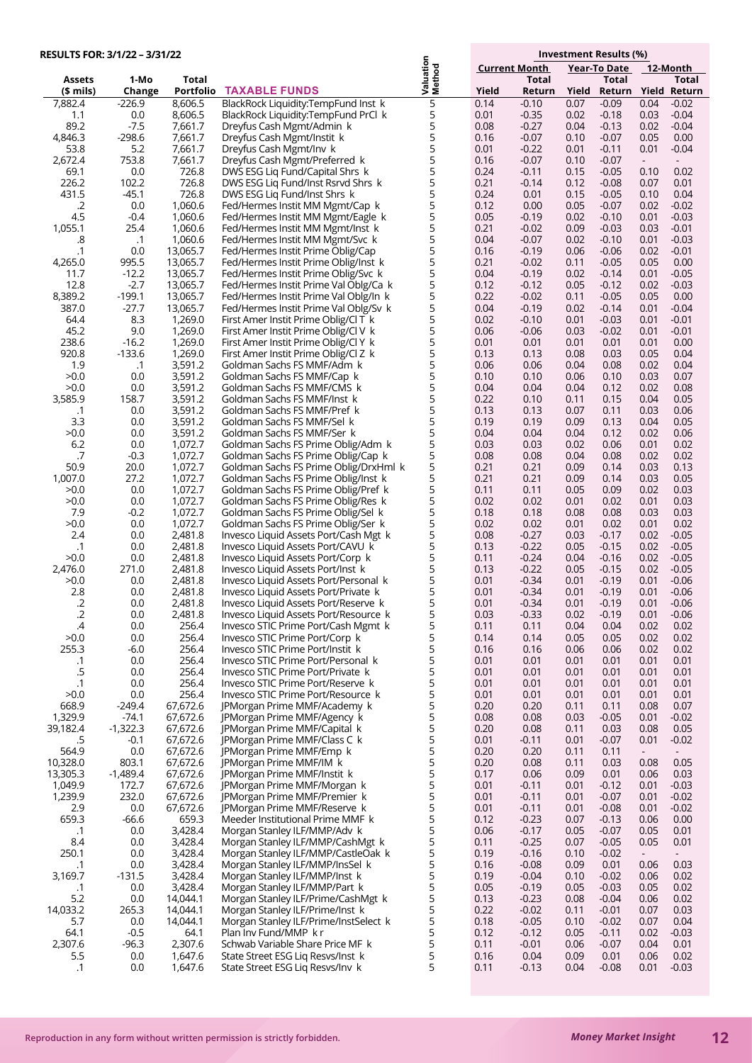| RESULTS FOR: 3/1/22 - 3/31/22 |                     |                      |                                                                               |                            |              |                      |              | Investment Results (%) |              |                     |  |  |
|-------------------------------|---------------------|----------------------|-------------------------------------------------------------------------------|----------------------------|--------------|----------------------|--------------|------------------------|--------------|---------------------|--|--|
|                               |                     |                      |                                                                               |                            |              | <b>Current Month</b> |              | <b>Year-To Date</b>    |              | 12-Month            |  |  |
| <b>Assets</b>                 | 1-Mo                | Total                |                                                                               | <b>Valuation</b><br>Method |              | <b>Total</b>         |              | Total                  |              | Total               |  |  |
| (\$ mils)                     | Change              | Portfolio            | <b>TAXABLE FUNDS</b>                                                          |                            | Yield        | Return               | Yield        |                        |              | Return Yield Return |  |  |
| 7,882.4<br>1.1                | $-226.9$<br>0.0     | 8,606.5<br>8,606.5   | BlackRock Liquidity:TempFund Inst k<br>BlackRock Liquidity:TempFund PrCl k    | 5<br>5                     | 0.14<br>0.01 | $-0.10$<br>$-0.35$   | 0.07<br>0.02 | $-0.09$<br>$-0.18$     | 0.04<br>0.03 | $-0.02$<br>$-0.04$  |  |  |
| 89.2                          | $-7.5$              | 7,661.7              | Dreyfus Cash Mgmt/Admin k                                                     | 5                          | 0.08         | $-0.27$              | 0.04         | $-0.13$                | 0.02         | $-0.04$             |  |  |
| 4,846.3                       | $-298.6$            | 7,661.7              | Dreyfus Cash Mgmt/Instit k                                                    | 5                          | 0.16         | $-0.07$              | 0.10         | $-0.07$                | 0.05         | 0.00                |  |  |
| 53.8                          | 5.2                 | 7,661.7              | Dreyfus Cash Mgmt/Inv k                                                       | 5                          | 0.01         | $-0.22$              | 0.01         | $-0.11$                | 0.01         | $-0.04$             |  |  |
| 2,672.4                       | 753.8               | 7,661.7              | Dreyfus Cash Mgmt/Preferred k                                                 | 5                          | 0.16         | $-0.07$              | 0.10         | $-0.07$                | $\sim$       |                     |  |  |
| 69.1<br>226.2                 | 0.0<br>102.2        | 726.8<br>726.8       | DWS ESG Liq Fund/Capital Shrs k<br>DWS ESG Lig Fund/Inst Rsrvd Shrs k         | 5<br>5                     | 0.24<br>0.21 | $-0.11$<br>$-0.14$   | 0.15<br>0.12 | $-0.05$<br>$-0.08$     | 0.10<br>0.07 | 0.02<br>0.01        |  |  |
| 431.5                         | $-45.1$             | 726.8                | DWS ESG Lig Fund/Inst Shrs k                                                  | 5                          | 0.24         | 0.01                 | 0.15         | $-0.05$                | 0.10         | 0.04                |  |  |
| .2                            | 0.0                 | 1,060.6              | Fed/Hermes Instit MM Mgmt/Cap k                                               | 5                          | 0.12         | 0.00                 | 0.05         | $-0.07$                | 0.02         | $-0.02$             |  |  |
| 4.5                           | $-0.4$              | 1,060.6              | Fed/Hermes Instit MM Mgmt/Eagle k                                             | 5                          | 0.05         | $-0.19$              | 0.02         | $-0.10$                | 0.01         | $-0.03$             |  |  |
| 1,055.1                       | 25.4                | 1,060.6              | Fed/Hermes Instit MM Mgmt/Inst k                                              | 5                          | 0.21         | $-0.02$              | 0.09         | $-0.03$                | 0.03         | $-0.01$             |  |  |
| .8<br>$\cdot$ 1               | $\cdot$ 1<br>0.0    | 1,060.6<br>13,065.7  | Fed/Hermes Instit MM Mgmt/Svc k<br>Fed/Hermes Instit Prime Oblig/Cap          | 5<br>5                     | 0.04<br>0.16 | $-0.07$<br>$-0.19$   | 0.02<br>0.06 | $-0.10$<br>$-0.06$     | 0.01<br>0.02 | $-0.03$<br>$-0.01$  |  |  |
| 4,265.0                       | 995.5               | 13,065.7             | Fed/Hermes Instit Prime Oblig/Inst k                                          | 5                          | 0.21         | $-0.02$              | 0.11         | $-0.05$                | 0.05         | 0.00                |  |  |
| 11.7                          | $-12.2$             | 13,065.7             | Fed/Hermes Instit Prime Oblig/Svc k                                           | 5                          | 0.04         | $-0.19$              | 0.02         | $-0.14$                | 0.01         | $-0.05$             |  |  |
| 12.8                          | $-2.7$              | 13,065.7             | Fed/Hermes Instit Prime Val Oblg/Ca k                                         | 5                          | 0.12         | $-0.12$              | 0.05         | $-0.12$                | 0.02         | $-0.03$             |  |  |
| 8,389.2                       | $-199.1$            | 13,065.7             | Fed/Hermes Instit Prime Val Oblg/In k                                         | 5                          | 0.22         | $-0.02$              | 0.11         | $-0.05$                | 0.05         | 0.00                |  |  |
| 387.0<br>64.4                 | $-27.7$<br>8.3      | 13,065.7<br>1,269.0  | Fed/Hermes Instit Prime Val Oblg/Sv k<br>First Amer Instit Prime Oblig/Cl T k | 5<br>5                     | 0.04<br>0.02 | $-0.19$<br>$-0.10$   | 0.02<br>0.01 | $-0.14$<br>$-0.03$     | 0.01<br>0.01 | $-0.04$<br>$-0.01$  |  |  |
| 45.2                          | 9.0                 | 1,269.0              | First Amer Instit Prime Oblig/Cl V k                                          | 5                          | 0.06         | $-0.06$              | 0.03         | $-0.02$                | 0.01         | $-0.01$             |  |  |
| 238.6                         | $-16.2$             | 1,269.0              | First Amer Instit Prime Oblig/Cl Y k                                          | 5                          | 0.01         | 0.01                 | 0.01         | 0.01                   | 0.01         | 0.00                |  |  |
| 920.8                         | $-133.6$            | 1,269.0              | First Amer Instit Prime Oblig/Cl Z k                                          | 5                          | 0.13         | 0.13                 | 0.08         | 0.03                   | 0.05         | 0.04                |  |  |
| 1.9                           | $\cdot$ 1           | 3,591.2              | Goldman Sachs FS MMF/Adm k                                                    | 5                          | 0.06         | 0.06                 | 0.04         | 0.08                   | 0.02         | 0.04                |  |  |
| >0.0<br>>0.0                  | 0.0<br>0.0          | 3,591.2<br>3,591.2   | Goldman Sachs FS MMF/Cap k<br>Goldman Sachs FS MMF/CMS k                      | 5<br>5                     | 0.10<br>0.04 | 0.10<br>0.04         | 0.06<br>0.04 | 0.10<br>0.12           | 0.03<br>0.02 | 0.07<br>0.08        |  |  |
| 3,585.9                       | 158.7               | 3,591.2              | Goldman Sachs FS MMF/Inst k                                                   | 5                          | 0.22         | 0.10                 | 0.11         | 0.15                   | 0.04         | 0.05                |  |  |
| $\cdot$ 1                     | 0.0                 | 3,591.2              | Goldman Sachs FS MMF/Pref k                                                   | 5                          | 0.13         | 0.13                 | 0.07         | 0.11                   | 0.03         | 0.06                |  |  |
| 3.3                           | 0.0                 | 3,591.2              | Goldman Sachs FS MMF/Sel k                                                    | 5                          | 0.19         | 0.19                 | 0.09         | 0.13                   | 0.04         | 0.05                |  |  |
| >0.0                          | 0.0                 | 3,591.2              | Goldman Sachs FS MMF/Ser k                                                    | 5<br>5                     | 0.04         | 0.04                 | 0.04         | 0.12                   | 0.02         | 0.06                |  |  |
| 6.2<br>.7                     | 0.0<br>$-0.3$       | 1,072.7<br>1,072.7   | Goldman Sachs FS Prime Oblig/Adm k<br>Goldman Sachs FS Prime Oblig/Cap k      | 5                          | 0.03<br>0.08 | 0.03<br>0.08         | 0.02<br>0.04 | 0.06<br>0.08           | 0.01<br>0.02 | 0.02<br>0.02        |  |  |
| 50.9                          | 20.0                | 1,072.7              | Goldman Sachs FS Prime Oblig/DrxHml k                                         | 5                          | 0.21         | 0.21                 | 0.09         | 0.14                   | 0.03         | 0.13                |  |  |
| 1,007.0                       | 27.2                | 1,072.7              | Goldman Sachs FS Prime Oblig/Inst k                                           | 5                          | 0.21         | 0.21                 | 0.09         | 0.14                   | 0.03         | 0.05                |  |  |
| >0.0                          | 0.0                 | 1,072.7              | Goldman Sachs FS Prime Oblig/Pref k                                           | 5                          | 0.11         | 0.11                 | 0.05         | 0.09                   | 0.02         | 0.03                |  |  |
| >0.0<br>7.9                   | 0.0<br>$-0.2$       | 1,072.7<br>1,072.7   | Goldman Sachs FS Prime Oblig/Res k                                            | 5<br>5                     | 0.02<br>0.18 | 0.02<br>0.18         | 0.01<br>0.08 | 0.02<br>0.08           | 0.01<br>0.03 | 0.03<br>0.03        |  |  |
| >0.0                          | 0.0                 | 1,072.7              | Goldman Sachs FS Prime Oblig/Sel k<br>Goldman Sachs FS Prime Oblig/Ser k      | 5                          | 0.02         | 0.02                 | 0.01         | 0.02                   | 0.01         | 0.02                |  |  |
| 2.4                           | 0.0                 | 2,481.8              | Invesco Liquid Assets Port/Cash Mgt k                                         | 5                          | 0.08         | $-0.27$              | 0.03         | $-0.17$                | 0.02         | $-0.05$             |  |  |
| .1                            | 0.0                 | 2,481.8              | Invesco Liquid Assets Port/CAVU k                                             | 5                          | 0.13         | $-0.22$              | 0.05         | $-0.15$                | 0.02         | $-0.05$             |  |  |
| >0.0                          | 0.0                 | 2,481.8              | Invesco Liquid Assets Port/Corp k                                             | 5                          | 0.11         | $-0.24$              | 0.04         | $-0.16$                | 0.02         | $-0.05$             |  |  |
| 2,476.0<br>>0.0               | 271.0<br>0.0        | 2,481.8<br>2,481.8   | Invesco Liquid Assets Port/Inst k<br>Invesco Liquid Assets Port/Personal k    | 5<br>5                     | 0.13<br>0.01 | $-0.22$<br>$-0.34$   | 0.05<br>0.01 | $-0.15$<br>$-0.19$     | 0.02<br>0.01 | $-0.05$<br>$-0.06$  |  |  |
| 2.8                           | 0.0                 | 2,481.8              | Invesco Liquid Assets Port/Private k                                          | 5                          | 0.01         | $-0.34$              | 0.01         | $-0.19$                | 0.01         | $-0.06$             |  |  |
| $\cdot$ .2                    | 0.0                 | 2,481.8              | Invesco Liquid Assets Port/Reserve k                                          | 5                          | 0.01         | $-0.34$              | 0.01         | $-0.19$                | 0.01         | $-0.06$             |  |  |
| .2                            | 0.0                 | 2,481.8              | Invesco Liquid Assets Port/Resource k                                         | 5                          | 0.03         | -0.33                | 0.02         | $-0.19$                | 0.01         | $-0.06$             |  |  |
| $\mathcal{A}$                 | 0.0                 | 256.4                | Invesco STIC Prime Port/Cash Mgmt k                                           | 5                          | 0.11         | 0.11                 | 0.04         | 0.04                   | 0.02         | 0.02                |  |  |
| >0.0<br>255.3                 | 0.0<br>$-6.0$       | 256.4<br>256.4       | Invesco STIC Prime Port/Corp k<br>Invesco STIC Prime Port/Instit k            | 5<br>5                     | 0.14<br>0.16 | 0.14<br>0.16         | 0.05<br>0.06 | 0.05<br>0.06           | 0.02<br>0.02 | 0.02<br>0.02        |  |  |
| $\cdot$ 1                     | $0.0\,$             | 256.4                | Invesco STIC Prime Port/Personal k                                            | 5                          | 0.01         | 0.01                 | 0.01         | 0.01                   | 0.01         | 0.01                |  |  |
| .5                            | 0.0                 | 256.4                | Invesco STIC Prime Port/Private k                                             | 5                          | 0.01         | 0.01                 | 0.01         | 0.01                   | 0.01         | 0.01                |  |  |
| $\cdot$ 1                     | 0.0                 | 256.4                | Invesco STIC Prime Port/Reserve k                                             | 5                          | 0.01         | 0.01                 | 0.01         | 0.01                   | 0.01         | 0.01                |  |  |
| >0.0<br>668.9                 | 0.0<br>-249.4       | 256.4<br>67,672.6    | Invesco STIC Prime Port/Resource k<br>JPMorgan Prime MMF/Academy k            | 5<br>5                     | 0.01<br>0.20 | 0.01<br>0.20         | 0.01<br>0.11 | 0.01<br>0.11           | 0.01<br>0.08 | 0.01<br>0.07        |  |  |
| 1,329.9                       | $-74.1$             | 67,672.6             | JPMorgan Prime MMF/Agency k                                                   | 5                          | 0.08         | 0.08                 | 0.03         | $-0.05$                | 0.01         | $-0.02$             |  |  |
| 39,182.4                      | $-1,322.3$          | 67,672.6             | JPMorgan Prime MMF/Capital k                                                  | 5                          | 0.20         | 0.08                 | 0.11         | 0.03                   | 0.08         | 0.05                |  |  |
| .5                            | $-0.1$              | 67,672.6             | JPMorgan Prime MMF/Class C k                                                  | 5                          | 0.01         | $-0.11$              | 0.01         | $-0.07$                | 0.01         | $-0.02$             |  |  |
| 564.9                         | 0.0                 | 67,672.6<br>67,672.6 | JPMorgan Prime MMF/Emp k                                                      | 5<br>5                     | 0.20         | 0.20                 | 0.11         | 0.11                   | $\sim$       |                     |  |  |
| 10,328.0<br>13,305.3          | 803.1<br>$-1,489.4$ | 67,672.6             | JPMorgan Prime MMF/IM k<br>JPMorgan Prime MMF/Instit k                        | 5                          | 0.20<br>0.17 | 0.08<br>0.06         | 0.11<br>0.09 | 0.03<br>0.01           | 0.08<br>0.06 | 0.05<br>0.03        |  |  |
| 1,049.9                       | 172.7               | 67,672.6             | JPMorgan Prime MMF/Morgan k                                                   | 5                          | 0.01         | $-0.11$              | 0.01         | $-0.12$                | 0.01         | $-0.03$             |  |  |
| 1,239.9                       | 232.0               | 67,672.6             | JPMorgan Prime MMF/Premier k                                                  | 5                          | 0.01         | $-0.11$              | 0.01         | $-0.07$                | 0.01         | $-0.02$             |  |  |
| 2.9                           | 0.0                 | 67,672.6             | JPMorgan Prime MMF/Reserve k                                                  | 5                          | 0.01         | $-0.11$              | 0.01         | $-0.08$                | 0.01         | $-0.02$             |  |  |
| 659.3                         | $-66.6$             | 659.3<br>3,428.4     | Meeder Institutional Prime MMF k                                              | 5<br>5                     | 0.12         | $-0.23$<br>$-0.17$   | 0.07<br>0.05 | $-0.13$<br>$-0.07$     | 0.06<br>0.05 | 0.00<br>0.01        |  |  |
| $\cdot$ 1<br>8.4              | 0.0<br>0.0          | 3,428.4              | Morgan Stanley ILF/MMP/Adv k<br>Morgan Stanley ILF/MMP/CashMgt k              | 5                          | 0.06<br>0.11 | $-0.25$              | 0.07         | $-0.05$                | 0.05         | 0.01                |  |  |
| 250.1                         | 0.0                 | 3,428.4              | Morgan Stanley ILF/MMP/CastleOak k                                            | 5                          | 0.19         | $-0.16$              | 0.10         | $-0.02$                |              |                     |  |  |
| .1                            | 0.0                 | 3,428.4              | Morgan Stanley ILF/MMP/InsSel k                                               | 5                          | 0.16         | $-0.08$              | 0.09         | 0.01                   | 0.06         | 0.03                |  |  |
| 3,169.7                       | $-131.5$            | 3,428.4              | Morgan Stanley ILF/MMP/Inst k                                                 | 5                          | 0.19         | $-0.04$              | 0.10         | $-0.02$                | 0.06         | 0.02                |  |  |
| $\cdot$ 1                     | 0.0                 | 3,428.4              | Morgan Stanley ILF/MMP/Part k                                                 | 5<br>5                     | 0.05         | $-0.19$              | 0.05         | $-0.03$                | 0.05         | 0.02                |  |  |
| 5.2<br>14,033.2               | 0.0<br>265.3        | 14,044.1<br>14,044.1 | Morgan Stanley ILF/Prime/CashMgt k<br>Morgan Stanley ILF/Prime/Inst k         | 5                          | 0.13<br>0.22 | $-0.23$<br>$-0.02$   | 0.08<br>0.11 | $-0.04$<br>$-0.01$     | 0.06<br>0.07 | 0.02<br>0.03        |  |  |
| 5.7                           | 0.0                 | 14,044.1             | Morgan Stanley ILF/Prime/InstSelect k                                         | 5                          | 0.18         | $-0.05$              | 0.10         | $-0.02$                | 0.07         | 0.04                |  |  |
| 64.1                          | $-0.5$              | 64.1                 | Plan Inv Fund/MMP kr                                                          | 5                          | 0.12         | $-0.12$              | 0.05         | $-0.11$                | 0.02         | $-0.03$             |  |  |
| 2,307.6                       | $-96.3$             | 2,307.6              | Schwab Variable Share Price MF k                                              | 5                          | 0.11         | $-0.01$              | 0.06         | $-0.07$                | 0.04         | 0.01                |  |  |
| 5.5<br>$\cdot$ 1              | 0.0<br>0.0          | 1,647.6<br>1,647.6   | State Street ESG Lig Resys/Inst k<br>State Street ESG Liq Resvs/Inv k         | 5<br>5                     | 0.16<br>0.11 | 0.04<br>$-0.13$      | 0.09<br>0.04 | 0.01<br>$-0.08$        | 0.06<br>0.01 | 0.02<br>$-0.03$     |  |  |
|                               |                     |                      |                                                                               |                            |              |                      |              |                        |              |                     |  |  |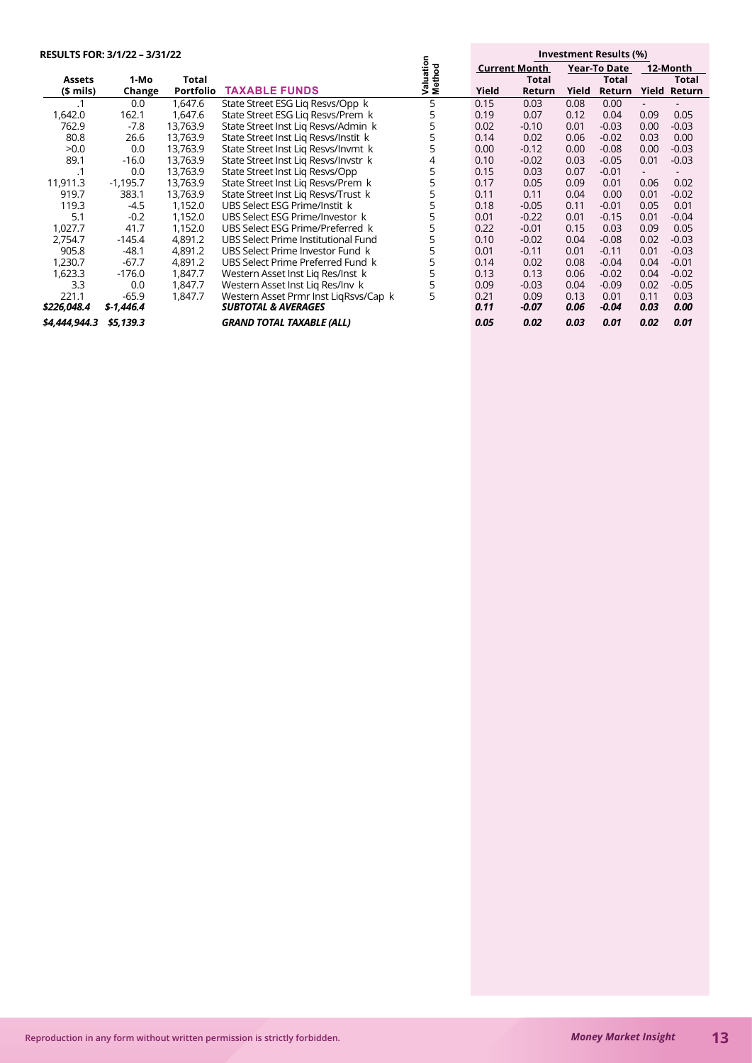| RESULTS FOR: 3/1/22 - 3/31/22 |            |                  |                                       | ⊆                          | Investment Results (%) |         |       |                     |                          |              |
|-------------------------------|------------|------------------|---------------------------------------|----------------------------|------------------------|---------|-------|---------------------|--------------------------|--------------|
|                               |            |                  |                                       | atio<br>Valuatio<br>Method | <b>Current Month</b>   |         |       | <b>Year-To Date</b> |                          | 12-Month     |
| Assets                        | 1-Mo       | Total            |                                       |                            |                        | Total   |       | Total               |                          | Total        |
| $$$ mils)                     | Change     | <b>Portfolio</b> | <b>TAXABLE FUNDS</b>                  |                            | Yield                  | Return  | Yield | Return              |                          | Yield Return |
|                               | 0.0        | 1,647.6          | State Street ESG Lig Resvs/Opp k      | 5                          | 0.15                   | 0.03    | 0.08  | 0.00                | $\overline{\phantom{0}}$ |              |
| 1,642.0                       | 162.1      | 1,647.6          | State Street ESG Lig Resvs/Prem k     | 5                          | 0.19                   | 0.07    | 0.12  | 0.04                | 0.09                     | 0.05         |
| 762.9                         | $-7.8$     | 13,763.9         | State Street Inst Lig Resys/Admin k   | 5                          | 0.02                   | $-0.10$ | 0.01  | $-0.03$             | 0.00                     | $-0.03$      |
| 80.8                          | 26.6       | 13,763.9         | State Street Inst Lig Resys/Instit k  |                            | 0.14                   | 0.02    | 0.06  | $-0.02$             | 0.03                     | 0.00         |
| >0.0                          | 0.0        | 13,763.9         | State Street Inst Lig Resys/Invmt k   | 5                          | 0.00                   | $-0.12$ | 0.00  | $-0.08$             | 0.00                     | $-0.03$      |
| 89.1                          | $-16.0$    | 13,763.9         | State Street Inst Liq Resvs/Invstr k  | 4                          | 0.10                   | $-0.02$ | 0.03  | $-0.05$             | 0.01                     | $-0.03$      |
| $\cdot$ 1                     | 0.0        | 13,763.9         | State Street Inst Lig Resys/Opp       | 5                          | 0.15                   | 0.03    | 0.07  | $-0.01$             |                          |              |
| 11,911.3                      | $-1,195.7$ | 13,763.9         | State Street Inst Lig Resvs/Prem k    | 5                          | 0.17                   | 0.05    | 0.09  | 0.01                | 0.06                     | 0.02         |
| 919.7                         | 383.1      | 13,763.9         | State Street Inst Lig Resvs/Trust k   | 5                          | 0.11                   | 0.11    | 0.04  | 0.00                | 0.01                     | $-0.02$      |
| 119.3                         | $-4.5$     | 1,152.0          | UBS Select ESG Prime/Instit k         | 5                          | 0.18                   | $-0.05$ | 0.11  | $-0.01$             | 0.05                     | 0.01         |
| 5.1                           | $-0.2$     | 1,152.0          | UBS Select ESG Prime/Investor k       | 5                          | 0.01                   | $-0.22$ | 0.01  | $-0.15$             | 0.01                     | $-0.04$      |
| 1,027.7                       | 41.7       | 1,152.0          | UBS Select ESG Prime/Preferred k      | 5                          | 0.22                   | $-0.01$ | 0.15  | 0.03                | 0.09                     | 0.05         |
| 2,754.7                       | $-145.4$   | 4,891.2          | UBS Select Prime Institutional Fund   |                            | 0.10                   | $-0.02$ | 0.04  | $-0.08$             | 0.02                     | $-0.03$      |
| 905.8                         | $-48.1$    | 4,891.2          | UBS Select Prime Investor Fund k      |                            | 0.01                   | $-0.11$ | 0.01  | $-0.11$             | 0.01                     | $-0.03$      |
| 1,230.7                       | $-67.7$    | 4,891.2          | UBS Select Prime Preferred Fund k     | 5                          | 0.14                   | 0.02    | 0.08  | $-0.04$             | 0.04                     | $-0.01$      |
| 1,623.3                       | $-176.0$   | 1,847.7          | Western Asset Inst Lig Res/Inst k     | 5                          | 0.13                   | 0.13    | 0.06  | $-0.02$             | 0.04                     | $-0.02$      |
| 3.3                           | 0.0        | 1,847.7          | Western Asset Inst Lig Res/Inv k      |                            | 0.09                   | $-0.03$ | 0.04  | $-0.09$             | 0.02                     | $-0.05$      |
| 221.1                         | $-65.9$    | 1,847.7          | Western Asset Prmr Inst LigRsys/Cap k | 5                          | 0.21                   | 0.09    | 0.13  | 0.01                | 0.11                     | 0.03         |
| \$226,048.4                   | \$-1,446.4 |                  | <b>SUBTOTAL &amp; AVERAGES</b>        |                            | 0.11                   | -0.07   | 0.06  | $-0.04$             | 0.03                     | 0.00         |
| \$4,444,944.3                 | \$5,139.3  |                  | <b>GRAND TOTAL TAXABLE (ALL)</b>      |                            | 0.05                   | 0.02    | 0.03  | 0.01                | 0.02                     | 0.01         |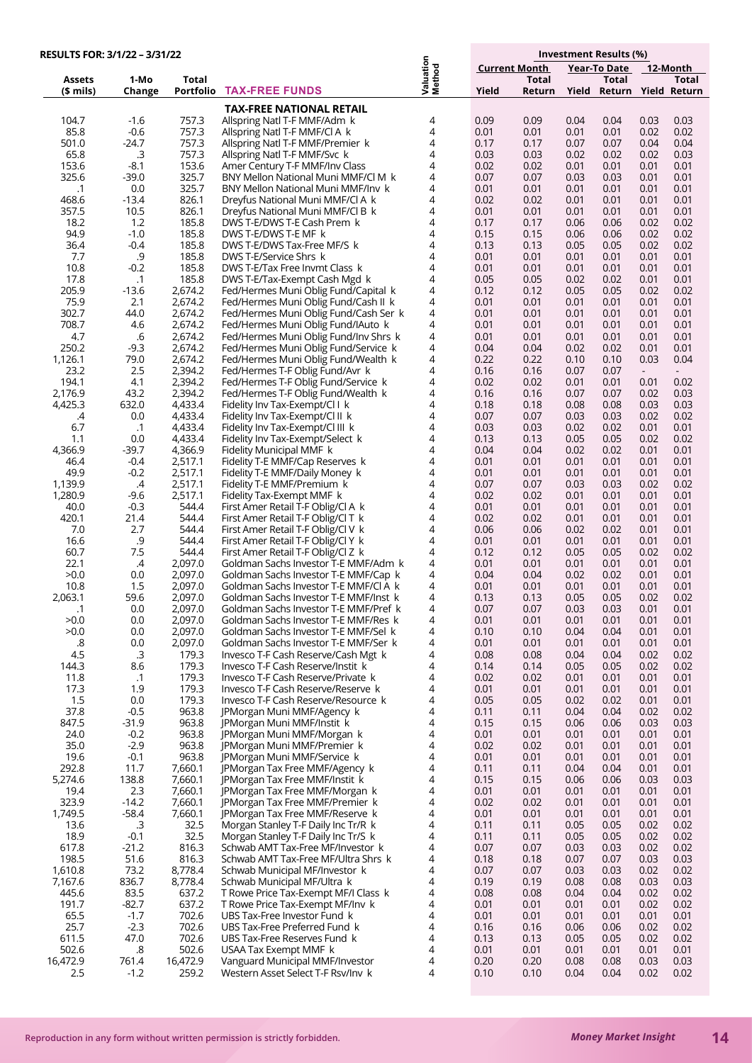| RESULTS FOR: 3/1/22 - 3/31/22 |                      |                    |                                                                                |                     |                      |              |              | Investment Results (%)    |                                  |                |
|-------------------------------|----------------------|--------------------|--------------------------------------------------------------------------------|---------------------|----------------------|--------------|--------------|---------------------------|----------------------------------|----------------|
|                               |                      |                    |                                                                                |                     | <b>Current Month</b> |              |              | Year-To Date              |                                  | 12-Month       |
| Assets                        | 1-Mo                 | Total              | <b>TAX-FREE FUNDS</b>                                                          | Valuation<br>Method |                      | <b>Total</b> |              | Total                     |                                  | Total          |
| (\$ mils)                     | Change               | Portfolio          |                                                                                |                     | Yield                | Return       |              | Yield Return Yield Return |                                  |                |
|                               |                      |                    | <b>TAX-FREE NATIONAL RETAIL</b>                                                |                     |                      |              |              |                           |                                  |                |
| 104.7<br>85.8                 | $-1.6$<br>$-0.6$     | 757.3<br>757.3     | Allspring Natl T-F MMF/Adm k<br>Allspring Natl T-F MMF/Cl A k                  | 4<br>4              | 0.09<br>0.01         | 0.09<br>0.01 | 0.04<br>0.01 | 0.04<br>0.01              | 0.03<br>0.02                     | 0.03<br>0.02   |
| 501.0                         | $-24.7$              | 757.3              | Allspring Natl T-F MMF/Premier k                                               | 4                   | 0.17                 | 0.17         | 0.07         | 0.07                      | 0.04                             | 0.04           |
| 65.8                          | .3                   | 757.3              | Allspring Natl T-F MMF/Svc k                                                   | 4                   | 0.03                 | 0.03         | 0.02         | 0.02                      | 0.02                             | 0.03           |
| 153.6                         | $-8.1$               | 153.6              | Amer Century T-F MMF/Inv Class                                                 | 4                   | 0.02                 | 0.02         | 0.01         | 0.01                      | 0.01                             | 0.01           |
| 325.6                         | $-39.0$              | 325.7              | BNY Mellon National Muni MMF/Cl M k                                            | 4                   | 0.07                 | 0.07         | 0.03         | 0.03                      | 0.01                             | 0.01           |
| $\cdot$ 1                     | 0.0                  | 325.7              | BNY Mellon National Muni MMF/Inv k                                             | 4                   | 0.01                 | 0.01         | 0.01         | 0.01                      | 0.01                             | 0.01           |
| 468.6                         | $-13.4$              | 826.1              | Dreyfus National Muni MMF/Cl A k                                               | 4                   | 0.02                 | 0.02         | 0.01         | 0.01                      | 0.01                             | 0.01           |
| 357.5<br>18.2                 | 10.5<br>1.2          | 826.1<br>185.8     | Dreyfus National Muni MMF/CLB k<br>DWS T-E/DWS T-E Cash Prem k                 | 4<br>4              | 0.01<br>0.17         | 0.01<br>0.17 | 0.01<br>0.06 | 0.01<br>0.06              | 0.01<br>0.02                     | 0.01<br>0.02   |
| 94.9                          | $-1.0$               | 185.8              | DWS T-E/DWS T-E MF k                                                           | 4                   | 0.15                 | 0.15         | 0.06         | 0.06                      | 0.02                             | 0.02           |
| 36.4                          | $-0.4$               | 185.8              | DWS T-E/DWS Tax-Free MF/S k                                                    | 4                   | 0.13                 | 0.13         | 0.05         | 0.05                      | 0.02                             | 0.02           |
| 7.7                           | $.9$                 | 185.8              | DWS T-E/Service Shrs k                                                         | 4                   | 0.01                 | 0.01         | 0.01         | 0.01                      | 0.01                             | 0.01           |
| 10.8                          | $-0.2$               | 185.8              | DWS T-E/Tax Free Invmt Class k                                                 | 4                   | 0.01                 | 0.01         | 0.01         | 0.01                      | 0.01                             | 0.01           |
| 17.8<br>205.9                 | $\cdot$ 1<br>$-13.6$ | 185.8<br>2,674.2   | DWS T-E/Tax-Exempt Cash Mgd k                                                  | 4<br>4              | 0.05<br>0.12         | 0.05<br>0.12 | 0.02<br>0.05 | 0.02<br>0.05              | 0.01<br>0.02                     | 0.01<br>0.02   |
| 75.9                          | 2.1                  | 2,674.2            | Fed/Hermes Muni Oblig Fund/Capital k<br>Fed/Hermes Muni Oblig Fund/Cash II k   | 4                   | 0.01                 | 0.01         | 0.01         | 0.01                      | 0.01                             | 0.01           |
| 302.7                         | 44.0                 | 2,674.2            | Fed/Hermes Muni Oblig Fund/Cash Ser k                                          | 4                   | 0.01                 | 0.01         | 0.01         | 0.01                      | 0.01                             | 0.01           |
| 708.7                         | 4.6                  | 2,674.2            | Fed/Hermes Muni Oblig Fund/IAuto k                                             | 4                   | 0.01                 | 0.01         | 0.01         | 0.01                      | 0.01                             | 0.01           |
| 4.7                           | .6                   | 2,674.2            | Fed/Hermes Muni Oblig Fund/Inv Shrs k                                          | 4                   | 0.01                 | 0.01         | 0.01         | 0.01                      | 0.01                             | 0.01           |
| 250.2                         | $-9.3$               | 2,674.2            | Fed/Hermes Muni Oblig Fund/Service k                                           | 4                   | 0.04                 | 0.04         | 0.02         | 0.02                      | 0.01                             | 0.01           |
| 1,126.1                       | 79.0                 | 2,674.2            | Fed/Hermes Muni Oblig Fund/Wealth k                                            | 4                   | 0.22                 | 0.22         | 0.10         | 0.10                      | 0.03                             | 0.04           |
| 23.2<br>194.1                 | 2.5<br>4.1           | 2,394.2<br>2,394.2 | Fed/Hermes T-F Oblig Fund/Avr k<br>Fed/Hermes T-F Oblig Fund/Service k         | 4<br>4              | 0.16<br>0.02         | 0.16<br>0.02 | 0.07<br>0.01 | 0.07<br>0.01              | $\overline{\phantom{a}}$<br>0.01 | $\sim$<br>0.02 |
| 2,176.9                       | 43.2                 | 2,394.2            | Fed/Hermes T-F Oblig Fund/Wealth k                                             | 4                   | 0.16                 | 0.16         | 0.07         | 0.07                      | 0.02                             | 0.03           |
| 4,425.3                       | 632.0                | 4,433.4            | Fidelity Inv Tax-Exempt/Cl I k                                                 | 4                   | 0.18                 | 0.18         | 0.08         | 0.08                      | 0.03                             | 0.03           |
| .4                            | 0.0                  | 4,433.4            | Fidelity Inv Tax-Exempt/Cl II k                                                | 4                   | 0.07                 | 0.07         | 0.03         | 0.03                      | 0.02                             | 0.02           |
| 6.7                           | $\cdot$ 1            | 4,433.4            | Fidelity Inv Tax-Exempt/Cl III k                                               | 4                   | 0.03                 | 0.03         | 0.02         | 0.02                      | 0.01                             | 0.01           |
| 1.1                           | 0.0                  | 4,433.4            | Fidelity Inv Tax-Exempt/Select k                                               | 4                   | 0.13                 | 0.13         | 0.05         | 0.05                      | 0.02                             | 0.02           |
| 4,366.9<br>46.4               | $-39.7$<br>$-0.4$    | 4,366.9<br>2,517.1 | Fidelity Municipal MMF k<br>Fidelity T-E MMF/Cap Reserves k                    | 4<br>4              | 0.04<br>0.01         | 0.04<br>0.01 | 0.02<br>0.01 | 0.02<br>0.01              | 0.01<br>0.01                     | 0.01<br>0.01   |
| 49.9                          | $-0.2$               | 2,517.1            | Fidelity T-E MMF/Daily Money k                                                 | 4                   | 0.01                 | 0.01         | 0.01         | 0.01                      | 0.01                             | 0.01           |
| 1,139.9                       | $\mathcal{A}$        | 2,517.1            | Fidelity T-E MMF/Premium k                                                     | 4                   | 0.07                 | 0.07         | 0.03         | 0.03                      | 0.02                             | 0.02           |
| 1,280.9                       | $-9.6$               | 2,517.1            | Fidelity Tax-Exempt MMF k                                                      | 4                   | 0.02                 | 0.02         | 0.01         | 0.01                      | 0.01                             | 0.01           |
| 40.0                          | $-0.3$               | 544.4              | First Amer Retail T-F Oblig/Cl A k                                             | 4                   | 0.01                 | 0.01         | 0.01         | 0.01                      | 0.01                             | 0.01           |
| 420.1                         | 21.4                 | 544.4              | First Amer Retail T-F Oblig/Cl T k                                             | 4                   | 0.02                 | 0.02         | 0.01         | 0.01                      | 0.01                             | 0.01           |
| 7.0<br>16.6                   | 2.7<br>.9            | 544.4<br>544.4     | First Amer Retail T-F Oblig/Cl V k<br>First Amer Retail T-F Oblig/Cl Y k       | 4<br>4              | 0.06<br>0.01         | 0.06<br>0.01 | 0.02<br>0.01 | 0.02<br>0.01              | 0.01<br>0.01                     | 0.01<br>0.01   |
| 60.7                          | 7.5                  | 544.4              | First Amer Retail T-F Oblig/Cl Z k                                             | 4                   | 0.12                 | 0.12         | 0.05         | 0.05                      | 0.02                             | 0.02           |
| 22.1                          | $\mathcal{A}$        | 2,097.0            | Goldman Sachs Investor T-E MMF/Adm k                                           | 4                   | 0.01                 | 0.01         | 0.01         | 0.01                      | 0.01                             | 0.01           |
| >0.0                          | 0.0                  | 2,097.0            | Goldman Sachs Investor T-E MMF/Cap k                                           | 4                   | 0.04                 | 0.04         | 0.02         | 0.02                      | 0.01                             | 0.01           |
| 10.8                          | 1.5                  | 2,097.0            | Goldman Sachs Investor T-E MMF/CI A k                                          | 4                   | 0.01                 | 0.01         | 0.01         | 0.01                      | 0.01                             | 0.01           |
| 2,063.1                       | 59.6<br>0.0          | 2,097.0<br>2,097.0 | Goldman Sachs Investor T-E MMF/Inst k<br>Goldman Sachs Investor T-E MMF/Pref k | 4<br>4              | 0.13<br>0.07         | 0.13<br>0.07 | 0.05<br>0.03 | 0.05<br>0.03              | 0.02<br>0.01                     | 0.02<br>0.01   |
| .1<br>>0.0                    | 0.0                  | 2,097.0            | Goldman Sachs Investor T-E MMF/Res k                                           | 4                   | 0.01                 | 0.01         | 0.01         | 0.01                      | 0.01                             | 0.01           |
| >0.0                          | 0.0                  | 2,097.0            | Goldman Sachs Investor T-E MMF/Sel k                                           | 4                   | 0.10                 | 0.10         | 0.04         | 0.04                      | 0.01                             | 0.01           |
| .8                            | 0.0                  | 2,097.0            | Goldman Sachs Investor T-E MMF/Ser k                                           | 4                   | 0.01                 | 0.01         | 0.01         | 0.01                      | 0.01                             | 0.01           |
| 4.5                           | .3                   | 179.3              | Invesco T-F Cash Reserve/Cash Mgt k                                            | 4                   | 0.08                 | 0.08         | 0.04         | 0.04                      | 0.02                             | 0.02           |
| 144.3                         | 8.6                  | 179.3              | Invesco T-F Cash Reserve/Instit k                                              | 4                   | 0.14                 | 0.14         | 0.05         | 0.05                      | 0.02                             | 0.02           |
| 11.8<br>17.3                  | $\cdot$ 1<br>1.9     | 179.3<br>179.3     | Invesco T-F Cash Reserve/Private k<br>Invesco T-F Cash Reserve/Reserve k       | 4<br>4              | 0.02<br>0.01         | 0.02<br>0.01 | 0.01<br>0.01 | 0.01<br>0.01              | 0.01<br>0.01                     | 0.01<br>0.01   |
| 1.5                           | 0.0                  | 179.3              | Invesco T-F Cash Reserve/Resource k                                            | 4                   | 0.05                 | 0.05         | 0.02         | 0.02                      | 0.01                             | 0.01           |
| 37.8                          | $-0.5$               | 963.8              | JPMorgan Muni MMF/Agency k                                                     | 4                   | 0.11                 | 0.11         | 0.04         | 0.04                      | 0.02                             | 0.02           |
| 847.5                         | $-31.9$              | 963.8              | JPMorgan Muni MMF/Instit k                                                     | 4                   | 0.15                 | 0.15         | 0.06         | 0.06                      | 0.03                             | 0.03           |
| 24.0                          | $-0.2$               | 963.8              | JPMorgan Muni MMF/Morgan k                                                     | 4                   | 0.01                 | 0.01         | 0.01         | 0.01                      | 0.01                             | 0.01           |
| 35.0<br>19.6                  | $-2.9$<br>$-0.1$     | 963.8<br>963.8     | JPMorgan Muni MMF/Premier k<br><b>IPMorgan Muni MMF/Service k</b>              | 4<br>4              | 0.02<br>0.01         | 0.02<br>0.01 | 0.01<br>0.01 | 0.01<br>0.01              | 0.01<br>0.01                     | 0.01<br>0.01   |
| 292.8                         | 11.7                 | 7,660.1            | JPMorgan Tax Free MMF/Agency k                                                 | 4                   | 0.11                 | 0.11         | 0.04         | 0.04                      | 0.01                             | 0.01           |
| 5,274.6                       | 138.8                | 7,660.1            | JPMorgan Tax Free MMF/Instit k                                                 | 4                   | 0.15                 | 0.15         | 0.06         | 0.06                      | 0.03                             | 0.03           |
| 19.4                          | 2.3                  | 7,660.1            | JPMorgan Tax Free MMF/Morgan k                                                 | 4                   | 0.01                 | 0.01         | 0.01         | 0.01                      | 0.01                             | 0.01           |
| 323.9                         | $-14.2$              | 7,660.1            | JPMorgan Tax Free MMF/Premier k                                                | 4                   | 0.02                 | 0.02         | 0.01         | 0.01                      | 0.01                             | 0.01           |
| 1,749.5                       | $-58.4$              | 7,660.1            | JPMorgan Tax Free MMF/Reserve k                                                | 4                   | 0.01                 | 0.01         | 0.01         | 0.01                      | 0.01                             | 0.01           |
| 13.6<br>18.9                  | .3<br>$-0.1$         | 32.5<br>32.5       | Morgan Stanley T-F Daily Inc Tr/R k<br>Morgan Stanley T-F Daily Inc Tr/S k     | 4<br>4              | 0.11<br>0.11         | 0.11<br>0.11 | 0.05<br>0.05 | 0.05<br>0.05              | 0.02<br>0.02                     | 0.02<br>0.02   |
| 617.8                         | $-21.2$              | 816.3              | Schwab AMT Tax-Free MF/Investor k                                              | 4                   | 0.07                 | 0.07         | 0.03         | 0.03                      | 0.02                             | 0.02           |
| 198.5                         | 51.6                 | 816.3              | Schwab AMT Tax-Free MF/Ultra Shrs k                                            | 4                   | 0.18                 | 0.18         | 0.07         | 0.07                      | 0.03                             | 0.03           |
| 1,610.8                       | 73.2                 | 8,778.4            | Schwab Municipal MF/Investor k                                                 | 4                   | 0.07                 | 0.07         | 0.03         | 0.03                      | 0.02                             | 0.02           |
| 7,167.6                       | 836.7                | 8,778.4            | Schwab Municipal MF/Ultra k                                                    | 4                   | 0.19                 | 0.19         | 0.08         | 0.08                      | 0.03                             | 0.03           |
| 445.6<br>191.7                | 83.5<br>$-82.7$      | 637.2<br>637.2     | T Rowe Price Tax-Exempt MF/I Class k                                           | 4<br>4              | 0.08<br>0.01         | 0.08<br>0.01 | 0.04         | 0.04<br>0.01              | 0.02<br>0.02                     | 0.02<br>0.02   |
| 65.5                          | $-1.7$               | 702.6              | T Rowe Price Tax-Exempt MF/Inv k<br>UBS Tax-Free Investor Fund k               | 4                   | 0.01                 | 0.01         | 0.01<br>0.01 | 0.01                      | 0.01                             | 0.01           |
| 25.7                          | $-2.3$               | 702.6              | UBS Tax-Free Preferred Fund k                                                  | 4                   | 0.16                 | 0.16         | 0.06         | 0.06                      | 0.02                             | 0.02           |
| 611.5                         | 47.0                 | 702.6              | UBS Tax-Free Reserves Fund k                                                   | 4                   | 0.13                 | 0.13         | 0.05         | 0.05                      | 0.02                             | 0.02           |
| 502.6                         | .8                   | 502.6              | USAA Tax Exempt MMF k                                                          | 4                   | 0.01                 | 0.01         | 0.01         | 0.01                      | 0.01                             | 0.01           |
| 16,472.9                      | 761.4                | 16,472.9           | Vanguard Municipal MMF/Investor                                                | 4<br>4              | 0.20                 | 0.20         | 0.08         | 0.08                      | 0.03                             | 0.03           |
| 2.5                           | $-1.2$               | 259.2              | Western Asset Select T-F Rsv/Inv k                                             |                     | 0.10                 | 0.10         | 0.04         | 0.04                      | 0.02                             | 0.02           |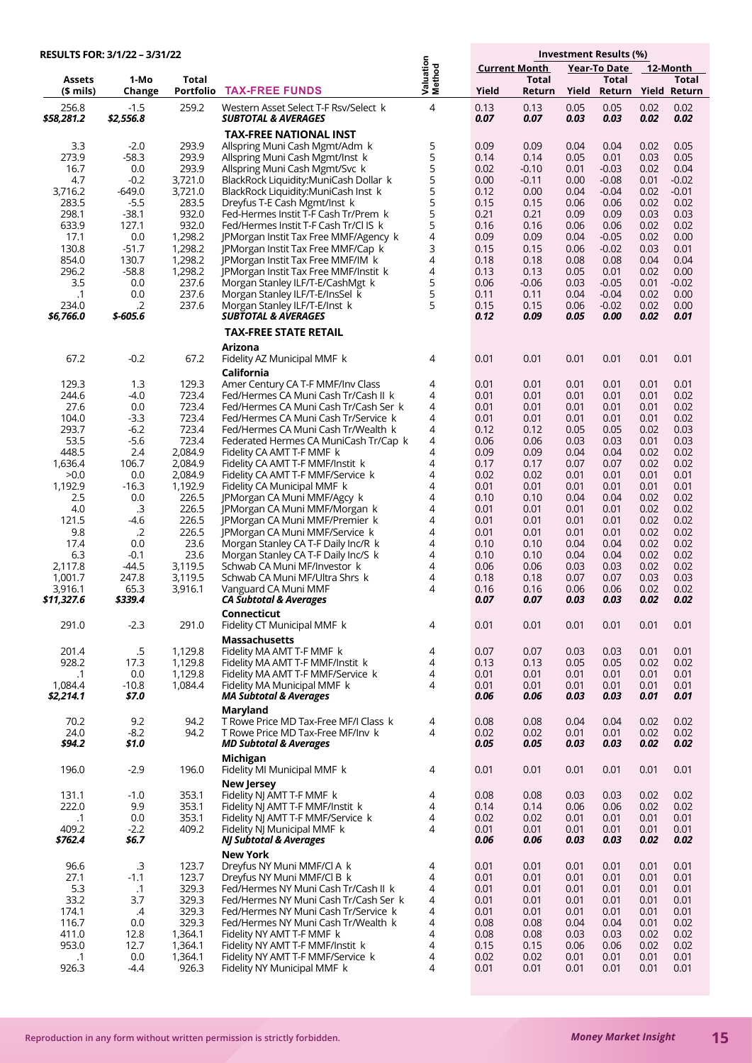#### **Investment Results (%) Current Month Year-To Date 12-Month Assets 1-Mo Total Total Total Total (\$ mils) Change Portfolio Valuation Method Yield Return Yield Return Yield Return RESULTS FOR: 3/1/22 – 3/31/22 TAX-FREE FUNDS** 256.8 -1.5 259.2 Western Asset Select T-F Rsv/Select k<br>**\$2.876.8 52.556.8 SUBTOTAL & AVERAGES** 4 0.13 0.13 0.05 0.05 0.02 0.02 *\$58,281.2 \$2,556.8 SUBTOTAL & AVERAGES 0.07 0.07 0.03 0.03 0.02 0.02* **TAX-FREE NATIONAL INST** 3.3 -2.0 293.9 Allspring Muni Cash Mgmt/Adm k<br>19.9 -58.3 293.9 Allspring Muni Cash Mgmt/Inst k 5 0.09 0.09 0.04 0.04 0.02 0.05 273.9 -58.3 293.9 Allspring Muni Cash Mgmt/Inst k 5 0.14 0.14 0.05 0.01 0.03 0.05 16.7 0.0 293.9 Allspring Muni Cash Mgmt/Svc k 5 0.02 -0.10 0.01 -0.03 0.02 0.04 4.7 -0.2 3,721.0 BlackRock Liquidity:MuniCash Dollar k<br>6.2 -649.0 3.721.0 BlackRock Liquidity:MuniCash Inst k 5 0.00 -0.11 0.00 -0.08 0.01 -0.02 3,716.2 -649.0 3,721.0 BlackRock Liquidity:MuniCash Inst k 5 0.12 0.00 0.04 -0.04 0.02 -0.01 283.5 -5.5 283.5 Dreyfus T-E Cash Mgmt/Inst k 5 0.15 0.15 0.06 0.06 0.02 0.02 298.1 -38.1 932.0 Fed-Hermes Instit T-F Cash Tr/Prem k<br>633.9 127.1 932.0 Fed/Hermes Instit T-F Cash Tr/Cl IS k 5 0.21 0.21 0.09 0.09 0.03 0.03 Fed/Hermes Instit T-F Cash Tr/Cl IS k 5 0.16 0.16 0.06 0.06 0.02 0.02 17.1 0.0 1,298.2 JPMorgan Instit Tax Free MMF/Agency k<br>190.8 51.7 1,298.2 JPMorgan Instit Tax Free MMF/Cap k 4 0.09 0.09 0.04 -0.05 0.02 0.00 130.8 -51.7 1,298.2 JPMorgan Instit Tax Free MMF/Cap k 3 0.15 0.15 0.06 -0.02 0.03 0.01 854.0 130.7 1,298.2 JPMorgan Instit Tax Free MMF/IM k 4 0.18 0.18 0.08 0.08 0.04 0.04 296.2 -58.8 1,298.2 JPMorgan Instit Tax Free MMF/Instit k<br>3.5 0.0 237.6 Morgan Stanley ILF/T-E/CashMgt k 4 0.13 0.13 0.05 0.01 0.02 0.00 Morgan Stanley ILF/T-E/CashMgt k 5 0.06 -0.06 0.03 -0.05 0.01 -0.02 .1 0.0 237.6 Morgan Stanley ILF/T-E/InsSel k 5 0.11 0.11 0.04 -0.04 0.02 0.00 <sup>2</sup> 237.6 Morgan Stanley ILF/T-E/Inst k<br>**5-605.6 SUBTOTAL & AVERAGES** 5 0.15 0.15 0.06 -0.02 0.02 0.00 *\$6,766.0 \$-605.6 SUBTOTAL & AVERAGES 0.12 0.09 0.05 0.00 0.02 0.01* **TAX-FREE STATE RETAIL Arizona** 67.2 -0.2 67.2 Fidelity AZ Municipal MMF k 4 0.01 0.01 0.01 0.01 0.01 0.01 **California**<br>129.3 Amer Cent 129.3 1.3 129.3 Amer Century CA T-F MMF/Inv Class<br>244.6 4.0 723.4 Fed/Hermes CA Muni Cash Tr/Cash I 4 0.01 0.01 0.01 0.01 0.01 0.01 244.6 -4.0 723.4 Fed/Hermes CA Muni Cash Tr/Cash II k<br>27.6 - 27.9 723.4 Fed/Hermes CA Muni Cash Tr/Cash Ser 4 0.01 0.01 0.01 0.01 0.01 0.02 27.6 0.0 723.4 Fed/Hermes CA Muni Cash Tr/Cash Ser k<br>104.0 - 3.3 723.4 Fed/Hermes CA Muni Cash Tr/Service k 4 0.01 0.01 0.01 0.01 0.01 0.02 104.0 -3.3 723.4 Fed/Hermes CA Muni Cash Tr/Service k 4 0.01 0.01 0.01 0.01 0.01 0.02 293.7 -6.2 723.4 Fed/Hermes CA Muni Cash Tr/Wealth k 4 0.12 0.12 0.05 0.05 0.02 0.03 53.5 -5.6 723.4 Federated Hermes CA MuniCash Tr/Cap k<br>448.5 - 2.4 2.084.9 Fidelity CA AMT T-F MMF k 4 0.06 0.06 0.03 0.03 0.01 0.03 448.5 2.4 2,084.9 Fidelity CA AMT T-F MMF k 4 0.09 0.09 0.04 0.04 0.02 0.02 1,636.4 106.7 2,084.9 Fidelity CA AMT T-F MMF/Instit k 4 0.17 0.17 0.07 0.07 0.02 0.02  $>$  0.0 0.0 2,084.9 Fidelity CA AMT T-F MMF/Service k<br>1,192.9 -16.3 1,192.9 Fidelity CA Municipal MMF k 4 0.02 0.02 0.01 0.01 0.01 0.01 -16.3 1,192.9 Fidelity CA Municipal MMF k 4 0.01 0.01 0.01 0.01 0.01 0.01 2.5 0.0 226.5 JPMorgan CA Muni MMF/Agcy k<br>4.0 3 226.5 JPMorgan CA Muni MMF/Morgar 4 0.10 0.10 0.04 0.04 0.02 0.02 4.0 .3 226.5 JPMorgan CA Muni MMF/Morgan k<br>121.5 . 4.6 226.5 JPMorgan CA Muni MMF/Premier k 4 0.01 0.01 0.01 0.01 0.02 0.02 121.5 -4.6 226.5 JPMorgan CA Muni MMF/Premier k 4 0.01 0.01 0.01 0.01 0.02 0.02 9.8 .2 226.5 JPMorgan CA Muni MMF/Service k 4 0.01 0.01 0.01 0.01 0.02 0.02 17.4 0.0 23.6 Morgan Stanley CA T-F Daily Inc/R k 4 0.10 0.10 0.04 0.04 0.02 0.02 6.3 -0.1 23.6 Morgan Stanley CA T-F Daily Inc/S k 4 0.10 0.10 0.04 0.04 0.02 0.02 2,117.8 -44.5 3,119.5 Schwab CA Muni MF/Investor k<br>1,001.7 247.8 3,119.5 Schwab CA Muni MF/Ultra Shrs 4 0.06 0.06 0.03 0.03 0.02 0.02 1,001.7 247.8 3,119.5 Schwab CA Muni MF/Ultra Shrs k 4 0.18 0.18 0.07 0.07 0.03 0.03 3,916.1 65.3 3,916.1 Vanguard CA Muni MMF<br>**\$11,327.6 \$339.4 CA Subtotal & Averages** 4 0.16 0.16 0.06 0.06 0.02 0.02 *\$11,327.6 \$339.4 CA Subtotal & Averages 0.07 0.07 0.03 0.03 0.02 0.02*  **Connecticut** 291.0 -2.3 291.0 Fidelity CT Municipal MMF k 4 0.01 0.01 0.01 0.01 0.01 0.01 **Massachusetts**<br>201.4 5 1,129.8 Fidelity MA AMT 201.4 .5 1,129.8 Fidelity MA AMT T-F MMF k 4 0.07 0.07 0.03 0.03 0.01 0.01 17.3 1,129.8 Fidelity MA AMT T-F MMF/Instit k<br>0.0 1.129.8 Fidelity MA AMT T-F MMF/Service 4 0.13 0.13 0.05 0.05 0.02 0.02 .1 0.0 1,129.8 Fidelity MA AMT T-F MMF/Service k 4 0.01 0.01 0.01 0.01 0.01 0.01 1,084.4 -10.8 1,084.4 Fidelity MA Municipal MMF k<br>**\$2.214.1 - \$7.0 MA Subtotal & Averages** 4 0.01 0.01 0.01 0.01 0.01 0.01 *\$2,214.1 \$7.0 MA Subtotal & Averages 0.06 0.06 0.03 0.03 0.01 0.01* **Maryland**<br>9.2 94.2 TRowe Pri 70.2 9.2 94.2 T Rowe Price MD Tax-Free MF/I Class k 4 0.08 0.08 0.04 0.04 0.02 0.02 24.0 -8.2 94.2 T Rowe Price MD Tax-Free MF/Inv k<br> **394.2 51.0 MD Subtotal & Averages** 4 0.02 0.02 0.01 0.01 0.02 0.02 *\$94.2 \$1.0 MD Subtotal & Averages 0.05 0.05 0.03 0.03 0.02 0.02* **Michigan**<br>196.0 - 2.9 196.0 Fidelity MI Fidelity MI Municipal MMF k 4 0.01 0.01 0.01 0.01 0.01 0.01 **New Jersey**<br>10 3531 **Fidelity NI AN** 131.1 -1.0 353.1 Fidelity NJ AMT T-F MMF k<br>222.0 9.9 353.1 Fidelity NJ AMT T-F MMF/In 4 0.08 0.08 0.03 0.03 0.02 0.02 222.0 353.1 Fidelity NJ AMT T-F MMF/Instit k<br>222.0 353.1 Fidelity NJ AMT T-F MMF/Service 4 0.14 0.14 0.06 0.06 0.02 0.02 .1 0.0 353.1 Fidelity NJ AMT T-F MMF/Service k 4 0.02 0.02 0.01 0.01 0.01 0.01  $409.2$   $-2.2$   $409.2$  Fidelity NJ Municipal MMF k<br> $5762.4$   $56.7$  NJ Subtotal & Averages 4 0.01 0.01 0.01 0.01 0.01 0.01 *\$762.4 \$6.7 NJ Subtotal & Averages 0.06 0.06 0.03 0.03 0.02 0.02* **New York**<br>96.6 3 123.7 Drevfus NY 96.6 .3 123.7 Dreyfus NY Muni MMF/Cl A k<br>27.1 . 1.1 123.7 Dreyfus NY Muni MMF/Cl B k 4 0.01 0.01 0.01 0.01 0.01 0.01 27.1 -1.1 123.7 Dreyfus NY Muni MMF/Cl B k<br>5.3 - 1 329.3 Fed/Hermes NY Muni Cash Tr 4 0.01 0.01 0.01 0.01 0.01 0.01 5.3 .1 329.3 Fed/Hermes NY Muni Cash Tr/Cash II k 4 0.01 0.01 0.01 0.01 0.01 0.01 33.2 3.7 329.3 Fed/Hermes NY Muni Cash Tr/Cash Ser k 4 0.01 0.01 0.01 0.01 0.01 0.01 174.1 .4 329.3 Fed/Hermes NY Muni Cash Tr/Service k<br>1742.1 .1793 Fed/Hermes NY Muni Cash Tr/Wealth k 4 0.01 0.01 0.01 0.01 0.01 0.01 116.7 0.0 329.3 Fed/Hermes NY Muni Cash Tr/Wealth k<br>411.0 12.8 1.364.1 Fidelity NY AMT T-F MMF k 4 0.08 0.08 0.04 0.04 0.01 0.02 411.0 12.8 1,364.1 Fidelity NY AMT T-F MMF k<br>953.0 12.7 1,364.1 Fidelity NY AMT T-F MMF/In 4 0.08 0.08 0.03 0.03 0.02 0.02 12.7 1,364.1 Fidelity NY AMT T-F MMF/Instit k<br>0.0 1,364.1 Fidelity NY AMT T-F MMF/Service 4 0.15 0.15 0.06 0.06 0.02 0.02  $1.1$  0.0 1,364.1 Fidelity NY AMT T-F MMF/Service k<br>926.3  $-4.4$  926.3 Fidelity NY Municipal MMF k 4 0.02 0.02 0.01 0.01 0.01 0.01 926.3 -4.4 926.3 Fidelity NY Municipal MMF k 4 0.01 0.01 0.01 0.01 0.01 0.01